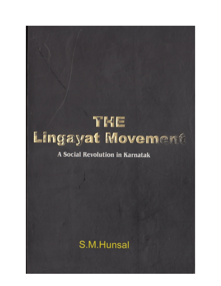# THE Lingayat Movement **A Social Revolution in Karnatak** S.M.Hunsal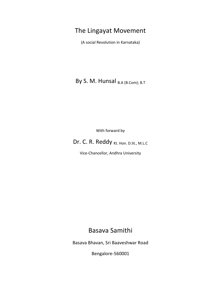# The Lingayat Movement

(A social Revolution in Karnataka)

By S. M. Hunsal  $_{\text{B.A (B. Com); B.T}}$ 

With forward by

Dr. C. R. Reddy Kt. Hon. D.lit., M.L.C

Vice-Chancellor, Andhra University

# Basava Samithi

Basava Bhavan, Sri Baaveshwar Road

Bengalore-560001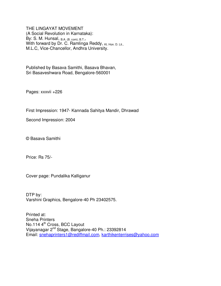THE LINGAYAT MOVEMENT (A Social Revolution in Karnataka): By: S. M. Hunsal, B.A. (B. com); B.T., With forward by Dr. C. Ramlinga Reddy, Kt. Hon. D. Lit., M.L.C, Vice-Chancellor, Andhra University.

Published by Basava Samithi, Basava Bhavan, Sri Basaveshwara Road, Bengalore-560001

Pages: xxxvii +226

First Impression: 1947- Kannada Sahitya Mandir, Dhrawad

Second Impression: 2004

© Basava Samithi

Price: Rs 75/-

Cover page: Pundalika Kalliganur

DTP by: Varshini Graphics, Bengalore-40 Ph 23402575.

Printed at: Sneha Printers No.114 4<sup>th</sup> Cross, BCC Layout Vijayanagar 2nd Stage, Bangalore-40 Ph.: 23392814 Email: snehaprinters1@rediffmail.com, karthikenterrises@yahoo.com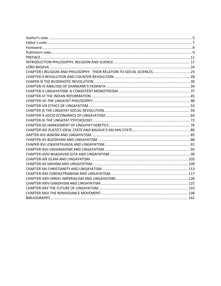| CHAPTER-I RELIGION AND PHILOSOPHY: THEIR RELATION TO SOCIAL SCIENCES  25 |  |
|--------------------------------------------------------------------------|--|
|                                                                          |  |
|                                                                          |  |
|                                                                          |  |
|                                                                          |  |
|                                                                          |  |
|                                                                          |  |
|                                                                          |  |
|                                                                          |  |
|                                                                          |  |
|                                                                          |  |
|                                                                          |  |
|                                                                          |  |
|                                                                          |  |
|                                                                          |  |
|                                                                          |  |
|                                                                          |  |
|                                                                          |  |
|                                                                          |  |
|                                                                          |  |
|                                                                          |  |
|                                                                          |  |
|                                                                          |  |
|                                                                          |  |
|                                                                          |  |
|                                                                          |  |
|                                                                          |  |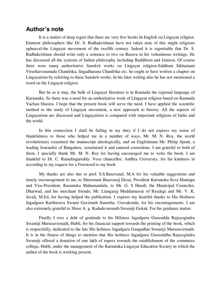## **Author's note**

It is a matter of deep regret that there are very few books In English on Lingayat religion. Eminent philosophers like Dr. S. Radhakrishnan have not taken note of this might religious upheaval-the Lingayat movement of the twelfth century. Indeed it is regrettable that Dr. S. Radhakrishnan should write only a sentence or two on Basava in his voluminous writings. He has discussed all the systems of Indian philosophy including Buddhism and Jainism. Of course there were many authoritative Sanskrit works on Lingayat religion-Siddhant Sikhamani Virashaivananada Chandrika, lingadharana Chandrika etc. he ought to have written a chapter on Lingayatism by referring to these Sanskrit works. In his later writing also he has not mentioned a word on the Lingayat religion.

But be as it may, the bulk of Lingayat literature is in Kannada the regional language of Karnataka. So there was a need for an authoritative work of LIngayat religion based on Kannada Vachan Shastra. I hope that the present book will serve the need. I have applied the scientific method to the study of Lingayat movement, a new approach to history. All the aspects of Lingayatism are discussed and Lingayatism is compared with important religions of India and the world.

In this connection I shall be failing in my duty if I do not express my sense of thankfulness to those who helped me in a number of ways. Mr. M. N. Roy, the world revolutionary examined the manuscript ideologically, and an Englishman Mr. Philip Spratt, a leading Journalist of Bangalore, scrutinized it and entered corrections. I am grateful to both of them. I specially thank Mr. M. N. Roy for having encouraged me to write the book. I am thankful to Dr. C. Ramalingareddy. Voce chancellor, Andhra University, for his kindness in according to my request for a Foreword to my book

My thanks are also due to prof. S.S.Basavanal, M.A for his valuable suggestions and timely encouragement to me, to Shreemant Basavaraj Desai, President Karnataka Seva Mantapa and Vice-President, Karnataka Mahamandala, to Mr. G. S Hurali, the Municipal Councilor, Dharwad, and his merchant friends; Mr. Liangaraj Muddannavar of Byadagi and Mr. V. K. Javali, M.Ed, for having helped the publication. I express my heartful thanks to His Holiness Jagadguru Karibasava Swami Gavimath Samstha, Uravakonda, for his encouragements. I am also extremely grateful to Shree A. g. Kadadevarmath Swamiji Gokak. For his guidance matter.

Finally I owe a debt of gratitude to his Hiliness Jagadguru Gurusidda Rajayogindra Swamiji Murusavirmath, Hubli, for his financial support towards the printing of the book, which is respectfully, dedicated to the late His holiness Jagadguru Gangadhar Swamiji Murusavirmath. It is in the fitness of things to mention that His holiness Jagadguru Gurusiddha Raayogindra Swamiji offered a donation of one lakh of rupees towards the establishment of the commerce college, Hubli, under the management of the Karnataka Lingayat Education Society in which the author of the book is working present.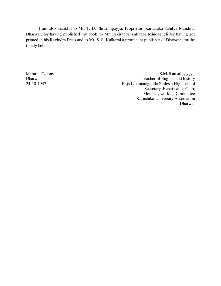I am also thankful to Mr. T. D. Shivalingayya, Proprietor, Karnataka Sahitya Mandira, Dharwar, for having published my book; to Mr. Fakirappa Yallappa Mindagudli for having got printed in his Ravindra Press and to Mr. S. S. Kulkarni a prominent publisher of Dharwar, for the timely help.

Maratha Colony Dharwar 24-10-1947

**S.M.Hunsal**, B.A., B.T Teacher of English and history Raja Lakhmangouda Sirdesai High school Secretary, Renaissance Club; Member, working Committee Karnataka University Association Dharwar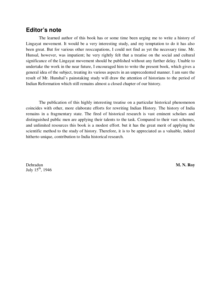## **Editor's note**

The learned author of this book has or some time been urging me to write a history of Lingayat movement. It would be a very interesting study, and my temptation to do it has also been great. But for various other reoccupations, I could not find as yet the necessary time. Mr. Hunsal, however, was impatient; he very rightly felt that a treatise on the social and cultural significance of the Lingayat movement should be published without any further delay. Unable to undertake the work in the near future, I encouraged him to write the present book, which gives a general idea of the subject, treating its various aspects in an unprecedented manner. I am sure the result of Mr. Hunshal's painstaking study will draw the attention of historians to the period of Indian Reformation which still remains almost a closed chapter of our history.

The publication of this highly interesting treatise on a particular historical phenomenon coincides with other, more elaborate efforts for rewriting Indian History. The history of India remains in a fragmentary state. The fired of historical research is vast eminent scholars and distinguished public men are applying their talents to the task. Compared to their vast schemes, and unlimited resources this book is a modest effort. but it has the great merit of applying the scientific method to the study of history. Therefore, it is to be appreciated as a valuable, indeed hitherto unique, contribution to India historical research.

Dehradun July 15<sup>th</sup>, 1946 **M. N. Roy**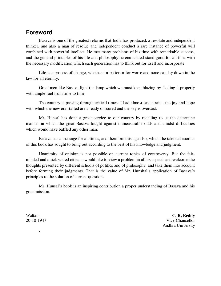## **Foreword**

Basava is one of the greatest reforms that India has produced, a resolute and independent thinker, and also a man of resolue and independent conduct a rare instance of powerful will combined with powerful intellect. He met many problems of his time with remarkable success, and the general principles of his life and philosophy he enunciated stand good for all time with the necessary modification which each generation has to think out for itself and incorporate

Life is a process of change, whether for better or for worse and none can lay down in the law for all eternity.

Great men like Basava light the lamp which we must keep blazing by feeding it properly with ample fuel from time to time.

The country is passing through critical times- I had almost said strain . the joy and hope with which the new era started are already obscured and the sky is overcast.

Mr. Hunsal has done a great service to our country by recalling to us the determine manner in which the great Basava fought against immeasurable odds and amidst difficulties which would have baffled any other man.

Basava has a message for all times, and therefore this age also, which the talented auother of this book has sought to bring out according to the best of his knowledge and judgment.

Unanimity of opinion is not possible on current topics of controversy. But the fairminded and quick witted citizens would like to view a problem in all its aspects and welcome the thoughts presented by different schools of politics and of philosophy, and take them into account before forming their judgments. That is the value of Mr. Hunshal's application of Basava's principles to the solution of current questions.

Mr. Hunsal's book is an inspiring contribution a proper understanding of Basava and his great mission.

Waltair 20-10-1947

,

**C. R. Reddy** Vice-Chancellor Andhra University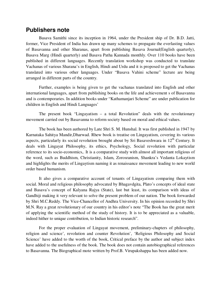## **Publishers note**

Basava Samithi since its inception in 1964, under the President ship of Dr. B.D. Jatti, former, Vice President of India has drawn up many schemes to propagate the everlasting values of Basavanna and other Sharanas, apart from publishing Basava Journal(English quarterly), Basava Marg (Hindi quarterly) and Basava Patha Kannada monthly. Over 110 books have been published in different languages. Recently translation workshop was conducted to translate Vachanas of various Sharana's in English, Hindi and Urdu and it is proposed to get the Vachanas translated into various other languages. Under "Basava Vahini scheme" lecture are being arranged in different parts of the country.

Further, examples is being given to get the vachanas translated into English and other international languages, apart from publishing books on the life and achievement s of Basavanna and is contemporaries. In addition books under "Kathamanjari Scheme" are under publication for children in English and Hindi Languages'

The present book "Lingayatism – a total Revolution" deals with the revolutionary movement carried out by Basavanna to reform society based on moral and ethical values.

The book has been authored by Late Shri S. M. Hunshal. It was first published in 1947 by Karnataka Sahitya Mandir,Dharwad. Rhew book is treatise on Lingayatism, covering its various aspects, particularly its social revolution brought about by Sri Basaveshwara in 12<sup>th</sup> Century. It deals with Lingayat Philosophy, its ethics, Psychology, Social revolution with particular reference to its socio-economics,. It is a comparative study with almost all important religious of the word, such as Buddhism, Christianity, Islam, Zorosranism, Shankra's Vedanta Lokaytism and highlights the merits of Lingaytism naming it as renaissance movement leading to new world order based humanism.

It also gives a comparative account of tenants of Lingayatism comparing them with social. Moral and religious philosophy advocated by Bhagavdgita, Plato's concepts of ideal state and Basava's concept of Kalyana Rajya (State), last but least, its comparison with ideas of Gandhiji making it very relevant to solve the present problem of our nation. The book forwarded by Shri M.C.Reddy. The Vice-Chancellor of Andhra University. In his opinion recorded by Shri M.N. Ray a great revolutionary of our country in his editor's note "The Book has the great merit of applying the scientific method of the study of history. It is to be appreciated as a valuable, indeed hither to unique contribution, to Indian historic research".

For the proper evaluation of Lingayat movement, preliminary-chapters of philosophy, religion and science', revolution and counter Revolution', 'Religious Philosophy and Social Science' have added to the worth of the book, Critical preface by the author and subject index have added to the usefulness of the book. The book does not contain autobiographical references to Basavanna. The Biographical mote written by Prof.B. Virupakshappa has been added now.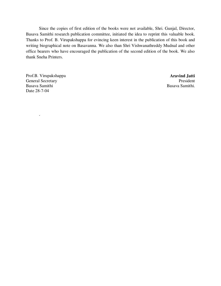Since the copies of first edition of the books were not available, Shri. Gunjal, Director, Basava Samithi research publication committee, initiated the idea to reprint this valuable book. Thanks to Prof. B. Virupakshappa for evincing keen interest in the publication of this book and writing biographical note on Basavanna. We also than Shri Vishwanathreddy Mudnal and other office bearers who have encouraged the publication of the second edition of the book. We also thank Sneha Printers.

Prof.B. Virupakshappa General Secretary Basava Samithi Date 28-7-04

.

**Aravind Jatti** President Basava Samithi.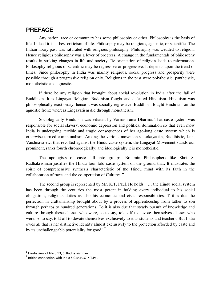# **PREFACE**

Any nation, race or community has some philosophy or other. Philosophy is the basis of life, Indeed it is at best criticism of life. Philosophy may be religious, agnostic, or scientific. The Indian hoary past was saturated with religious philosophy. Philosophy was wedded to religion. Hence religious philosophy was a lever of progress. A change in the fundamentals of philosophy results in striking changes in life and society. Re-orientation of religion leads to reformation. Philosophy religious of scientific may be regressive or progressive. It depends upon the trend of times. Since philosophy in India was mainly religious, social progress and prosperity were possible through a progressive religion only. Religions in the past were polytheistic, pantheistic, monotheistic and agnostic.

If there be any religion that brought about social revolution in India after the fall of Buddhism. It is Lingayat Religion. Buddhism fought and defeated Hinduism. Hinduism was philosophically reactionary; hence it was socially regressive. Buddhism fought Hinduism on the agnostic front; whereas Lingayatism did through monotheism.

Sociologically Hinduism was vitiated by Varnashrama Dharma. That caste system was responsible for social slavery, economic depression and political domination so that even mow India is undergoing terrible and tragic consequences of her age-long caste system which is otherwise termed communalism. Among the various movements, Lokayatika, Buddhistic, Jain, Vaishnava etc. that revolted against the Hindu caste system, the Lingayat Movement stands our prominent, ranks fourth chronologically; and ideologically it is monotheistic.

The apologists of caste fall into groups; Brahmin Philosophers like Shri. S. Radhakrishnan justifies the Hindu four fold caste system on the ground that: It illustrates the spirit of comprehensive synthesis characteristic of the Hindu mind with its faith in the collaboration of races and the co-operation of Cultures<sup>1</sup>"

The second group is represented by Mr. K.T. Paul. He holds:" … the Hindu social system has been through the centuries the most potent in holding every individual to his social obligations, religious duties as also his economic and civic responsibilities. T it is due the perfection in craftsmanship brought about by a process of apprenticeship from father to son through perhaps to hundred generations. To it is also due that steady pursuit of knowledge and culture through these classes who were, so to say, told off to devote themselves classes who were, so to say, told off to devote themselves exclusively to it as students and teachers. But India owes all that is her distinctive identity almost exclusively to the protection afforded by caste and by its unchallengeable potentiality for good."<sup>2</sup>

l

 $^{1}$  Hindu view of life.p.93; S. Radhakrishnan

<sup>&</sup>lt;sup>2</sup> British connection with India S.C.M.P.37.K.T.Paul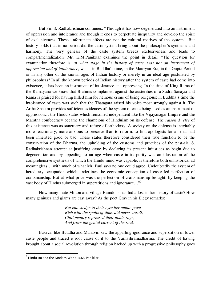But Sir, S. Radhakrishnan continues: "Through it has now degenerated into an instrument of oppression and intolerance and though it ends to perpetuate inequality and develop the spirit of exclusiveness. These unfortunate effects are not the cultural motives of the system". But history holds that in no period did the caste system bring about the philosopher's synthesis and harmony. The very genesis of the caste system breeds exclusiveness and leads to compartmentalization. Mr. K.M.Panikkar examines the point in detail: "The question for examination therefore is, *at what stage in the history of caste, was not an instrument of oppression and of intolerance*, was it in Buddha's time, in the Mauryan Era, in the Gupta Period or in any other of the known ages of Indian history or merely in an ideal age postulated by philosophers? In all the known periods of Indian history after the system of caste had come into existence, it has been an instrument of intolerance and oppressing. In the time of King Rama of the Ramayana we know that Brahmis complained against the austerities of a Sudra Sanaysi and Rama is praised for having killed him for heinous crime of being religious: in Buddha's time the intolerance of caste was such that the Thatagata raised his voice most strongly against it. The Artha-Shastra provides sufficient evidences of the system of caste being used as an instrument of oppression… the Hindu states which remained independent like the Vijayanagar Empire and the Maratha confederacy became the champions of Hinduism on its defense. The *raison d' etre* of this existence was as sanctuary and refuge of orthodoxy. A society on the defense is inevitably more reactionary, more anxious to preserve than to reform, to find apologists for all that had been inherited good or bad. These states therefore considered their true function to be the conservation of the Dharma, the upholding of the customs and practices of the past-sir. S. Radhakrishnan attempt at justifying caste by declaring its present injustices as begin due to degeneration and by appealing to an age when caste in its purity was an illustration of the comprehensive synthesis of which the Hindu mind was capable, is therefore both unhistorical ad meaningless… with much of what Mr. Paul says no one could agree. Undoubtedly the system of hereditary occupation which underlines the economic conception of caste led perfection of craftsmanship. But at what price was the perfection of craftsmanship brought; by keeping the vast body of Hindus submerged in superstitions and ignorance..."<sup>3</sup>

How many mute Milton and village Hamdons has India lost in her history of caste? How many geniuses and giants are cast away? As the poet Gray in his Elegy remarks:

> *But knowledge to their eyes her ample page, Rich with the spoils of time, did never unroll; Chill penury repressed their noble rage, And froze the genial current of the soul.*

Basava, like Buddha and Mahavir, saw the appalling ignorance and superstition of lower caste people and traced e root cause of it to the Varnashramadharma. The credit of having brought about a social revolution through religion backed up with a progressive philosophy goes

l

 $3$  Hinduism and the Modern World: K.M. Panikkar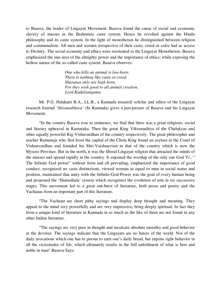to Basava, the leader of Lingayat Movement. Basava found the cause of social and economic slavery of masses in the Brahminic caste system. Hence he revolted against the Hindu philosophy and its caste system. In the light of monotheism he distinguished between religion and communalism. All men and women irrespective of their caste, creed or color had ac access to Divinity. The social economy and ethics were reoriented to the Lingayat Monotheism. Basava emphasized the one-ness of the almighty power and the importance of ethics; while exposing the hollow nature of the so-called caste system. Basava observes:

> *One who kills an animal is low-born; There is nothing like caste or creed. Sharanas only are high born, For they wish good to all animal creation, Lord Kudalsangama.*

Mr. P.G. Halakatti B.A., LL.B., a Kannada research scholar and editor of the Lingayat research Journal *'Shivanubhava'* (In Kannada) gives a pen-picture of Basava and his Lingayat Movement;

"In the country Basava rose to eminence, we find that there was a great religious, social and literary upheaval in Karnataka. Then the great King Vikramaditya of the Chalukyas and other equally powerful Kig Vishuvardhan of the country respectively. The great philosopher and teacher Ramanuja who fled from the capital of the Chola King found an asylum in the Court of Vishnuvardhan and founded his Shri-Vaishnavism in that of the country which is now the Mysore Province. But in the north, it was the liberal Lingayat religion that attracted the minds of the masses and spread rapidly in the country. It enjoined the worship of the only one God Vi., " The Infinite God power" without form and all pervading, emphasized the importance of good conduct, recognized no caste distinctions, viewed woman as equal to man in social status and position, maintained that unity with the Infinite-God-Power was the goal of every human being and proponed the 'Shatasthala' system which recognizes the evolution of min in six successive stages. This movement led to a great out-burst of literature, both prose and poetry and the Vachanas from an important part of this literature.

"The Vachana are short pithy sayings and display deep thought and meaning. They appeal to the mind very powerfully and are very impressive, bring deeply spiritual. In fact they form a unique kind of literature in Kannada in as much as the like of them are not found in any other Indian literature.

"The sayings are very pure in thought and inculcate absolute morality and good behavior in the devotee. The sayings indicate that the Lingayats are no haters of the world. Nor of the daily avocations which one has to pursue to earn one's daily bread, but enjoins right behavior in all the vicissitudes of life, which ultimately results in the full unfoldment of what is best and noble in man" Basava Says: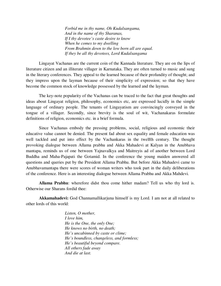*Forbid me in thy name, Oh Kudalsangama, And in the name of thy Sharanas, If I thy devotee's caste desire to know When he comes to my dwelling From Brahmin down to the low born all are equal. If they be all thy devotees, Lord Kudalsangama* 

Lingayat Vachanas are the current coin of the Kannada literature. They are on the lips of literature citizen and an illiterate villager in Karnataka. They are often turned to music and sung in the literary conferences. They appeal to the learned because of their profundity of thought; and they impress upon the layman because of their simplicity of expression; so that they have become the common stock of knowledge possessed by the learned and the layman.

The key-note popularity of the Vachanas can be traced to the fact that great thoughts and ideas about Lingayat religion, philosophy, economics etc, are expressed lucidly in the simple language of ordinary people. The tenants of Lingayatism are convincingly conveyed in the tongue of a villager. Secondly, since brevity is the soul of wit, Vachanakaras formulate definitions of religion, economics etc. in a brief formula.

Since Vachanas embody the pressing problems, social, religious and economic their educative value cannot be denied. The present fad about sex equality and female education was well tackled and put into effect by the Vachankaras in the twelfth century. The thought provoking dialogue between Allama prabhu and Akka Mahadevi at Kalyan in the Anubhava mantapa, reminds us of one between Yajnavalkya and Maitreyis ad of another between Lord Buddha and Maha-Pajapati the Gotamid. In the conference the young maiden answered all questions and queries put by the President Allama Prabhu. But before Akka Mahadevi came to Anubhavamantapa there were scores of woman writers who took part in the daily deliberations of the conference. Here is an interesting dialogue between Allama Prabhu and Akka Mahdevi.

**Allama Prabhu**: wherefore didst thou come hither madam? Tell us who thy lord is. Otherwise our Sharans fordid thee:

**Akkamahadevi:** God Channamallikarjuna himself is my Lord. I am not at all related to other lords of this world:

> *Listen, O mother, I love him, He is the One, the only One; He knows no birth, no death; He's uncabinned by caste or clime; He's boundless, changeless, and formless; He's beautiful beyond compare. All others fade away And die at last.*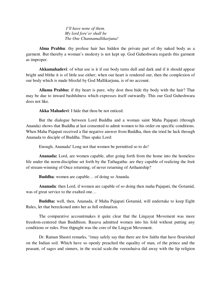*I'll have none of them. My lord fore'er shall be The One Channamallikarjuna!* 

**Alma Prabhu**: thy profuse hair has hidden the private part of thy naked body as a garment. But thereby a woman's modesty is not kept up. God Guheshwara regards this garment as improper.

**Akkamahadevi**: of what use is it if our body turns dull and dark and if it should appear bright and blithe it is of little use either; when our heart is rendered our, then the complexion of our body which is made blissful by God Mallikarjuna, is of no account.

**Allama Prabhu:** if thy heart is pure, why dost thou hide thy body with the hair? That may be due to inward bashfulness which expresses itself outwardly. This our God Guheshwara does not like.

**Akka Mahadevi**: I hide that thou be not enticed.

But the dialogue between Lord Buddha and a woman saint Maha Pajapati (through Ananda) shows that Buddha at last consented to admit women to his order on specific conditions. When Maha Pajapati received a flat negative answer from Buddha, then she tried he luck through Ananada to disciple of Buddha. Thus spake Lord:

Enough, Ananada! Long not that women be permitted so to do!

**Ananada:** Lord, are women capable, after going forth from the home into the homeless life under the norm-discipline set forth by the Tathagatha- are they capable of realizing the fruit of stream-winning of Once returning, of never returning of Arthantship?

**Buddha**: women are capable… of doing so Ananda.

**Ananada**: then Lord, if women are capable of so doing then maha Pajapati, the Gotamid, was of great service to the exalted one…

**Buddha:** well, then, Ananada, if Maha Pajapati Gotamid, will undertake to keep Eight Rules, let that bereckoned unto her as full ordination.

The comparative accountmakes it quite clear that the Lingayat Movement was more freedom-centered than Buddhism. Basava admitted women into his fold without putting any conditions or rules. Free thjpught was the core of the Lingyat Movement.

Dr. Raman Shastri remarks, "imay safely say that there are few faiths that have flourished on the Indian soil. Which have so openly preached the equality of man, of the prince and the peasant, of sages and sinners, in the social scale.the veerashaiva did away with the lip religion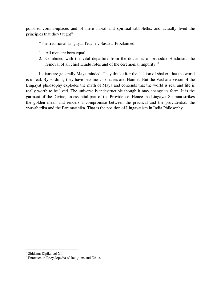polished commonplaces and of mere moral and spiritual sibboleths, and actually lived the principles that they taught"<sup>4</sup>

"The traditional Lingayat Teacher, Basava, Proclaimed:

- 1. All men are born equal….
- 2. Combined with the vital departure from the doctrines of orthodox Hinduism, the removal of all chief Hindu rotes and of the ceremonial impurity"<sup>5</sup>

Indians are generally Maya minded. They think after the fashion of shaker, that the world is unreal. By so doing they have become visionaries and Hamlet. But the Vachana vision of the Lingayat philosophy explodes the myth of Maya and contends that the world is real and life is really worth to be lived. The universe is indestructible though it may change its form. It is the garment of the Divine, an essential part of the Providence. Hence the Lingayat Sharana strikes the golden mean and renders a compromise between the practical and the providential, the vyavaharika and the Paramarthika. That is the position of Lingayatism in India Philosophy.

<sup>&</sup>lt;sup>4</sup><br><sup>5</sup> Entovaen in Encyclopedia of Religions and Ethics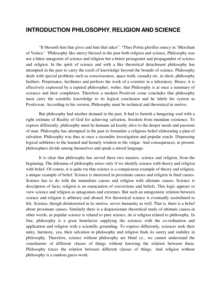# **INTRODUCTION PHILOSOPHY, RELIGION AND SCIENCE**

"It blesseth him that gives and him that takes". "Thus Portia glorifies mercy in 'Merchant of Venice.' 'Philosophy like mercy blessed in the past both religion and science, Philosophy was not a bitter antagonist of science and religion but a better protagonist and propagandist of science and religion. In the spirit of science and with a like theoretical detachment philosophy has attempted in the past to carry the torch of knowledge beyond the bounds of science. Philosophy deals with special problems such as consciousness, space truth, casualty etc. in short, philosophy furthers. Perpetuates, facilitates and perfects the work of a scientist in a laboratory. Hence, it is effectively expressed by a reputed philosopher, weber, that Philosophy is at once a summary of sciences and their completion. Therefore a modern Positivist come concludes that philosophy must carry the scientific knowledge to its logical conclusion and he labels his system as Positivism. According to his version, Philosophy must be technical and theoretical in motive.

But philosophy had another demand in the past. It had to furnish a hungering soul with a right estimate of Reality of God for achieving salvation, freedom from mundane existence. To express differently, philosophy must be humane ad keenly alive to the deeper needs and passions of man. Philosophy has attempted in the past to formulate a religious belief elaborating a plan of salvation. Philosophy was thus at once a recondite investigation and popular oracle. Dispensing logical subtleties to the learned and homely wisdom to the vulgar. And consequences, at present, philosophers divide among themselves and speak a mixed language.

It is clear that philosophy has served these two masters, science and religion, from the beginning. The dilemma of philosophy arises only if we identify science with theory and religion with belief. Of course, it is quite tru that science is a conspicuous example of theory and religion, a unique example of belief. Science is interested in proximate causes and religion in final causes. Science has to do with the immediate causes and religion with ultimate causes. Science is description of facts; religion is an enunciation of convictions and beliefs. This logic appears to view science and religion as antagonists and extremes. But such an antagonistic relation between science and religion is arbitrary and absurd. For theoretical science is eventually assimilated to life. Science, though disinterested in its motive, serves humanity as well. That is, there is a belief about proximate causes. Similarly there is a dispassionate theoretical study of ultimate causes.in other words, as popular science is related to pure science, do is religion related to philosophy. In fine, philosophy is a great benefactor supplying the sciences with the co-ordination and application and religion with a scientific grounding. To express differently, sciences seek their unity, harmony, yea, their salvation in philosophy and religion finds its surety and stability in philosophy. Therefore, science without philosophy are blind i.e., we cannot understand the constituents of different classes of things without knowing the relation between them. Philosophy traces the relation between different classes of things. And religion without philosophy is a random guess-work.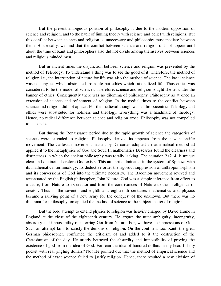But the present ambiguous position of philosophy is due to the modern opposition of science and religion, and to the habit of linking theory with science and belief with religions. But this conflict between science and religion is unnecessary and philosophy must mediate between them. Historically, we find that the conflict between science and religion did not appear until about the time of Kant and philosophers also did not divide among themselves between sciences and religious minded men.

But in ancient times the disjunction between science and religion was prevented by the method of Teleology. To understand a thing was to see the good of it. Therefore, the method of religion i.e., the interruption of nature for life was also the method of science. The basal science was not physics which abstracted from life but ethics which rationalized life. Thus ethics was considered to be the model of sciences. Therefore, science and religion sought shelter under the banner of ethics. Consequently there was no dilemma of philosophy. Philosophy as at once an extension of science and refinement of religion. In the medial times to the conflict between science and religion did not appear. For the medieval though was anthropocentric. Teleology and ethics were substituted for holiness and theology. Everything was a handmaid of theology. Hence, no radical difference between science and religion arose. Philosophy was not compelled to take sides.

But during the Renaissance period due to the rapid growth of science the categories of science were extended to religion. Philosophy derived its impetus from the new scientific movement. The Cartesian movement headed by Descartes adopted a mathematical method ad applied it to the metaphysics of God and Soul. In mathematics Descartes found the clearness and distinctness in which the ancient philosophy was totally lacking. The equation 2+2+4, is unique clear and distinct. Therefore God exists. This attempt culminated in the system of Spinoza with its mathematical terminology. Its deductive order the rigorous suppression of anthropomorphism and its conversions of God into the ultimate necessity. The Baconion movement revived and accentuated by the English philosopher, John Nature. God was a simple inference from effect to a cause, from Nature to its creator and from the contrivances of Nature to the intelligence of creator. Thus in the seventh and eighth and eighteenth centuries mathematics and physics became a rallying point of a new army for the conquest of the unknown. But there was no dilemma for philosophy too applied the method of science to the subject matter of religion.

But the bold attempt to extend physics to religion was heavily charged by David Hume in England at the close of the eighteenth century. He argues the utter ambiguity, incongruity, absurdity and impossibility of inferring Got from Nature. For, we have no impressions of God. Such an attempt fails to satisfy the demons of religion. On the continent too, Kant, the great German philosopher, confirmed the criticism of and added to it the destruction of the Cartesianism of the day. He utterly betrayed the absurdity and impossibility of proving the existence of god from the idea of God. For, can the idea of hundred dollars in my head fill my pocket with real jingling dollars? No! He pointed out that the method of empirical science and the method of exact science failed to justify religion. Hence, there resulted a new division of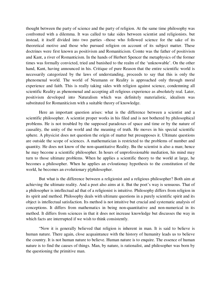thought between the party of science and the party of religion. At the same time philosophy was confronted with a dilemma. It was called to take sides between scientist and religionists. but instead, it itself divided into two parties –those who followed science for the sake of its theoretical motive and those who pursued religion on account of its subject matter. These doctrines were first known as positivism and Romaniticism. Comte was the father of positivism and Kant, a river of Romanticism. In the hands of Herbert Spencer the metaphysics of the former times was formally convicted, tried and banished to the realm of the 'unknowable'. On the other hand, Kant, having announced in his. Critique of pure Reason that the entire scientific world is necessarily categorized by the laws of understanding, proceeds to say that this is only the phenomenal world. The world of Neumann or Reality is approached only through moral experience and faith. This is really taking sides with religion against science, condemning all scientific Reality as phenomenal and accepting all religious experience as absolutely real. Later, positivism developed into Naturalism which was definitely materialistic, idealism was substituted for Romaniticism with a suitable theory of knowledge.

Here an important question arises: what is the difference between a scientist and a scientific philosopher. A scientist proper works in his filed and is not bothered by philosophical problems. He is not troubled by the supposed paradoxes of space and time or by the nature of causality, the unity of the world and the meaning of truth. He moves in his special scientific sphere. A physicist does not question the origin of matter but presupposes it. Ultimate questions are outside the scope of sciences. A mathematician is restricted to the problems of number and quantity. He does not know of the non-quantitative Reality. Bu the scientist is also a man; hence he may become a scientific philosopher. In hours of unprofessionable mediation, his mind may turn to those ultimate problems. When he applies a scientific theory to the world at large, he becomes a philosopher. When he applies an evloutionay hypothesis to the constitution of the world, he becomes an evolutionary p[philosopher.

But what is the difference between a religionist and a religious philosopher? Both aim at achieving the ultimate reality. And a poet also aims at it. But the poet's way is sensuous. That of a philosopher is intellectual ad that of a religionist is intuitive. Philosophy differs from religion in its spirit and method. Philosophy deals with ultimate questions in a purely scientific spirit and its object is intellectual satisfaction. Its method is not intuitive but crucial and systematic analysis of conceptions. It differs from mathematics in being non-quantitative and non-numerical in its method. It differs from sciences in that it does not increase knowledge but discusses the way in which facts are interrupted if we wish to think consistently.

"Now it is generally believed that religion is inherent in man. It is said to believe is human nature. There again, close acquaintance with the history of humanity leads us to believe the country. It is not human nature to believe. Human nature is to enquire. The essence of human nature is to find the causes of things. Man, by nature, is rationalist, and philosopher was born by the questioning the primitive man.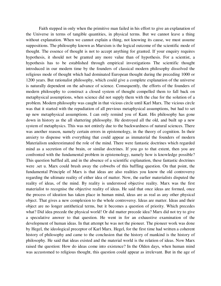Faith stepped in only when the primitive man failed in his effort to give an explanation of the Universe in terms of tangible quantities, in physical terms. But we cannot leave a thing without explanation. When we cannot explain a thing, not knowing its cause, we must assume suppositions. The philosophy known as Marxism is the logical outcome of the scientific mode of thought. The essence of thought is not to accept anything for granted. If your enquiry requires hypothesis, it should not be granted any more value than of hypothesis. For a scientist, a hypothesis has to be established through empirical investigations The scientific thought introduced in our modern time by the founders of classical modern philosophy dissolved the religious mode of thought which had dominated European thought during the preceding 1000 or 1200 years. But rationalist philosophy, which could give a complete explanation of the universe is naturally dependent on the advance of science. Consequently, the efforts of the founders of modern philosophy to construct a closed system of thought compelled them to fall back on metaphysical assumptions, when science did not supply them with the clue for the solution of a problem. Modern philosophy was caught in that vicious circle until Karl Marx. The vicious circle was that it started with the repudiation of all previous metaphysical assumptions, but had to set up new metaphysical assumptions. I can only remind you of Kant. His philosophy has gone down in history as the all shattering philosophy. He destroyed all the old, and built up a new system of metaphysics. This was not entirely due to the backwardness of natural sciences. There was another reason, namely certain errors in epistemology, in the theory of cognition. In their anxiety to dispense with everything that could appear as immaterial the founders of modern Materialism underestimated the role of the mind. There were fantastic doctrines which regarded mind as a secretion of the brain, or similar doctrines. If you go to that extent, then you are confronted with the fundamental problem in epistemology, namely how is knowledge possible? This question baffled all, and in the absence of a scientific explanation, these fantastic doctrines were .set u. Marx could brush away the cobwebs of this baffling question. On that point, the fundamental Principle of Marx is that ideas are also realities you know the old controversy regarding the ultimate reality of either idea of matter. Now, the earlier materialists disputed the reality of ideas, of the mind. By reality is understood objective reality. Marx was the first materialist to recognise the objective reality of ideas. He said that once ideas are formed, once the process of ideation has taken place in human mind, ideas are as real as any other physical object. That gives a new complexion to the whole controversy. Ideas are matter. Ideas and their object are no longer antithetical terms, but it becomes a question of priority. Which precedes what? Did idea precede the physical world! Or did matter precede idea? Marx did not try to give a speculative answer to that question. He went in for an exhaustive examination of the development of human ideas. In that attempt he was not the pioneer. The pioneer work was done by Hegel, the ideological preceptor of Karl Marx. Hegel, for the first time had written a coherent history of philosophy and came to the conclusion that the history of mankind is the history of philosophy. He said that ideas existed and the material world is the relation of ideas. Now Marx raised the question: How do ideas come into existence? In the Olden days, when human mind was accustomed to religious thought, this question could appear as irrelevant. But in the age of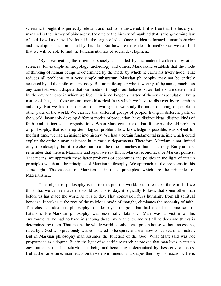scientific thought it is perfectly relevant and had to be answered. If it is true that the history of mankind is the history of philosophy, the clue to the history of mankind that is the governing law of social evolution, will be found in the origin of idea. Once an idea is formed human behavior and development is dominated by this idea. But how are these ideas formed? Once we can find that we will be able to find the fundamental law of social development.

'By investigating the origin of society, and aided by the material collected by other sciences, for example anthropology, archeology and others, Marx could establish that the mode of thinking of human beings is determined by the mode by which he earns his lively hood. That reduces all problems to a very simple substratum. Marxian philosophy may not be entirely accepted by all the philosophers today. But no philosopher who is worthy of thç name, much less any scientist, would dispute that our mode of thought, our behaviors, our beliefs, are determined by the environments in which we live. This is no longer a matter of theory or speculation, but a matter of fact, and these are not mere historical facts which we have to discover by research in antiquity. But we find them before our own eyes if we study the mode of living of people in other parts of the world. We can see that different groups of people, living in different parts of the world, invariably develop different modes of production, have distinct ideas, distinct kinds of faiths and distinct social organisations. When Marx could make that discovery, the old problem of philosophy, that is the epistemological problem, how knowledge is possible, was solved for the first time, we had an insight into history. We had a certain fundamental principle which could explain the entire human existence in its various departments. Therefore, Marxism is not limited only to philosophy, but it stretches out to all the other branches of human activity. But you must remember that there is Marxism, and again we say this is Marxist economics, or Marxist politics. That means, we approach these latter problems of economics and politics in the light of certain principles which are the principles of Marxian philosophy. We approach all the problems in this same light. The essence of Marxism is in those principles, which are the principles of Materialism....

"The object of philosophy is not to interpret the world, but to re-make the world. If we think that we can re-make the world as it is to-day, it logically follows that some other man before us has made the world as it is to day. That conclusion frees humanity from all spiritual bondage. It strikes at the root of the religious mode of thought, eliminates the necessity of faith. The classical idealistic philosophy has destroyed religion, but had ended in some sort of Fatalism. Pre-Marxian philosophy was essentially fatalistic. Man was a victim of his environments; he had no hand in shaping these environments, and yet all he does and thinks is determined by them. That means the whole world is only a vast prison house without an escape, ruled by a God who previously was considered to be spirit, and was now conceived of as matter. But in Marxian philosophy man assumes the function of the God. What Marx said was not propounded as a dogma. But in the light of scientific research he proved that man lives in certain environments, that his behavior, his being and becoming is determined by these environments. But at the same time, man reacts on those environments and shapes them by his reactions. He is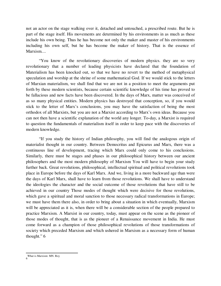not an actor on the stage walking over it, detached and untouched, a prescribed route. But he is part of the stage itself. His movements are determined by his environments in as much as these include his own being. Thus he has become not only the maker and master of his environments including his own self, but he has become the maker of history. That is the essence of Marxism....

"You know of the revolutionary discoveries of modern physics. they are so very revolutionary that a number of leading physicists have declared that the foundation of Materialism has been knocked out, so that we have no revert to the method of metaphysical speculation and worship at the shrine of some mathematical God. If we would stick to the letters of Marxian materialism, we shall find that we are not in a position to meet the arguments put forth by these modern scientists, because certain scientific knowledge of his time has proved to be fallacious and new facts have been discovered. In the days of Marx, matter was conceived of as so many physical entities. Modern physics has destroyed that conception, so, if you would stick to the letter of Marx's conclusions, you may have the satisfaction of being the most orthodox of all Marxists, but you are not a Marxist according to Marx's own ideas. Because you can not then have a scientific explanation of the world any longer. To-day, a Marxist is required to question the fundamentals of materialism itself in order to keep pace with the discoveries of modern knowledge.

"If you study the history of Indian philosophy, you will find the analogous origin of materialist thought in our country. Between Democritus and Epicurus and Marx, there was a continuous line of development, tracing which Marx could only come to his conclusions. Similarly, there must be stages and phases in our philosophical history between our ancient philosophers and the most modern philosophy of Marxism You will have to begin your study further back. Great revolutions, philosophical, intellectual spiritual and political revolutions took place in Europe before the days of Karl Marx. And we, living in a more backward age than were the days of Karl Marx, shall have to learn from those revolutions. We shall have to understand the ideologies the character and the social outcome of those revolutions that have still to be achieved in our country Those modes of thought which were decisive for those revolutions, which gave a spiritual and moral sanction to those necessary radical transformations in Europe; we must have them there also, in order to bring about a situation in which eventually, Marxism will be appreciated as it is, when there will be a considerable section of the people prepared to practice Marxism. A Marxist in our country, today, must appear on the scene as the pioneer of those modes of thought, that is as the pioneer of a Renaissance movement in India. He must come forward as a champion of those philosophical revolutions of those transformations of society which preceded Marxism and which ushered in Marxism as a necessary form of human thought." 6

l 6 What is Marxism: MN. Roy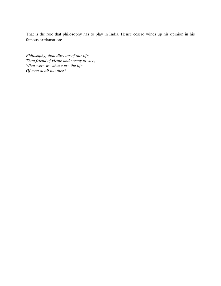That is the role that philosophy has to play in India. Hence cesero winds up his opinion in his famous exclamation:

*Philosophy, thou director of our life, Thou friend of virtue and enemy to vice, What were we what were the life Of man at all but thee?*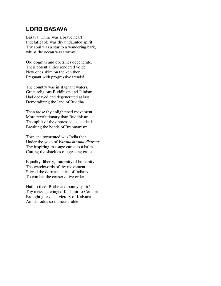# **LORD BASAVA**

Basava: Thine was a brave heart! Indefatigable was thy undaunted spirit: Thy soul was a star to a wandering bark, whilst the ocean was stormy!

Old dogmas and doctrines degenerate, Their potentialities rendered void; New ones skim on the ken then Pregnant with progressive trends!

The country was in stagnant waters, Great religions Buddhism and Jainism, Had decayed and degenerated at last Demoralizing the land of Buddha.

Then arose thy enlightened movement More revolutionary than Buddhism: The uplift of the oppressed as its ideal Breaking the bonds of Brahmanism.

Torn and tormented was India then Under the yoke of *Varanashrama dharma!*  Thy inspiring message came as a balm Cutting the shackles of age-long caste.

Equality, liberty, fraternity of humanity; The watchwords of thy movement Stirred the dormant spirit of Indians To combat the conservative order.

Hail to thee! Blithe and bonny spirit! Thy message winged Kashmir to Comorin Brought glory and victory of Kalyana Amidst odds so immeasurable!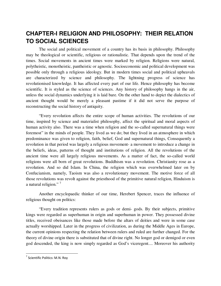# **CHAPTER-I RELIGION AND PHILOSOPHY: THEIR RELATION TO SOCIAL SCIENCES**

The social and political movement of a country has its basis in philosophy. Philosophy may be theological or scientific, religious or rationalistic. That depends upon the trend of the times. Social movements in ancient times were marked by religion. Religions were natural, polytheistic, monotheistic, pantheistic or agnostic. Socioeconomic and political development was possible only through a religious ideology. But in modern times social and political upheavals are characterized by science and philosophy. The lightning progress of science has revolutionised knowledge. It has affected every part of our life. Hence philosophy has become scientific. It is styled as the science of sciences. Any history of philosophy hangs in the air, unless the social dynamics underlying it is laid bare. On the other hand to depict the dialectics of ancient thought would be merely a pleasant pastime if it did not serve the purpose of reconstructing the social history of antiquity.

"Every revolution affects the entire scope of human activities. The revolutions of our time, inspired by science and materialist philosophy, affect the spiritual and moral aspects of human activity also. There was a time when religion and the so-called supernatural things were foremost" in the minds of people. They lived as we do; but they lived in an atmosphere in which predominance was given to religion, faith, belief, God and supernatural things, Consequently a revolution in that period was largely a religious movement- a movement to introduce a change in the beliefs, ideas, patterns of thought and institutions of religion. All the revolutions of the ancient time were all largely religious movements. As a matter of fact, the so-called world religions were all born of great revolutions. Buddhism was a revolution. Christianity rose as a revolution. And so did Islam. In China, the religion which was overwhelmed later on by Confucianism, namely, Taoism was also a revolutionary movement. The motive force of all those revolutions was revolt against the priesthood of the primitive natural religion, Hinduism is a natural religion."

Another encyclopaedic thinker of our time, Herebert Spencer, traces the influence of religious thought on politics:

"Every tradition represents rulers as gods or demi- gods. By their subjects, primitive kings were regarded as superhuman in origin and superhuman in power. They possessed divine titles, received obeisances like those made before the altars of deities and were in some case actually worshipped. Later in the progress of civilization, as during the Middle Ages in Europe, the current opinions respecting the relation between rulers and ruled are further changed. For the theory of divine origin there is substituted that of divine right. No longer god or demigod or even god descended, the king is now simply regarded as God's viceregent.... Moreover his authority

l

<sup>&</sup>lt;sup>7</sup> Scientific Politics: M.N. Roy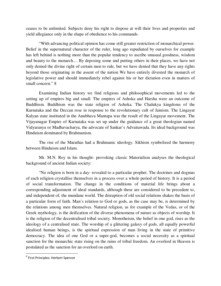ceases to be unlimited. Subjects deny his right to dispose at will their lives and properties and yield allegiance only in the shape of obedience to his commands.

"With advancing political opinion has come still greater restriction of monarchical power. Belief in the supernatural character of the ruler, long ago repudiated by ourselves for example has left behind is nothing more than the popular tendency to ascribe unusual goodness, wisdom and beauty to the monarch.... By deposing some and putting others in their places, we have not only denied the divine right of certain men to rule, but we have denied that they have any rights beyond those originating in the assent of the nation We have entirely divested the monarch of legislative power and should immediately rebel against his or her dictation even in matters of small concern." 8

Examining Indian history we find religious and philosophical movements led to the setting up of empires big and small. The empires of Ashoka and Harsha were an outcome of Buddhism. Buddhism was the state religion of Ashoka. The Chalukya kingdoms of the Karnataka and the Deccan rose in response to the revolutionary cult of Jainism. The Lingayat Kalyan state instituted in the Anubhava Mantapa was the result of the Lingayat movement. The Vijayanagar Empire of Karnataka was set up under the guidance of a great theologian named Vidyaranya or Madhavacharya, the advocate of Sankar's Advaitawada. Its ideal background was Hinduism dominated by Brahmanism.

The rise of the Marathas had a Brahmanic ideology. Sikhism symbolized the harmony between Hinduism and Islam.

Mr. M.N. Roy in his thought- provoking classic Materialism analyses the theological background of ancient Indian society:

"No religion is born in a day- revealed to a particular prophet. The doctrines and dogmas of each religion crystallise themselves in a process over a whole period of history. It is a period of social transformation. The change in the conditions of material life brings about a corresponding adjustment of ideal standards, although these are considered to be precedent to, and independent of, the mundane world. The disruption of old social relations shakes the basis of a particular form of faith. Man's relation to God or gods, as the case may be, is determined by the relations among men themselves. Natural religion, as for example of the Vedas, or of the Greek mythology, is the deification of the diverse phenomena of nature as objects of worship. It is the religion of the decentralised tribal society. Monotheism, the belief in one god, rises as the ideology of a centralised state. The worship of a glittering galaxy of gods, all equally powerful idealised human beings, is the spiritual expression of man living in the state of primitive democracy. The idea of one God or a super-god, becomes a social necessity as a spiritual sanction for the monarchic state rising on the ruins of tribal freedom. An overlord in Heaven is postulated as the sanction for an overlord on earth.

l

<sup>&</sup>lt;sup>8</sup> First Principles: Herbert Spencer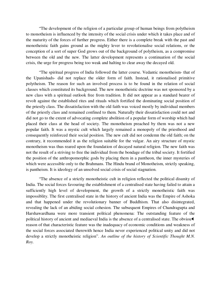"The development of the religion of a particular group of human beings from polytheism to monotheism is influenced by the intensity of the social crisis under which it takes place and of the maturity of the forces of further progress. Either there is a complete break with the past and monotheistic faith gains ground as the mighty lever to revolutionalise social relations, or the conception of a sort of super God grows out of the background of polytheism, as a compromise between the old and the new. The latter development represents a continuation of the social crisis, the urge for progress being too weak and halting to clear away the decayed old.

"The spiritual progress of India followed the latter course. Vedantic monotheism- that of the Upanishads- did not replace the older form of faith. Instead, it rationalised primitive polytheism. The reason for such an involved process is to be found in the relation of social classes which constituted its background. The new monotheistic doctrine was not sponsored by a new class with a spiritual outlook free from tradition. It did not appear as a standard bearer of revolt against the established rites and rituals which fortified the dominating social position of the priestly class. The dissatisfaction with the old faith was voiced mostly by individual members of the priestly class and remained confined to them. Naturally their dissatisfaction could not and did not go to the extent of advocating complete abolition of a popular form of worship which had placed their class at the head of society. The monotheism preached by them was not a new popular faith. It was a mystic cult which largely remained a monopoly of the priesthood and consequently reinforced their social position. The new cult did not condemn the old faith; on the contrary, it recommended it as the religion suitable for the vulgar. An airy structure of mystic monotheism was thus reared upon the foundation of decayed natural religion. The new faith was not the result of a striving to free the individual from the bondage of the tribal society. It fortified the position of the anthropomorphic gods by placing them in a pantheon, the inner mysteries of which were accessible only to the Brahmans. The Hindu brand of Monotheism, strictly speaking, is pantheism. It is ideology of an unsolved social crisis of social stagnation.

"The absence of a strictly monotheistic cult in religion reflected the political disunity of India. The social forces favouring the establishment of a centralised state having failed to attain a sufficiently high level of development, the growth of a strictly monotheistic faith was impossiblity. The first centralised state in the history of ancient India was the Empire of Ashoka and that happened under the revolutionary banner of Buddhism. That also disintegrated, revealing the lack of an abiding social cohesion. The subsequent Empires of Chandragupta and Harshawardhana were more transient political phenomena: The outstanding feature of the political history of ancient and mediaeval India is the absence of a centralised state. The obviou reason of that characteristic feature was the inadequacy of economic conditions and weakness of the social forces associated therewith hence India never experienced political unity and did not develop a strictly monotheistic religion". *An outline of the history of Scientific Thought M.N. Roy.*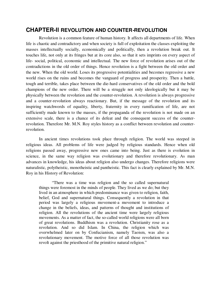## **CHAPTER-Il REVOLUTION AND COUNTER-REVOLUTION**

Revolution is a common feature of human history. It affects all departments of life. When life is chaotic and contradictory and when society is full of exploitation the classes exploiting the masses intellectually socially, economically and politically, then a revolution break out. It touches life, not only at its fringes but at its core also, so that it sets imprints on every aspect of life- social, political, economic and intellectual. The new force of revolution arises out of the contradictions in the old order of things. Hence revolution is a fight between the old order and the new. When the old world. Loses its progressive potentialities and becomes regressive a new world rises on the ruins and becomes the vanguard of progress and prosperity. Then a battle, tough and terrible, takes place between the die-hard conservatives of the old order and the bold champions of the new order. There will be a struggle not only ideologically but it may be physically between the revolution and the counter-revolution. A revolution is always progressive and a counter-revolution always reactionary. But, if the message of the revolution and its inspiring watchwords of equality, liberty, fraternity in every ramification of life, are not sufficiently made known to the masses, if the propaganda of the revolution is not made on an extensive scale, there is a chance of its defeat and the consequent success of the counterrevolution. Therefore Mr. M.N. Roy styles history as a conflict between revolution and counterrevolution.

In ancient times revolutions took place through religion. The world was steeped in religious ideas. All problems of life were judged by religious standards. Hence when old religions passed away, progressive new ones came into being. Just as there is evolution in science, in the same way religion was evolutionary and therefore revolutionary. As man advances in knowledge, his ideas about religion also undergo changes. Therefore religions were naturalistic, polytheistic, monotheistic and pantheistic. This fact is clearly explained by Mr. M.N. Roy in his History of Revolution:

"There was a time was religion and the so called supernatural things were foremost in the minds of people. They lived as we do; but they lived in an atmosphere in which predominance was given to religion, faith, belief, God and supernatural things. Consequently a revolution in that period was largely a religious movement-a movement to introduce a change in the beliefs, ideas, and patterns of thought and institutions of religion. All the revolutions of the ancient time were largely religious movements. As a matter of fact, the so-called world religions were all born of great revolutions. Buddhism was a revolution. Christianity rose as a revolution. And so did Islam. In China, the religion which was overwhelmed later on by Confucianism, namely Taoism, was also a revolutionary movement. The motive force of all those revolution was revolt against the priesthood of the primitive natural religion."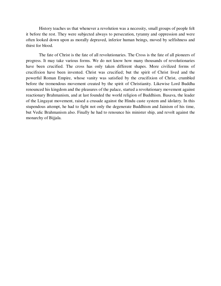History teaches us that whenever a revolution was a necessity, small groups of people felt it before the rest. They were subjected always to persecution, tyranny and oppression and were often looked down upon as morally depraved, inferior human beings, moved by selfishness and thirst for blood.

The fate of Christ is the fate of all revolutionaries. The Cross is the fate of all pioneers of progress. It may take various forms. We do not know how many thousands of revolutionaries have been crucified. The cross has only taken different shapes. More civilized forms of crucifixion have been invented. Christ was crucified; but the spirit of Christ lived and the powerful Roman Empire, whose vanity was satisfied by the crucifixion of Christ, crumbled before the tremendous movement created by the spirit of Christianity. Likewise Lord Buddha renounced his kingdom and the pleasures of the palace, started a revolutionary movement against reactionary Brahmanism, and at last founded the world religion of Buddhism. Basava, the leader of the Lingayat movement, raised a crusade against the Hindu caste system and idolatry. In this stupendous attempt, he had to fight not only the degenerate Buddhism and Jainism of his time, but Vedic Brahmanism also. Finally he had to renounce his minister ship, and revolt against the monarchy of Bijjala.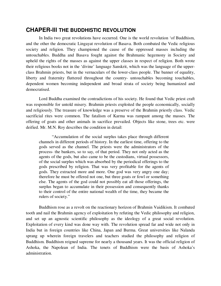#### **CHAPER-Ill THE BUDDHISTIC REVOLUTION**

In India two great revolutions have occurred. One is the world revolution 'of Buddhism, and the other the democratic Lingayat revolution of Basava. Both combated the Vedic religious society and religion. They championed the cause of the oppressed masses including the untouchables. Buddha and Basava fought against the Brahmanic hegemony in Society and upheld the rights of the masses as against the upper classes in respect of religion. Both wrote their religious books not in the 'divine' language Sanskrit, which was the language of the upperclass Brahmin priests, but in the vernaculars of the lower-class people. The banner of equality, liberty and fraternity fluttered throughout the country- untouchables becoming touchables, dependent women becoming independent and broad strata of society being humanized and democratised.

Lord Buddha examined the contradictions of his society. He found that Vedic priest craft was responsible for untold misery. Brahmin priests exploited the people economically, socially and religiously. The treasure of knowledge was a preserve of the Brahmin priestly class. Vedic sacrificial rites were common. The fatalism of Karma was rampant among the masses. The offering of goats and other animals in sacrifice prevailed. Objects like stone, trees etc. were deified. Mr. M.N. Roy describes the condition in detail:

"Accumulation of the social surplus takes place through different channels in different periods of history. In the earliest time, offering to the gods served as the channel. The priests were the administrators of the process- the bankers, so to say, of that period. They not only acted as the agents of the gods, but also came to be the custodians, virtual possessors, of the social surplus which was absorbed by the periodical offerings to the gods prescribed by religion. That was very profitable for the agents of gods. They extracted more and more. One god was very angry one day; therefore he must be offered not one, but three goats or fowl or something else. The agents of the god could not possibly eat all those offerings, the surplus began to accumulate in their possession and consequently thanks to their control of the entire national wealth of the time, they became the rulers of society."

Buddhism rose as a revolt on the reactionary horizon of Brahmin Vaidikism. It combated tooth and nail the Brahmin agency of exploitation by refuting the Vedic philosophy and religion, and set up an agnostic scientific philosophy as the ideology of a great social revolution. Exploitation of every kind was done way with. The revolution spread far and wide not only in India but in foreign countries like China, Japan and Burma. Great universities like Nalanda sprang up wherein foreign travelers and teachers studied the philosophy and religion of Buddhism. Buddhism reigned supreme for nearly a thousand years. It was the official religion of Ashoka, the Napolean of India. The tenets of Buddhism were the basis of Ashoka's administration.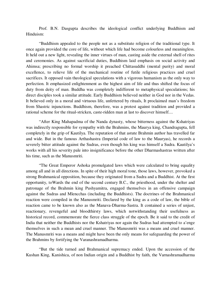Prof. B.N. Dasgupta describes the ideological conflict underlying Buddhism and Hinduism:

"Buddhism appealed to the people not as a substitute religion of the traditional type. It once again provided the core of life, without which life had become colourless and meaningless. It held out a new light, revealing the inner virtues of man, casting aside the external shell of rites and ceremonies. As against sacrificial duties, Buddhism laid emphasis on social activity and Ahimsa; prescribing no formal worship it preached Chittasuddhi (mental purity) and moral excellence, to relieve life of the mechanical routine of futile religious practices and cruel sacrifices. It opposed vain theological speculations with a vigorous humanism as the only way to perfection. It emphasized enlightenment as the highest aim of life and thus shifted the focus of duty from deity of man. Buddha was completely indifferent to metaphysical speculations; his direct disciples took a similar attitude. Early Buddhism believed neither in God nor in the Vedas. It believed only in a moral and virtuous life, unfettered by rituals, It proclaimed man's freedom from Shastric injunctions. Buddhism, therefore, was a protest against tradition and provided a rational scheme for the ritual-stricken, caste-ridden man at last to discover himself....

"After King Mahapadma of the Nanda dynasty, whose bitterness against the Kshatriyas was indirectly responsible for sympathy with the Brahmins, the Maurya king, Chandragupta, fell completely in the grip of Kautilya. The reputation of that astute Brahmin author has travelled far and wide. But in the famous Arthashastra (Imperial code of law to the Mauryas), he records a severely bitter attitude against the Sudras, even though his king was himself a Sudra. Kautilya's works with all his severity pale into insignificance before the other Dharmashastras written after his time, such as the Manusmriti.

"The Great Emperor Ashoka promulgated laws which were calculated to bring equality among all and in all directions. In spite of their high moral tone, those laws, however, provoked a strong Brahmanical opposition, because they originated from a Sudra and a Buddhist. At the first opportunity, toWards the end of the second century B.C., the priesthood, under the shelter and patronage of the Brahmin king Pushyamitra, engaged themselves in an offensive campaign against the Sudras and Mlencchas (including the Buddhists). The doctrines of the Brahmanical reaction were compiled in the Manusmriti. Declared by the king as a code of law, the bible of reaction came to be known also as the Manava-Dharma-Sastra. It contained a series of unjust, reactionary, revengeful and bloodthirsty laws, which notwithstanding their usefulness as historical record, commemorate the fierce class struggle of the epoch. Be it said to the credit of India that neither the Buddhists nor the Kshatriyas nor again the Sudras had attempted to a'enge themselves in such a mean and cruel manner. The Manusmriti was a means and cruel manner. The Manusmriti was a means and might have been the only means for safeguarding the power of the Brahmins by fortifying the Varanashramadharma.

"But the tide turned and Brahmanical supremacy ended. Upon the accession of the Kushan King, Kanishica, of non Indian origin and a Buddhist by faith, the Varnashramadharma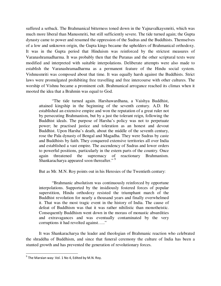suffered a setback. The Brahmanical bitterness toned down in the Yajnavalkaysmriti, which was much more liberal than Manusmriti, but still sufficiently severe. The tide turned again; the Gupta dynasty came to power and resumed the oppression of the Sudras and the Buddhists. Themselves of a low and unknown origin, the Gupta kings became the upholders of Brahmanical orthodoxy. It was in the Gupta period that Hinduism was reinforced by the strictest measures of Varanashramadharma. It was probably then that the Puranas and the other scriptural texts were modified and interpreted with suitable interpolations. Deliberate attempts were also made to establish the Varanashramadharma as a permanent feature of the Hindu social system. Vishnusmriti was composed about that time. It was equally harsh against the Buddhists. Strict laws were promulgated prohibiting free travelling and free intercourse with other cultures. The worship of Vishnu became a prominent cult. Brahmanical arrogance reached its climax when it mooted the idea that a Brahmin was equal to God.

"The tide turned again. Harshawardhana, a Vaishya Buddhist, attained kingship in the beginning of the seventh century. A.D. He established an extensive empire and won the reputation of a great ruler not by persecuting Brahmanism, but by a just the tolerant reign, following the Buddhist ideals. The purpose of Harsha's policy was not to perpetuate power; he practised justice and toleration as an honest and devout Buddhist. Upon Harsha's death, about the middle of the seventh century, rose the Pala dynasty of Bengal and Magadha. They were Sudras by caste and Buddhists by faith. They conquered extensive territories all over India and established a vast empire. The ascendency of Sudras and lower orders to powerful positions, particularly in the estern parts of the country. Once again threatened the supremacy of reactionary Brahmanism. Shankaracharya appeared soon thereafter."<sup>9</sup>

But as Mr. M.N. Roy points out in his Heresies of the Twentieth century:

"Brahmanic absolutism was continuously reinforced by opportune interpolations. Supported by the insidiously fostered forces of popular superstition, Hindu orthodoxy resisted the triumphant march of the Buddhist revolution for nearly a thousand years and finally overwhelmed it. That was the most tragic event in the history of India. The cause of defeat of Buddhism was that it was rather nihilistic than monotheistic. Consequently Buddhism went down in the morass of monastic absurdities and extravagances and was eventually contaminated by the very corruptions it had revolted against….."

It was Shankaracharya the leader and theologian of Brahmanic reaction who celebrated the shraddha of Buddhism, and since that funeral ceremony the culture of India has been a stunted growth and has prevented the generation of revolutionary forces.

l

 $^9$  The Marxian way: Vol. 1 No 4, Edited by M.N. Roy.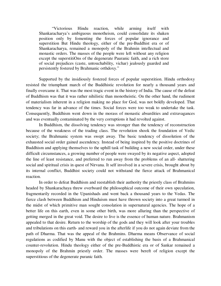"Victorious Hindu reaction, while arming itself with Shankaracharya's ambiguous monotheism, could consolidate its shaken position only by fomenting the forces of popular ignorance and superstition But Hindu theology, either of the pre-Buddhist era or of Shankaracharya, remained a monopoly of the Brahmin intellectual and monastic orders. The masses of the people were left without any religion except the superstitiOns of the degenerate Pauranic faith, and a rich store of social prejudices (caste, untouchability, vichar) jealously guarded and persistently fostered by Brahmanic orthdoxy."

Supported by the insidiously fostered forces of popular superstition. Hindu orthodoxy resisted the triumphant march of the Buddhistic revolution for nearly a thousand years and finally overcame it. That was the most tragic event in the history of India. The cause of the defeat of Buddhism was that it was rather nihilistic than monotheistic. On the other hand, the rudiment of materialism inherent in a religion making no place for God, was not boldly developed. That tendency was far in advance of the times. Social forces were too weak to undertake the task. Consequently, Buddhism went down in the morass of monastic absurdities and extravagances and was eventually contaminated by the very corruptions it had revolted against.

In Buddhism, the dissolving tendency was stronger than the tendency of reconstruction because of the weakness of the trading class. The revolution shook the foundation of Vedic society; the Brahmanic system was swept away. The basic tendency of dissolution of the exhausted social order gained ascendency. Instead of being inspired by the positive doctrines of Buddhism and applying themselves to the uphill task of building a new social order, under these difficult circumstances, a growing number of people were swayed by its negative aspect, adopted the line of least resistance, and preferred to run away from the problems of an all- shattering social and spiritual crisis in quest of Nirvana. It self involved in a severe crisis, brought about by its internal conflict, Buddhist society could not withstand the fierce attack of Brahmanical reaction.

In order to defeat Buddhism and reestablish their authority the priestly class of Brahmins headed by Shankarachaya threw overboard the philosophical outcome of their own speculation, fragmentarily recorded in the Upanishads and went back a thousand years to the Vedas. The fierce clash between Buddhism and Hinduism must have thrown society into a great turmoil in the midst of which primitive man sought consolation in supernatural agencies. The hope of a better life on this earth, even in some other birth, was more alluring than the perspective of getting merged in the great void. The desire to live is the essence of human nature. Brahmanism appealed to that desire. Return to the worship of the gods and they will look after your troubles and tribulations on this earth- and reward you in the afterlife if you do not again deviate from the path of Dharma. That was the appeal of the Brahmins. Dharma means Observance of social regulations as codified by Manu with the object of establishing the basis of a Brahmanical counter-revolution. Hindu theology either of the pre-Buddhistic era or of Sankar remained a monopoly of the Brahmin priestly order. The masses were bereft of religion except the superstitious of the degenerate puranic faith.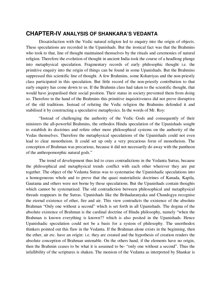#### **CHAPTER-IV ANALYSIS OF SHANKARA'S VEDANTA**

Dissatisfaction with the Vedic natural religion led to enquiry into the origin of objects. These speculations are recorded in the Upanishads. But the ironical fact was that the Brahmins who took to that, line of thought maintained themselves by the rituals and ceremonies of natural religion. Therefore the evolution of thought in ancient India took the course of a headlong plunge into metaphysical speculation. Fragmentary records of early philosophic thought i.e. the primitive enquiry into the origin of things can be found in some Upanishads. But the Brahmins suppressed this scientific line of thought. A few Brahmins, some Kshatriyas and the non-priestly class participated in this speculation. But little record of the non-priestly contribution to that early enquiry has come down to us. If the Brahmin class had taken to the scientific thought, that would have jeopardised their social position. Their status in society prevented them from doing so. Therefore in the hand of the Brahmins this primitive inquisitiveness did not prove disruptive of the old traditions. Instead of refuting the Vedic religion the Brahmins defended it and stabilised it by constructing a speculative metaphysics. In the words of Mr. Roy:

"Instead of challenging the authority of the Vedic Gods and consequently of their ministers the all-powerful Brahmins, the orthodox Hindu speculation of the Upanishads sought to establish its doctrines and refute other more philosophical systems on the authority of the Vedas themselves. Therefore the metaphysical speculations of the Upanishads could not even lead to clear monotheism. It could set up only a very precarious form of monotheism. The conception of Brahman was precarious, because it did not necessarily do away with the pantheon of the anthropomorphic natural gods."

The trend of development thus led to crass contradictions in the Vedanta Sutras, because the philosophical and metaphysical trends conflict with each other wherever they are put together. The object of the Vedanta Sutras was to systematise the Upanishadic speculations into a homogeneous whole and to prove that the quasi materialistic doctrines of Kanada, Kapila, Gautama and others were not borne by those speculations. But the Upanishads contain thoughts which cannot be systematised. The old contradiction between philosophical and metaphysical threads reappears in the Sutras. Upanishads like the Brihadaranyaka and Chandogya recognise the eternal existence of ether, fire and air. This view contradicts the existence of the absolute Brahman "Only one without a second" which is set forth in all Upanishads. The dogma of the absolute existence of Brahman is the cardinal doctrine of Hindu philosophy, namely "when the Brahman is known everything is known?? which is also posited in the Upanishads. Hence Upanishadic speculation could not be a basis for a system of philosophy. The unorthodox thinkers pointed out this flaw in the Vedanta. If the Brahman alone exists in the beginning, then the ether, air etc. have an origin: i.e. they are created and the hypothesis of creation renders the absolute conception of Brahman untenable. On the others hand, if the elements have no origin, then the Brahmin ceases to be what it is assumed to be- "only one without a second". Thus the infallibility of the scriptures is shaken. The monism of the Vedanta as interpreted by Shankar is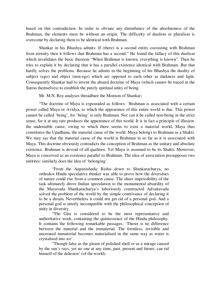based on this contradiction. In order to obviate any disturbance of the absoluteness of the Brahman, the elements must be without an origin. The difficulty of dualism or pluralism is overcome by declaring them to be identical with Brahman.

Shankar in his Bhashya admits: If (there) is a second entity coexisting with Brahman from eternity then it follows that Brahman has a second." He found the fallacy of this dualism which invalidates the basic theorem "When Brahman is known, everything is known". Then he tries to explain it by declaring that it has a parallel existence identical with Brahman. But that hardly solves the problems. Because he admits in the beginning of his Bhashya the duality of subject (ego) and object (non-ego) which are opposed to each other as darkness and light. Consequently Shankar had to invent the absurd doctrine of Maya (which cannot be traced in the Sutras themselves) to establish the purely spiritual unity of being.

Mr. M.N. Roy analyses threadbare the Monism of Shankar;

"The doctrine of Maya is expounded as follows: 'Brahman is associated with a certain power called Maya or Avidya, to which the appearance of this entire world is due. This power cannot be called 'being', for 'being' is only Brahman. Nor can it be called non-being in the strict sense, for it at any rate produces the appearance of this world. It is in fact a principle of illusion: the undeniable cause, owing to which there seems to exist a material world. Maya thus constitutes the Upadhana, the material cause of the world. Maya belongs to Brahman as a Shakti. We may say that the material cause of the world is Brahman in so far as it is associated with Maya. This doctrine obviously contradicts the conception of Brahman as the unitary and absolute existence. Brahman is devoid of all qualities. Yet Maya is assumed to be its Shakti. Moreover, Maya is conceived as an existence parallel to Brahman. The idea of association presupposes two entitites: similarly does the idea of 'belonging'.

"From the Aupanishadic Rishis down to Shankaracharya, no orthodox Hindu speculative thinker was able to prove how the diversities of nature could rise from a common cause. The sheer impossibility of the task ultimately drove Indian speculation to the monumental absurdity of the Mayavada Shankaracharya's laboriously constructed Advaitavada solved the problem of the world by the simple contrivance of declaring it to be a dream. Nevertheless it could not get rid of a personal god. And a personal god is utterly incompatible with the philosophical conception of unity in diversity.

"The Gita is considered to be the most representative and authoritative work, containing the quintessence of the Hindu philosophy. It contains the following remarkable passages; 'Therer is no difference between the material and the immaterial. The formless, invisible and uncreated immaterial becomes materialised in the same way as water is crystalised into ice'.

"Though false as the gleam of polished shell or as a mirage caused by the sun's rays, yet no one at any time, past, present and future, can rid himself of the delusion' (of the world).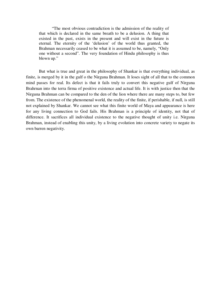"The most obvious contradiction is the admission of the reality of that which is declared in the same breath to be a delusion. A thing that existed in the past, exists in the present and will exist in the future is eternal. The eternity of the 'delusion' of the world thus granted, the Brahman necessarily ceased to be what it is assumed to be, namely, "Only one without a second". The very foundation of Hindu philosophy is thus blown up."

But what is true and great in the philosophy of Shankar is that everything individual, as finite, is merged by it in the gulf o the Nirguna Brahman. It loses sight of all that to the common mind passes for real. Its defect is that it fails truly to convert this negative gulf of Nirguna Brahrnan into the terra firma of positive existence and actual life. It is with justice then that the Nirguna Brahman can be compared to the den of the lion where there are many steps to, but few from. The existence of the phenomenal world, the reality of the finite, if perishable, if null, is still not explained by Shankar. We cannot see what this finite world of Maya and appearance is here for any living connection to God fails. His Brahman is a principle of identity, not that of difference. It sacrifices all individual existence to the negative thought of unity i.e. Nirguna Brahman, instead of enabling this unity, by a living evolution into concrete variety to negate its own barren negativity.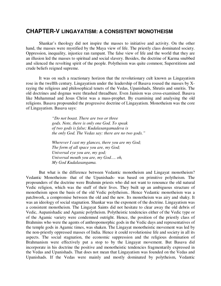#### **CHAPTER-V LINGAYATISM: A CONSISTENT MONOTHEISM**

Shankar's theology did not inspire the masses to initiative and activity. On the other hand, the masses were mystified by the Maya view of life. The priestly class dominated society. Oppression, inequality, injustice ran rampant. The false view of life and the world that they are an illusion led the masses to spiritual and social slavery. Besides, the doctrine of Karma snubbed and silenced the revolting spirit of the people. Polytheism was quite common; Superstitions and crude beliefs reigned supreme.

It was on such a reactionary horizon that the revolutionary cult known as Lingayatism rose in the twelfth century. Lingayatism under the leadership of Basava roused the masses by Xraying the religious and philosophical tenets of the Vedas, Upanishads, Shrutis and smritis. The old doctrines and dogmas were thrashed threadbare. Even Jainism was cross-examined. Basava like Muhammad and Jesus Christ was a mass-prophet. By examining and analysing the old religions. Basava propounded the progressive doctrine of Lingayatism. Monotheism was the core of Lingayatism. Basava says:

> *"Do not boast. There are two or three gods. Note, there is only one God. To speak of two gods is false; Kudalasangamadeva is the only God. The Vedas say: there are no two gods."*

*Wherever I cast my glances, there you are my God; The form of all space you are, my God; Universal eye you are, my god; Universal mouth you are, my God…. oh, My God Kudalasangama.* 

But what is the difference between Vedantic monotheism and Lingayat monotheism? Vedantic Monotheism- that of the Upanishads- was based on primitive polytheism. The propounders of the doctrine were Brahmin priests who did not want to renounce the old natural Vedic religion, which was the stuff of their lives. They built up an ambiguous structure of monotheism upon the basis of the old Vedic polytheism.. Hence Vedantic monotheism was a patchwork, a compromise between the old and the new. Its monotheism was airy and shaky. It was an ideology of social stagnation. Shankar was the exponent of the doctrine. Lingayatism was a consistent monotheism. The Lingayat Saints did not hesitate to clear away the old debris of Vedic, Aupanishadic and Agamic polytheism. Polytheistic tendencies either of the Vedic type or of the Agamic variety were condemned outright. Hence, the position of the priestly class of Brahmins who were the agents of anthropomorphic gods in the Vedic days and representatives of the temple gods in Agamic times, was shaken. The Lingayat monotheistic movement was led by the non-priestly oppressed masses of India. Hence it could revolutionise life and society in all its aspects. The social stagnation, the economic suppression and the religious domination of Brahmanism were effectively put a stop to by the Lingayat movement. But Basava did incorporate in his doctrine the positive and monotheistic tendencies fragmentarily expressed in the Vedas and Upanishads. That does not mean that Lingayatism was founded on the Vedas and Upanishads. If the Vedas were mainly and mostly dominated by polytheism, Vedantic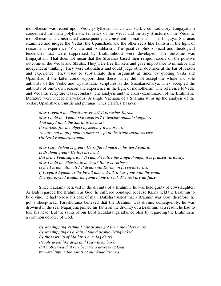monotheism was reared upon Vedic polytheism which was starkly contradictory. Lingayatism condemned the main polytheistic tendency of the Vedas and the airy structure of the Vedantic monotheism and constructed consequently a consistent monotheism. The Lingayat Sharanas examined and judged the Vedas, the Upanishads and the other sects like Jainism in the light of reason and experience (Vichara and Anubhava). The positive philosophical and theological tendencies that were suppressed by Brahminhood were developed. The outcome was Lingayatism. That does not mean that the Sharanas based their religion solely on the positive outcome of the Vedas and Shrutis. They were free thinkers and gave importance to initiative and independent thinking. They were rationalists and could judge other doctrines at the bar of reason and experience. They used to substantiate their argument at times by quoting Veda and Upanishad if the latter could support their thesis. They did not accept the whole and sole authority of the Vedic and Upanishadic scriptures as did Shankaracharya. They accepted the authority of one's own reason and experience in the light of monotheism. The reference toVedic and Vedantic scripture was secondary. The analysis and the cross- examination of the Brahmanic literature were indeed marvellous. A single Vachana of a Sharana sums up the analysis of the Vedas, Upanishads, Smritis and puranas. Thus clarifies Basava:

*May I regard the Shastra as great? It preaches Karma. May I hold the Veda to be superior? It teaches animal slaughter. And may I think the Smriti to be best? It searches for the object by keeping it before us. You are not at all found in these except in the triple social service, Oh Lord Kudalasangama.* 

*May I say Vishnu is great? He suffered much in his ten Avataras Is Brahma great? He lost his head. But is the Veda superior? It cannot realise the Linga thought it is praised variously. May I hold the Shastra to be best? But it is verbose. Is the Purana ultimate? It deals with Karma in previous births. If I regard Agama as the be-all and end-all, it has gone with the wind. Therefore, God Kudalasangama alone is real. The rest are all false.* 

Since Gautama believed in the divinity of a Brahmin, he was held guilty of cowslaughter. As Bali regarded the Brahmin as God, he suffered bondage, because Karna held the Brahmin to be divine, he had to lose his coat of mail. Daksha trusted that a Brahmin was God; therefore, he got a sheep-head. Parashurama believed that the Brahmin was divine; consequently, he was drowned in the sea. Nagarjuna pinned his faith on the divinity of a Brahmin; as a result, he had to lose his head. But the saints of our Lord Kudalasanga attained bliss by regarding the Brahmin as a common devotee of God.

*By worshipping Vishnu I saw people got their shoulders burnt. By worshipping as a Jain, I found people living naked. By the worship of Mailar (i.e. a dog deity) People acted like dogs and I saw them bark. But I observed that one became a devotee of God by worshipping the saints of our Kudalasanga.*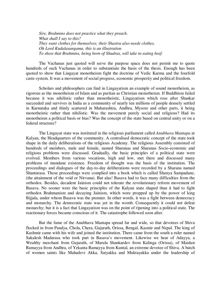*Sire, Brahmins does not practice what they preach. What shall I say to this? They want clothes for themselves; their Shastra also needs clothes. Oh Lord Kudalasangama, this is an illustration To show that Brahmins, being born of Shudras, will take to eating beef.* 

The Vachanas just quoted will serve the purpose space does not permit me to quote hundreds of such Vachanas in order to substantiate the basis of the thesis. Enough has been quoted to show that Lingayat monotheism fight the doctrine of Vedic Karma and the fourfold caste system. It was a movement of social progress, economic prosperity and political freedom.

Scholars and philosophers can find in Lingayatism an example of sound monotheism, as rigorous as the monotheism of Islam and as puritan as Christian monotheism. If Buddhism failed because it was nihilistic rather than monotheistic, Lingayatism which rose after Shankar succeeded and survives in India as a community of nearly ten millions of people densely settled in Karnataka and thinly scattered in Maharashtra, Andhra, Mysore and other parts, it being monotheistic rather than nihilistic. Was the movement purely social and religious? Had its monotheism a political basis or bias? Was the concept of the state based on central unity or on a federal structure?

The Lingayat state was instituted in the religious parliament called *Anubhava Mantapa* at Kalyan, the Headquarters of the community. A centralised democratic concept of the state took shape in the daily deliberations of the religious Academy. The religious Assembly consisted of hundreds of members, male and female, named Sharanas and Sharanas Socio-economic and religious problems were discussed. Gradually, the basic principles of a political state were evolved. Members from various vocations, high and low, met there and discussed many problems of mundane existence. Freedom of thought was the basis of the institution. The proceedings and dialogues of the day-to-day deliberations were recorded by a Sharana named Shantarasa. Those proceedings were complied into a book which is called Shunya Sampadane, (the attainment of the void or Nirvana). But alas! Basava had to face many difficulties from the orthodox. Besides, decadent Jainism could not tolerate the revolutionary reform movement of Basava. No sooner were the basic principles of the Kalyan state shaped than it had to fight orthodox Brahmanism and decaying Jainism, which were propped up by the power of king Bijjala, under whom Basava was the premier. In other words, it was a fight between democracy and monarchy. The democratic state was yet in the womb. Consequently it could not defeat monarchy; but it is a fact that Lingayatism was on the point of ripening into a political state. The reactionary forces became conscious of it. The catastrophe followed soon after.

But the fame of the Anubhava Mantapa spread far and wide, so that devotees of Shiva flocked in from Pandya, Chola, Chera, Gujarath, Orissa, Bengal, Kasmir and Nepal. The king of Kashmir came with his wife and joined the institution. There came from the south a ruler named Sakalesh Madarasa who took part in Basava's movement. Likewise we hear of Adayya, a Wealthy merchant from Gujarath, of Marula Shankardev from Kalinga (Orissa), of Maidun Ramayya from Andhra, of Yekanta Ramayya from Kuntal, an extreme devotee of Shiva. A batch of women saints like Mahadevi Akka, Satyakka and Muktayakka under the leadership of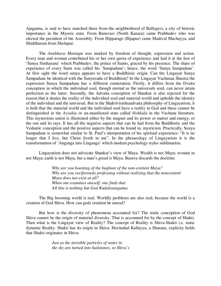Ajaganna, is said to have marched there from the neighborhood of Ballegavi, a city of historic importance in the Mysore state. From Banavasi (North Kanara) came Prabhudev who was elected the president of the Assembly. From Hipparage (Bijapur) came Madival Machayya, and Shiddharam from Sholapur.

The *Anubhava Mantapa* was marked by freedom of thought, expression and action. Every man and woman contributed his or her own quota of experience and laid it at the feet of 'Sunya Simhasana' which Prabhudev, the prince of Saints, graced by his presence. The share of experience of every Saint was called his 'Sampadane'; hence, the word 'Sunya Sampadane'. At first sight the word sunya appears to have a Buddhistic origin. Can the Lingayat Sunya Sampadane be identical with the Sunyavada of Buddhism? In the Lingayat Vachanaa Shastra the expression Sunya Sampadane has a different connotation. Firstly, it differs from the Dvaita conception in which the individual soul, though eternal as the universals soul, can never attain perfection as the latter. Secondly, the Advaita conception of Shankar is also rejected for the reason that it denies the reality of the individual soul and material world and upholds the identity of the individual and the universal. But in the Shaktivisishtaadvaita philosophy of Lingayatism, it is held that the material world and the individual soul have a reality in God and these cannot be distinguished in the *Avyakia* or un-manifested state called *Nishkala* in the Vachana literature. This mysterious union is illustrated either by the magnet and its power or matter and energy, or the sun and its rays. It has all the negative aspects that can be had from the Buddhistic and the Vedantic conception and the positive aspects that can be found in, mysticism. Practically, Sunya Sampadane is somewhat similar to St. Paul's interpretation of his spiritual experience- "It is no longer that I live, but Christ liveth in me". In the phraseology of Lingayatism it is the transformation of 'Anganga into Linganga' which modem psychology styles sublimation.

Lingayatism does not advocate Shankar's view of Maya. Wealth is not Maya; woman in not Maya; earth is not Maya, but a man's greed is Maya. Basava discards the doctrine:

> *Why are you boasting of the bugbear of the non-existent Maya? Why are you vociferously professing without realising that the nonexistent Maya does not exist at all? When one examines oneself, one finds that All this is nothing but God Kudalasangama.*

The Big booming world is real. Worldly problems are also real; because the world is a creation of God Shiva. How can gods creation be unreal?

But how is the diversity of phenomena accounted for? The static conception of God Shiva cannot be the origin of material diversity. That is accounted for by the concept of Shakti. Then what is the Lingayat view of Reality? The concept of Reality is Shiva-Shakti i.e. static dynamic Reality. Shakti has its origin in Shiva. Havinahal Kallayya, a Sharana, explicity holds that Shakti originates in Shiva:

> *Just as the invisible particles of water in the sky are turned into hailstones, so Shiva's*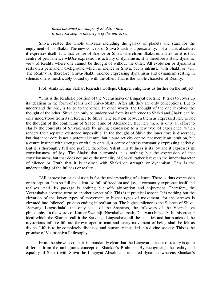#### *ideas assumed the shape of Shakti, which is the first step in the origin of the universe.*

Shiva created the whole universe including the galaxy of planets and stars for the enjoyment of his Shakti. The new concept of Shiva Shakti is a personality, not a blank absolute; it expresses itself. It is that centre of Silence or Shiva wherefrom Shakti emanates; or it is that centre of permanence whOse expression is activity or dynamism. It is therefore a static dynamic view of Reality where one cannot be thought of without the other. All evolution or dynamism rests on a permanent background which is silence or Shiva, but is intrinsic with Shakti or will. The Reality is, therefore, Shiva-Shakti, silence expressing dynamism and dynamism resting in silence; one is inextricably bound up with the other. That is the whole character of Reality.

Prof. Anila Kumar Sarkar, Rajendra College, Chapra, enlightens us further on the subject:

"This is the Realistic position of the Veerashaiva or Lingayat doctrine. It tries to cover up its idealism in the form of realism of Shiva-Shakti. After all, they are only conceptions. But to understand the one, is to go to the other. In other words, the thought of the one involves the thought of the other. Shiva can only be understood from its reference to Shakti and Shakti can be only understood from its reference to Shiva. The relation between them as expressed here is not the thought of the continuum of Space Time of Alexander. But here there is only an effort to clarify the concepts of Shiva-Shakti by giving expression to a new type of experience, which renders their separate existence impossible. In the thought of Shiva the inner core is discerned, but that inner core is not a potential centre, but a pure activity centre, not merely an intuition, but a centre instinct with strength or vitality or will, a centre of stress constantly expressing activity. But it is thoroughly full and perfect, therefore, 'silent'. Its fullness is its joy and it expresses its consciousness of joy. The Shakti that surrounds it is nothing but the expression of that consciousness; but that does not prove the unreality of Shakti, rather it reveals the inner character of silence or Truth that it is instinct with Shakti or strength or dynamism. This is the understanding of the fullness or reality.

"All expression or evolution is for the understanding of silence. There is thus expression or absorption. It is so full and silent, so full of freedom and joy, it constantly expresses itself and realises itself. Its passage is nothing but self- absorption and enjoyment. Therefore, the Veerashaiva doctrine turns to another aspect of it. This is it practical aspect. It is nothing but the elevation of the lower types of movement to higher types of movement, for the stresses is elevated into 'silence', process ending in realisation. The highest silence is the Silence of Shiva, 'Sarvanga-Lingasthala', the only ideal of the Sharanas, the followers of the Veerashaiva philosophy. In the words of Kumar Swamiji (Navakalyanmath, Dharwar) himself: 'In this greater ideal which the Sharana call it the Sarvanga-Lingasthala, all the beauties and harmonies of the mysterious infinite life are thrown open to man and every movement of being shall be felt as divine. Life is to be completely divinised and humanity installed in a divine society. This is the promise of Veerashaiva Philosophy."

From the above account it is abundantly clear that the Lingayat concept of reality is quite different from the ambiguous concept of Shankar's Brahman. By recognising the reality and equality of Shakti with Shiva the Lingayat Absolute is rendered dynamic, whereas Shankar's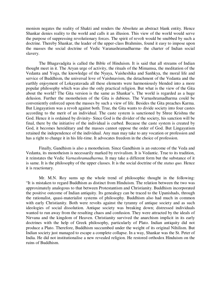monism negates the reality of Shakti and renders the Absolute an abstract blank entity. Hence Shankar denies reality to the world and calls it an illusion. This view of the world would serve the purpose of suppressing revolutionary forces. The spirit of revolt would be snubbed by such a doctrine. Thereby Shankar, the leader of the upper-class Brahmins, found it easy to impose upon the masses the social doctrine of Vedic Varanashramadharma- the charter of Indian social slavery.

The Bhagavadgita is called the Bible of Hinduism. It is said that all streams of Indian thought meet in it. The Aryan urge of activity, the rituals of the Mimamsa, the meditation of the Vedanta and Yoga, the knowledge of the Nyaya, Vaisheshika and Sanhkya, the moral life and service of Buddhism, the universal love of Vaishnavism, the detachment of the Vedanta and the earthly enjoyment of Lokayatavada all these elements were harmoniously blended into a more popular philosophy which was also the only practical religion. But what is the view of the Gita about the world? The Gita version is the same as Shankar's. The world is regarded as a huge delusion. Further the monotheism of the Gita is dubious. The Varnashramadharma could be conveniently enforced upon the masses by such a view of life. Besides the Gita preaches Karma. But Lingayatism was a revolt against both. True, the Gita wants to divide society into four castes according to the merit of an individual. The caste system is sanctioned by Shree Krishna the God. Hence it is ordained by divinity- Since God is the divider of the society, his sanction will be final, there by the initiative of the individual is curbed. Because the caste system is created by God, it becomes hereiditary and the masses cannot oppose the order of God. But Lingayatism retained the independence of the individual. Any man may take to any vocation or profession and has a right to change it in his life-time. It advocates freedom in the choice of profession.

Finally, Gandhism is also a monotheism. Since Gandhism is an outcome of the Veda and Vedanta, its monotheism is necessarily marked by revivalism. It is Vedantic. True to its tradition, it reinstates the Vedic *Varnashramadharma.* It may take a different form but the substance of it is same. It is the philosophy of the upper classes. It is the social doctrine of the *status quo.* Hence it is reactionary.

Mr. M.N. Roy sums up the whole trend of philosophic thought in the following: "It is mistaken to regard Buddhism as distinct from Hinduism. The relation between the two was approximately analogous to that between Protestantism and Christianity. Buddhism incorporated the positive outcome of Indian antiquity. Its genealogy can be traced to the Upanishads, through the rationalist, quasi-materialist systems of philosophy. Buddhism also had much in common with early Christianity. Both were revolts against the tyranny of antique society and as such ideologies of social dissolution. Antique society was breaking down; distressed individuals wanted to run away from the resulting chaos and confusion. They were attracted by the ideals of Nirvana and the kingdom of Heaven. Christianity survived the anarchism implicit in its early doctrines with the help of Greek philosophy, particularly of Plato. Indian antiquity did not produce a Plato. Therefore, Buddhism succumbed under the weight of its original Nihilism. But Indian society just managed to escape a complete collapse. In a way, Shankar was the St. Peter of India. He did not institutionalise a new revealed religion. He restored orthodox Hinduism on the ruins of Buddhism.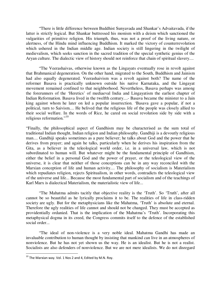"There is little difference between Buddhist Sunyavada and Shankar's Advaitavada, if the latter is strictly logical. But Shankar buttressed his monism with a deism which sanctioned the vulgarities of primitive religion. His triumph, thus, was not a proof of the living nature, or alertness, of the Hindu mind influencing Buddhism. It marked the victory of counterrevolution which ushered in the Indian middle age. Indian society is still lingering in the twilight of medievalism, which seeks sanction in the sacred tradition of the special synthetic genius of the Aryan culture. The dialectic view of history should not reinforce that chain of spiritual slavery....

"The Veerashaivas, otherwise known as the Lingayats eventually rose in revolt against that Brahmanical degeneration. On the other hand, migrated to the South, Buddhism and Jainism had also equally degenerated. Veerashaivism was a revolt against both? The name of the reformer Basava is practically unknown outside his native Karnataka, and the Lingayat movement remained confined to that neighborhood. Nevertheless, Basava perhaps was among the forerunners of the 'Heretics' of mediaeval India and Lingayatism the earliest chapter of Indian Reformation. Basava lived in the twelfth century....- Basava became the minister to a Jain king against whom he later on led a popular insurrection. 'Basava gave a popular, if not a political, turn to Saivism.... He belived that the religious life of the people was closely allied to their social welfare. In the words of Rice, he cared on social revolution side by side with a religious reformation."<sup>10</sup>

"Finally, the philosophical aspect of Gandhism may be characterised as the sum total of traditional Indian thought, Indian religion and Indian philosophy. Gandhiji is a devoutly religious man.... Gandhiji speaks sometimes as a pure believer; he talks about God and the power that he derives from prayer; and again he talks, particularly when he derives his inspiration from the Gita, as a believer in the teleological world order, i.e. in a universal law, which is not subordinated to human will. But whatever might be the fundamental principle of Gandhism, either the belief in a personal God and the power of prayer, or the teleological view of the universe, it is clear that neither of those conceptions can be in any way reconciled with the Marxian conception of life and human activity.... The philosophy of socialism is Materialism which repudiates religion, rejects Spiritualism, in other words, contradicts the teleological view of the universe and life... Because the most fundamental part of socialism and of the teachings of Karl Marx is dialectical Materialism, the materialistic view of life...

"The Mahatma admits tacitly that objective reality is the 'Truth'. So 'Truth', after all cannot be so beautiful as he lyrically proclaims it to be. The realities of life in class-ridden society are ugly. But for the metaphysicians like the Mahatma, 'Truth' is absolute and eternal. Therefore the ugly realities of life cannot and should not be changed. They must be accepted as providentially ordanied. That is the implication of the Mahatma's 'Truth'. Incorporating this metaphysical dogma in its creed, the Congress commits itself to the defence of the established social order...

"The ideal of non-violence is a very noble ideal. Mahatma Gandhi has made an invaluable contribution to human thought by insisting that mankind can live in an atmospheres of nonviolence. But he has not yet shown us the way. He is an idealist. But he is not a realist. Socialists are also defenders of nonviolence. But we are not mere idealists. We do not disregard

 $^{10}$  The Marxian way. Vol. 1 Nos 2 and 4, Edited by M.N. Roy.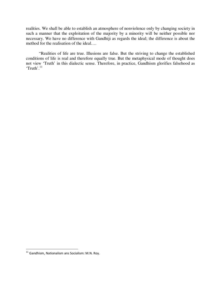realities. We shall be able to establish an atmosphere of nonviolence only by changing society in such a manner that the exploitation of the majority by a minority will be neither possible nor necessary. We have no difference with Gandhiji as regards the ideal; the difference is about the method for the realisation of the ideal….

"Realities of life are true. Illusions are false. But the striving to change the established conditions of life is real and therefore equally true. But the metaphysical mode of thought does not view 'Truth' in this dialectic sense. Therefore, in practice, Gandhism glorifies falsehood as 'Truth'.<sup>11</sup>

 $^{11}$  Gandhism, Nationalism ans Socialism: M.N. Roy.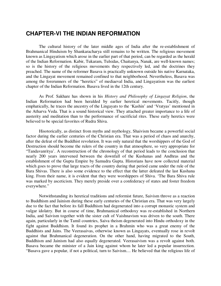## **CHAPTER-VI THE INDIAN REFORMATION**

The cultural history of the later middle ages of India after the re-establishment of Brahmanical Hinduism by Shankaracharya still remains to be written. The religious movement known as Lingayatism which arose in the earlier part of that period, can be regarded as the herald of the Indian Reformation. Kabir, Tukaram, Tulsidas, Chaitanya, Nanak, are well-known names; so is the history of the religious movements they respectively led, and the doctrines they preached. The name of the reformer Basava is practically unknown outside his native Karnataka, and the Lingayat movement remained confined to that neighborhood. Nevertheless, Basava was among the forerunners of the "heretics" of mediaeval India, and Lingayatism was the earliest chapter of the Indian Reformation. Basava lived in the 12th century.

As Prof. Sakhare has shown in his *History and Philosophy of Lingayat Religion*, the Indian Reformation had been heralded by earlier heretical movements. Tacitly, though emphatically, he traces the ancestry of the Lingayats to the 'Kashin' and 'Vratyas' mentioned in the Atharva Veda. That is a sound historical view. They attached greater importance to a life of austerity and meditation than to the performance of sacrificial rites. These early heretics were believed to be special favorites of Rudra Shiva.

Hisotorically, as distinct from myths and mythology, Shaivism became a powerful social factor during the earlier centuries of the Christian era. That was a period of chaos and anarchy, after the defeat of the Buddhist revolution. It was only natural that the worshippers of the God of Destruction should become the rulers of the country in that atmosphere, so very appropriate for "Tandavanritya'. A reconstruction of the chronology of that period leads to the conclusion that nearly 200 years intervened between the downfall of the Kushanas and Andhras and the establishment of the Gupta Empire by Samudra Gupta. Historians have now collected material which goes to prove that large tracts of the country during that period came under the rule of the Bara Shivas. There is also some evidence to the effect that the latter defeated the last Kushana king. From their name, it is evident that they were worshippers of Shiva. 'The Bara Shiva rule was marked by asceticism. They merely preside over a confederacy of states and foster freedom everywhere."

Notwithstanding its heretical traditions and reformist future, Saivism throve as a reaction to Buddhism and Jainism during these early centuries of the Christian era. That was very largely due to the fact that before its fall Buddhism had degenerated into a corrupt monastic system and vulgar idolatry. But in course of time, Brahmanical orthodoxy was re-established in Northern India, and Saivism together with the sister cult of Vaishnavism was driven to the south. There again, particularly in the Tamil countries, Saiva theism degenerated into Hindu orthodoxy in the fight against Buddhism. It found its prophet in a Brahmin who was a great enemy of the Buddhists and Jains. The Veerasaivas, otherwise known as Lingayats, eventually rose in revolt against that Brahmanical degeneration. On the other hand, having migrated to the South, Buddhism and Jainism had also equally degenerated. Veerasaivism was a revolt against both. Basava became the minister of a Jain king against whom he later led a popular insurrection. "Basava gave a popular, if not a political, turn to Saivism.... He believed that the religious life of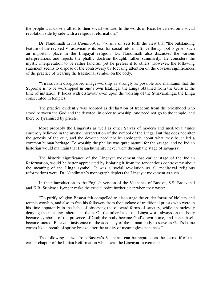the people was closely allied to their social welfare. In the words of Rice, he carried on a social revolution side by side with a religious reformation."

Dr. Nandimath in his *Handbook of Virasaivism* sets forth the view that "the outstanding feature of the revived Virasaivism is its zeal for social reform". Since the symbol is given such an important place in the Lingayat religion. Dr. Nandimath also discusses the various interpretations and rejects the phallic doctrine thought, rather summarily. He considers the mystic interpretation to be rather fanciful, yet he prefers it to others. However, the following statement seems to dispose of the controversy by focusing attention on the obvious significances of the practice of wearing the traditional symbol on the body.

"Virasaivism disapproved image-worship as strongly as possible and maintains that the Supreme is to be worshipped in one's own Istalinga, the Linga obtained from the Guru at the time of initiation. It looks with disfavour even upon the worship of the Sthavaralinga, the Linga consecrated in temples."

The practice evidently was adopted as declaration of freedom from the priesthood who stood between the God and the devotee. In order to worship, one need not go to the temple, and there be tyrannised by priests.

Most probably the Lingayats as well as other Saivas of modern and mediaeval times sincerely believed in the mystic interpretation of the symbol of the Linga. But that does not alter the genesis of the cult, and the devotee need not be apologetic about what may be called a common human heritage. To worship the phallus was quite natural for the savage, and no Indian historian would maintain that Indian humanity never went through the stage of savagery.

The historic significance of the Lingayat movement that earlier stage of the Indian Reformation, would be better appreciated by isolating it from the tendentious controversy about the meaning of the Linga symbol. It was a social revolution as all mediaeval religious reformations were. Dr. Nandimath's monograph depicts the Lingayat movement as such.

In their introduction to the English version of the Vachanas of Basava, S.S. Basavanal and K.R. Srinivasa Iyengar make the crucial point further clear when they write:

"To purify religion Basava felt compelled to discourage the cruder forms of idolatry and temple worship, and also to free his followers from the tutelage of traditional priests who were in his time apparently in the habit of observing the outward forms of sanctity, while shamelessly denying the meaning inherent in them. On the other hand, the Linga worn always on the body became symbolic of the presence of God; the body became God's own home, and hence itself became sacred. Basava's insistence on the adequacy of the human body to serve as God's home comes like a breath of spring breeze after the aridity of meaningless penances."

The following stanza from Basava's Vachanas can be regarded as the leitmotif of that earlier chapter of the Indian Reformation which was the Lingayat movement: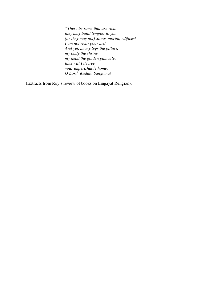*"There be some that are rich; they may build temples to you (or they may not) Stony, mortal, edifices! I am not rich- poor me! And yet, be my legs the pillars, my body the shrine, my head the golden pinnacle; thus will I decree your imperishable home, O Lord, Kudala Sangama!"* 

(Extracts from Roy's review of books on Lingayat Religion).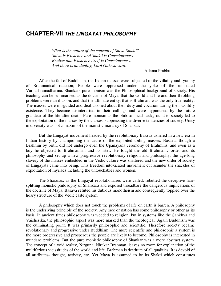#### **CHAPTER-VII THE LINGAYAT PHILOSOPHY**

*What is the nature of the concept of Shiva-Shakti? Shiva is Existence and Shakti is Consciousness Realise that Existence itself is Consciousness. And there is no duality, Lord Guheshwara*.

-Allama Prabhu

After the fall of Buddhism, the Indian masses were subjected to the villainy and tyranny of Brahmanical reaction; People were oppressed under the yoke of the reinstated Varnashramadharma. Shankars pure monism was the Philosophical background of society. His teaching can be summarised as the doctrine of Maya, that the world and life and their throbbing problems were an illusion, and that the ultimate entity, that is Brahman, was the only true reality. The masses were misguided and disillusioned about their duty and vocation during their worldly existence. They became disinterested in their callings and were hypnotised by the future grandeur of the life after death. Pure monism as the philosophical background to society led to the exploitation of the masses by the classes, suppressing the diverse tendencies of society. Unity in diversity was not .i maxim of the monistic morality of Shankar.

But the Lingayat movement headed by the revolutionary Basava ushered in a new era in Indian history by championing the cause of the exploited toiling masses. Basava, though a Brahmin by birth, did not undergo even the Upanayana ceremony of Brahmins, and even as a boy he objected to Brahmanism and its rites. He fought the old Brahmanic order and its philosophy and set up a new progressive revolutionary religion and philosophy, the age-long slavery of the masses embedded in the Vedic culture was shattered and the new order of society of Lingayats came into being. This freedom intoxicated movement cut asunder the shackles of exploitation of myriads including the untouchables and women.

The Sharanas, as the Lingayat revolutionaries were called, rebutted the deceptive hairsplitting monistic philosophy of Shankara and exposed threadbare the dangerous implications of the doctrine of Maya. Basava refuted his dubious monotheism and consequently toppled over the hoary structure of the Vedic caste system.

A philosophy which does not touch the problems of life on earth is barren. A philosophy is the underlying principle of the society. Any race or nation has some philosophy or other as its basis. In ancient times philosophy was wedded to religion, but in systems like the Sankhya and Vaishesika, the philosophic aspect was more marked than the theological. Again Buddhism was the culminating point. It was primarily philosophic and scientific. Therefore society became revolutionary and progressive under Buddhism. The more scientific and philosophic a system is the more progressive and prosperous the people are likely to become. Philosophy is interested in mundane problems. But the pure monistic philosophy of Shankar was a more abstract system. The concept of a void reality, Nirguna, Nirakar Brahman, leaves no room for explanation of the multifarious vicissitudes of the world and life. Brahman is destitute of all qualities. It is devoid of all attributes- thought, activity, etc. Yet Maya is assumed to be its Shakti which constitutes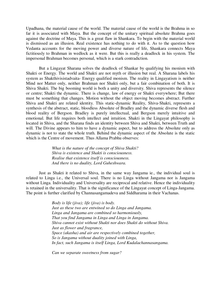Upadhana, the material cause of the world. The material cause of the world is the Brahma in so far it is associated with Maya. But the concept of the unitary spiritual absolute Brahma goes against the doctrine of Maya. This is a great flaw in Shankara. To begin with the material world is dismissed as an illusion. Real existence has nothing to do with it. As to the question how Vedanta accounts for the moving power and diverse nature of life, Shankara connects Maya fictitiously to Brahman in wedlock as it were. But this is really a deadlock in his system. The impersonal Brahman becomes personal, which is a stark contradiction.

But a Lingayat Sharana solves the deadlock of Shankar by qualifying his monism with Shakti or Energy. The world and Shakti are not myth or illusion but real. A Sharana labels his system as Shakthivisistadvaita- Energy qualified monism. The reality in Lingayatism is neither Mind nor Matter only, neither Brahman nor Shakti only, but a fair combination of both. It is Shiva Shakti. The big booming world is both a unity and diversity. Shiva represents the silence or centre; Shakti the dynamic. There is change, law of energy or Shakti everywhere; But there must be something that changes. Motion without the object moving becomes abstract. Further Shiva and Shakti are related identity. This static-dynamic Reality, Shiva-Shakti, represents a synthesis of the abstract, static, bloodless Absolute of Bradley and the dynamic diverse flesh and blood reality of Bergson. Bradley is purely intellectual, and Bergson merely intuitive and emotional. But life requires both intellect and intuition. Shakti in the Lingayat philosophy is located in Shiva, and the Sharana finds an identity between Shiva and Shakti, between Truth and will. The Divine appears to him to have a dynamic aspect, but to address the Absolute only as dynamic is not to state the whole truth. Behind the dynamic aspect of the Absolute is the static which is the Centre of movement. Thus Allama Prabhu observes:

> *What is the nature of the concept of Shiva Shakti? Shiva is existence and Shakti is consciousness. Realise that existence itself is consciousness. And there is no duality, Lord Guheshwara.*

Just as Shakti it related to Shiva, in the same way Jangama ie., the individual soul is related to Linga i.e., the Universal soul. There is no Linga without Jangama nor is Jangama without Linga. Individuality and Universality are reciprocal and relative. Hence the individuality is retained in the universality. That is the significance of the Lingayat concept of Linga-Jangama. The point is further clarified by Channasangamadeva and Siddharama in their Vachanas.

> *Body is life (jiva); life (jiva) is body. Just as these two are entwined so do Linga and Jangama. Linga and Jangama are combined so harmoniously, That you find Jangama in Linga and Linga in Jangama. Shiva cannot exist without Shakti nor does Shakti do without Shiva. Just as flower and fragrance, Space (akasha) and air are respectively combined together, So is Jangama without duality joined with Linga, In fact, such Jangama is itself Linga, Lord Kudalachannasangama.*

*Can we separate sweetness from sugar?*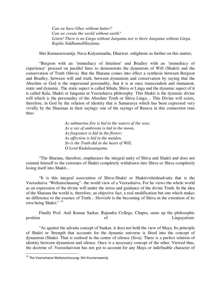*Can we have Ghee without butter? Can we create the world without earth? Listen! There is no Linga without Jangama nor is there Jangama without Linga, Kapila Siddhamallikarjuna.* 

Shri Kumaraswamiji, Nava-Kalyanmatha, Dharwar. enlightens us further on this matter;

"Bergson with an 'immediacy of Intuition' and Bradley with an 'immediacy of experience' proceed on parallel lines to demonstrate the dynamism of Will (Shakti) and the conservation of Truth (Shiva). But the Sharana comes into effect a synthesis between Bergson and Bradley, between will and truth, between dynamism and conservation by saying that the Absolute or God is the impersonal personality, that it is at once transcendent and immanent, static and dynamic. The static aspect is called Sthala, Shiva or Linga and the dynamic aspect of it is called Kala, Shakti or Jangama in Veerashaiva philosophy. This Shakti is the dynamic divine will which is the personality of the Absolute Truth or Shiva Linga.... This Divine will exists, therefore, in God by the relation of identity that is Samarasya which has been expressed very vividly by the Sharanas in their sayings: one of the sayings of Basava in this connection runs thus:

> *As submarine fire is hid in the waters of the seas, As a ray of ambrosia is hid in the moon, As fragrance is hid in the flower; As affection is hid in the maiden, So is the Truth did in the heart of Will, O Lord Kudalasangama.*

"The Sharana, therefore, emphasizes the integral unity of Shiva and Shakti and does not commit himself to the extremes of Shakti completely withdrawn into Shiva or Shiva completely losing itself into Shakti...

"It is this integral association of Shiva-Shakti or Shaktivishishtadvaita that is the Veerashaiva "Weltanschauung"- the world view of a Veerashaiva. For he views the whole world as an expression of the divine will under the stress and guidance of the divine Truth. In the idea of the Sharana the world is, therefore, an objective fact, a real modification but one which makes no difference to the essence of Truth... *Shoristhi* is the becoming of Shiva in the extention of its own being Shakti."<sup>12</sup>

Finally Prof. Anil Kumar Sarkar, Rajendra College, Chapra, sums up the philosophic position of Lingayatism:

"As against the advaita concept of Sankar, it does not hold the view of Maya. Its principle of Shakti or Strength that accounts for the dynamic universe is fitted into the concept of dynamism (Shakti. That is realised in the centre of silence (Siva). There is a perfect relation of identity between dynamism and silence. Once is a necessary concept of the other. Viewed thus, the doctrine of .Veerashaivism has not got to account for any Maya or indefinable character of

<sup>&</sup>lt;sup>12</sup> The Veerashaiva Weltanschauung: Shri Kurnarswamiji.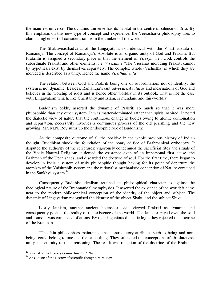the manifest universe. The dynamic universe has its habitat in the centre of silence or Siva. By this emphasis on this new type of concept and experience, the Veerashaiva philosophy tries to claim a higher sort of consideration from the thinkers of the world" <sup>13</sup>

The Shaktivisisthadvaita of the Lingayats is not identical with the Visisthadvaita of Ramanuja. The concept of Ramanuja's Absolute is an organic unity of God and Prakriti. But Prakrithi is assigned a secondary place in that the element of *Visesya,* i.e., God, controls the subordinate Prakriti and other elements, i.e. *Visesanas* "The Viesanas including Prakriti cannot by hypothesis exist by themselves separately. The complex whole (Vishistha) in which they are included is described as a unity. Hence the name *Visisthadvaita"* 

The relation between God and Prakriti being one of subordination, not of identity, the system is not dynamic. Besides, Ramanuja's cult *advocatesAvataras* and incarnations of God and believes in the worship of idols and is hence other worldly in its outlook. That is not the case with Lingayatism which, like Christanity and Islam, is mundane and this-worldly.

Buddhism boldly asserted the dynamic of Prakriti so much so that it was more philosophic than any other system. It was matter-dominated rather than spirit inspired. It noted the dialectic view of nature that the continuous change in bodies owing to atomic combination and separation, necessarily involves a continuous process of the old perishing and the new growing. Mr. M.N. Roy sums up the philosophic role of Buddhism:

As the composite outcome of all the positive in the whole previous history of Indian thought, Buddhism shook the foundation of the hoary edifice of Brahmanical orthodoxy. It disputed the authority of the scriptures; vigorously condemned the sacrificial rites and rituals of the Vedic Natural Religion; it denied the existence even of an impersonal first cause, the Brahman of the Upanishads; and discarded the doctrine of soul. For the first time, there began to develop in India a system of truly philosophic thought having for its point of departure the atomism of the Vaisheshik system and the rationalist mechanistic conception of Nature contained in the Sankhya system. $^{14}$ 

Consequently Buddhist idealism retained its philosophical character as against the theological nature of the Brahmanical metaphysics. It asserted the existence of the world; it came near to the modern philosophical conception of the identity of the object and subject. The dynamic of Lingayatism recognised the identity of the object Shakti and the subject Shiva.

Lastly Jainism, another ancient heterodox sect, viewed Prakriti as dynamic and consequently posited the reality of the existence of the world. The Jains ex-rayed even the soul and found it was composed of atoms. By their ingenious dialectic logic they rejected the doctrine of the Brahman.

"The Jain philosophers maintained that contradictory attributes such as being and nonbeing, could belong to one and the same thing. They subjected the conceptions of absoluteness, unity and eternity to their reasoning. The result was rejection of the doctrine of the Brahman.

<sup>&</sup>lt;sup>13</sup> Journal of the Literary Committee Vol. 1 No. 3.

<sup>&</sup>lt;sup>14</sup> An Outline of the History of scientific thought. M.M. Roy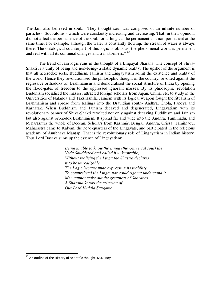The Jain also believed in soul.... They thought soul was composed of an infinite number of particles- 'Soul-atoms'- which were constantly increasing and decreasing. That, in their opinion, did not affect the permanence of the soul; for a thing can be permanent and non-permanent at the same time. For example, although the water is constantly flowing, the stream of water is always there. The ontological counterpart of this logic is obvious: the phenomenal world is permanent and real with all its continual changes and transitoriness." <sup>15</sup>

The trend of Jain logic runs in the thought of a Lingayat Sharana. The concept of Shiva-Shakti is a unity of being and non-being- a static dynamic reality. The upshot of the argument is that all heterodox sects, Buddhism, Jainism and Lingayatism admit the existence and reality of the world. Hence they revolutionised the philosophic thought of the country, revolted against the regressive orthodoxy of. Brahmanism and democratised the social structure of India by opening the flood-gates of freedom to the oppressed ignorant masses. By its philosophic revolution Buddhism socialised the masses, attracted foreign scholars from Japan, China, etc. to study in the Universities of Nalanda and Takshashila. Jainism with its logical weapon fought the ritualism of Brahmanism and spread from Kalinga into the Dravidian south- Andhra, Chola, Pandya and Karnatak. When Buddhism and Jainism decayed and degenerated, Lingayatism with its revolutionary banner of Shiva-Shakti revolted not only against decaying Buddhism and Jainism but also against orbhodox Brahminism. It spread far and wide into the Andhra, Tamilnadu, and M harashtra the whole of Deccan. Scholars from Kashmir, Bengal, Andhra, Orissa, Tamilnadu, Maharastra came to Kalyan, the head-quarters of the Lingayats, and participated in the religious academy of Anubhava Mantap. That is the revolutionary role of Lingayatism in Indian history. Thus Lord Basava sums up the essence of Lingayatism:

> *Being unable to know the Linga (the Universal soul) the Veda Shuddered and called it unknowable; Without realising the Linga the Shastra declares it to be unrealizable. The Logic became mute expressing its inability To comprehend the Linga, nor could Agama understand it. Men cannot make out the greatness of Sharanas. A Sharana knows the criterion of Our Lord Kudala Sangama.*

 $^{15}$  An outline of the History of scientific thought: M.N. Roy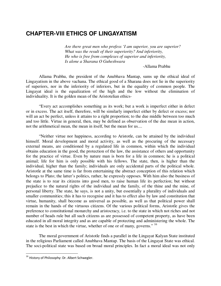## **CHAPTER-VIll ETHICS OF LINGAYATISM**

*Are there great men who profess 'I am superior, you are superior? What was the result of their superiority? And inferiority, He who is free from complexes of superior and inferiority, Is alone a Sharana O Guheshwara* 

-Allama Prabhu

Allama Prabhu, the president of the Anubhava Mantap, sums up the ethical ideal of Lingayatism in the above vachana. The ethical good of a Sharana does not lie in the superiority of superiors, nor in the inferiority of inferiors, but in the equality of common people. The Lingayat ideal is the equalization of the high and the low without the elimination of individuality. It is the golden mean of the Aristotelian ethics-

"Every act accomplishes something as its work; but a work is imperfect either in defect or in excess. The act itself, therefore, will be similarly imperfect either by defect or excess; nor will an act be perfect, unless it attains to a right proportion; to the due middle between too much and too little. Virtue in general, then, may be defined as observation of the due mean in action, not the arithmetical mean, the mean in itself, but the mean for us....

"Neither virtue nor happiness, according to Aristotle, can be attained by the individual himself. Moral development and moral activity, as well as the procuring of the necessary external means, are conditioned by a regulated life in common, within which the individual obtains education in the good, the protection of the law, the assistance of others and opportunity for the practice of virtue. Even by nature man is born for a life in common; he is a political animal; life for him is only possible with his fellows. The state, then, is higher than the individual, higher than the family; individuals are only accidental parts of the political whole. Aristotle at the same time is far from entertaining the abstract conception of this relation which belongs to Plato; the latter's politics, rather, he expressly opposes. With him also the business of the state is to rear its citizens into good men, to raise human life its perfection; but without prejudice to the natural rights of the individual and the family, of the thine and the mine, of personal liberty. The state, he says, is not a unity, but essentially a plurality of individuals and smaller communities; this it has to recognise and it has to effect also by law and constitution that virtue, humanity, shall become as universal as possible, as well as that political power shall remain in the hands of the virtuous citizens. Of the various political forms, Aristotle gives the preference to constitutional monarchy and aristocracy, i.e. to the state in which not riches and not number of heads rule but all such citizens as are possessed of competent property, as have been educated in all moral integrity and as are capable of protecting and administering the whole. The state is the best in which the virtue, whether of one or of many, governs."<sup>16</sup>

The moral government of Aristotle finds a parallel in the Lingayat Kalyan State instituted in the religious Parliament called Anubhava Mantap. The basis of the Lingayat State was ethical. The soci-political state was based on broad moral principles. In fact a moral ideal was not only

 $^{16}$  History of Philosophy: Dr. Albert Schwegler.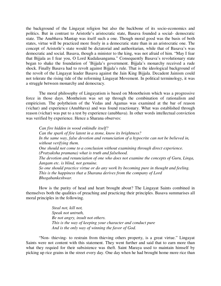the background of the Lingayat religion but also the backbone of its socio-economics and politics. But in contrast to Aristotle's aristocratic state, Basava founded a social- democratic state. The Anubhava Mantap was itself such a one. Though moral good was the basis of both states, virtue will be practiced more freely in a democratic state than in an aristocratic one. The concept of Aristotle's state would be dictatorial and authoritarian, while that of Basava's was democratic and social. Basava, though a minister to the king, was not afraid of him. "May I fear that Bijjala as I fear you, O Lord Kudalasangama." Consequently Basava's revolutionary state began to shake the foundation of 'Bijjala's government. Bijjala's monarchy received a rude shock. Finally Basava had to revolt against Bijjala's rule. That is the ideological background of the revolt of the Lingayat leader Basava against the Jain King Bijjala. Decadent Jainism could not tolerate the rising tide of the reforming Lingayat Movement. In political terminology, it was a struggle between monarchy and democracy.

The moral philosophy of Lingayatism is based on Monotheism which was a progressive force in those days. Montheism was set up through the combination of rationalism and empiricism. The polytheism of the Vedas and Agamas was examined at the bar of reason (vichar) and experience (Anubhava) and was found reactionary. What was established through reason (vichar) was put to a test by experience (anubhava). In other words intellectual conviction was verified by experience. Hence a Sharana observes:

*Can fire hidden in wood enkindle itself? Can the spark of fire latent in a stone, know its brightness? In the same way, false devotion and renunciation of a hypocrite can not be believed in, without verifying them. One should not come to a conclusion without examining through direct experience. (Pratyaksha pramana) what is truth and falsehood. The devotion and renunciation of one who does not examine the concepts of Guru, Linga, Jangam etc. is blind, not genuine. So one should practice virtue or do any work by becoming pure in thought and feeling. This is the happiness that a Sharana derives from the company of Lord Bhogabankeshwar.*

How is the purity of head and heart brought about? The Lingayat Saints combined in themselves both the qualities of preaching and practicing their principles. Basava summarises all moral principles in the following.

> *Steal not, kill not, Speak not untruth, Be not angry, insult not others. This is the way of keeping your character and conduct pure And is the only way of winning the favor of God.*

"Non- thieving- to restrain from thieving others property, is a great virtue." Lingayat Saints were not content with this statement. They went further and said that to earn more than what they requied for their subsistence was theft. Saint Maraya used to maintain himself by picking up rice grains in the street every day. One day when he had brought home more rice than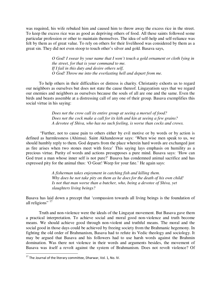was required, his wife rebuked him and caused him to throw away the excess rice in the street. To keep the excess rice was as good as depriving others of food. All these saints followed some particular profession or other to maintain themselves. The idea of self-help and self-reliance was felt by them as of great value. To rely on others for their livelihood was considered by them as a great sin. They did not even stoop to touch other's silver and gold. Basava says,

> *O God! I swear by your name that I won't touch a gold ornament or cloth lying in the street, for that is your command to me. If I fail in this duty and desire others self, O God! Throw me into the everlasting hell and depart from me.*

To help others in their difficulties or distress is charity. Christanity exhorts us to regard our neighbors as ourselves but does not state the cause thereof. Lingayatism says that we regard our enemies and neighbors as ourselves because the souls of all are one and the same. Even the birds and beasts assemble at a distressing call of any one of their group. Basava exemplifies this social virtue in his saying:

> *Does not the crow call its entire group at seeing a morsel of food? Does not the cock make a call for its kith and kin at seeing a few grains? A devotee of Shiva, who has no such feeling, is worse than cocks and crows.*

 "Further, not to cause pain to others either by evil motive or by words or by action is defined as harmlessness (Ahimsa). Saint Akhandeswar says: 'When wise men speak to us, we should humbly reply to them. God departs from the place wherein hard words are exchanged just as fire arises when two stones meet with force' This saying lays emphasis on humility as a precious virtue. Purity of words and actions presupposes a pure mind. Basava says: 'How can God trust a man whose inner self is not pure?' Basava has condemned animal sacrifice and has expressed pity for the animal thus: 'O Goat! Weep for your fate.' He again says:

> *A fisherman takes enjoyment in catching fish and killing them. Why does he not take pity on them as he does for the death of his own child! Is not that man worse than a butcher, who, being a devotee of Shiva, yet slaughters living beings?*

Basava has laid down a precept that 'compassion towards all living beings is the foundation of all religions" <sup>17</sup>

Truth and non-violence were the ideals of the Lingayat movement. But Basava gave them a practical interpretation. To achieve social and moral good non-violence and truth become means. We should achieve good through non-violent and truthful means. The moral and the social good in those days could be achieved by freeing society from the Brahmanic hegemony. In fighting the old order of Brahmanism, Basava had to refute its Vedic theology and sociology. It may be argued that Basava and his followers had to use harsh words against the Brahmin domination. Was there not violence in their words and arguments besides, the movement of Basava was itself a revolt against the system of Brahmanism. Does not revolt violence? Of

 $^{17}$  The Journal of the literary committee, Dharwar, Vol. 1, No. IV.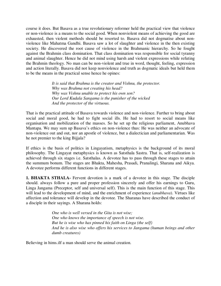course it does. But Basava as a true revolutionary reformer held the practical view that violence or non-violence is a means to the social good. When nonviolent means of achieving the good are exhausted, then violent methods should be resorted to. Basava did not dogmatise about nonviolence like Mahatma Gandhi. Basava saw a lot of slaughter and violence in the then existing society. He discovered the root cause of violence in the Brahmanic hierarchy. So he fought against the Brahmin class domination. That class domination was responsible for social tyranny and animal slaughter. Hence he did not mind using harsh and violent expressions while refuting the Brahmin theology. No man can be non-violent and true in word, thought, feeling, expression and action literally. Basava did not keep nonviolence and truth as dogmatic ideals but held them to be the means in the practical sense hence he opines:

> *It is said that Brahma is the creator and Vishnu, the protector. Why was Brahma not creating his head? Why was Vishnu unable to protect his own son? Our Lord Kudala Sangama is the punisher of the wicked And the protector of the virtuous.*

That is the practical attitude of Basava towards violence and non-violence. Further to bring about social and moral good, he had to fight social ills. He had to resort to social means like organisation and mobilization of the masses. So he set up the religious parliament, Anubhava Mantapa. We may sum up Basava's ethics on non-violence thus: He was neither an advocate of non-violence out and out, nor an apostle of violence, but a dialectician and parliamentarian. Was he not premier to the king Bijjala?

If ethics is the basis of politics in Lingayatism, metaphysics is the background of its moral philosophy. The Lingayat metaphysics is known as Satsthala Sastra. That is, self-realization is achieved through six stages i.e. Satsthalas. A devotee has to pass through these stages to attain the summum bonum. The stages are Bhakta, Mahesha, Prasadi, Pranalingi, Sharana and Aikya. A devotee performs different functions in different stages.

**1. BHAKTA STHALA-** Fervent devotion is a mark of a devotee in this stage. The disciple should. always follow a pure and proper profession sincerely and offer his earnings to Guru, Linga Jangama (Preceptor, self and universal self). This is the main function of this stage. This will lead to the development of mind, and the enrichment of experience (*anubhava*). Virtues like affection and tolerance will develop in the devotee. The Sharanas have described the conduct of a disciple in their sayings. A Sharana holds:

> *One who is well versed in the Gita is not wise; One who knows the importance of speech is not wise. But he is wise who has pinned his faith on Linga (the self) And he is also wise who offers his services to Jangama (human beings and other dumb creatures)*

Believing in hims.ilf a man should serve the animal creation.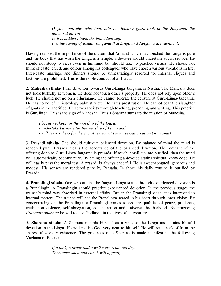*O you comrades who look into the looking glass look at the Jangama, the universal mirror. In it is hidden Linga, the individual self. It is the saying of Kudalasangama that Linga and Jangama are identical*.

Having realised the importance of the dictum that 'a hand which has touched the Linga is pure and the body that has worn the Linga is a temple, a devotee should undertake social service. He should not stoop to vices even in his mind but should take to practice virtues. He should not think of caste, creed, and colour among his colleagues who have chosen various vocations in life. Inter-caste marriage and dinners should be unhesitatingly resorted to. Internal cliques and factions are prohibited. This is the noble conduct of a Bhakta.

**2. Mahesha sthala**- Firm devotion towards Guru-Linga Jangama is Nistha; The Mahesha does not look lustfully at women. He does not touch other's property. He does not rely upon other's luck. He should not go on a pilgrimage. He cannot tolerate the censure at Guru-Linga-Jangama. He has no belief in Astrology palmistry etc. He hates prostitution. He cannot bear the slaughter of goats in the sacrifice. He serves society through teaching, preaching and writing. This practice is Gurulinga. This is the sign of Mahesha. Thus a Sharana sums up the mission of Mahesha.

*I begin working for the worship of the Guru. I undertake business for the worship of Linga and I will serve others for the social service of the universal creation (Jangama).* 

3. **Prasadi sthala-** One should cultivate balanced devotion. By balance of mind the mind is rendered pure. Prasada means the acceptance of the balanced devotion. The remnant of the offering done to Guru-Linga-Jangama is prasada. If touch, smell etc. are purified, then the mind will automatically become pure. By eating the offering a devotee attains spiritual knowledge. He will easily pass the moral test. A prasadi is always cheerful. He is sweet-tongued, generous and modest. His senses are rendered pure by Prasada. In short, his daily routine is purified by Prasada.

**4. Pranalingi sthala-** One who attains the Jangam-Linga status through experienced devotion is a Pranalingin. A Pranalingin should practice experienced devotion. In the previous stages the trainee's mind was absorbed in external affairs. But in the Pranalingi stage, it is interested in internal matters. The trainee will see the Pranalinga seated in his heart through inner vision. By concentrating on the Pranalinga, a Pranalingi comes to acquire qualities of peace, prudence, truth, non-violence, self-abnegation, concentration and universal brotherhood. By practicing *Prananus andhana* he will realise Godhood in the lives of all creatures.

*5.* **Sharana sthala:** A Sharana regards himself as a wife to the Linga and attains blissful devotion in the Linga. He will realise God very near to himself. He will remain aloof from the snares of worldly existence. The greatness of a Sharana is made manifest in the following Vachana of Basava:

> *If a tank, a brook and a well were rendered dry, Then moss shell and conch will appear,*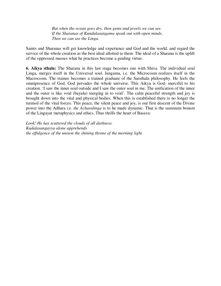*But when the ocean goes dry, then gems and jewels we can see. If the Sharanas of Kundalasangama speak out with open minds, Then we can see the Linga.* 

Saints and Sharanas will get knowledge and experience and God and the world, and regard the service of the whole creation as the best ideal allotted to them. The ideal of a Sharana is the uplift of the oppressed masses what he practices become a guiding virtue.

**6. Aikya sthala:** The Sharana in this last stage becomes one with Shiva. The individual soul Linga, merges itself in the Universal soul. Jangama, i.e. the Microcosm realizes itself in the Macrocosm. The trainee becomes a trained graduate of the Satsthala philosophy. He feels the omnipresence of God. God pervades the whole universe. This Aikya is God- merciful to his creation. 'I saw the inner soul outside and I saw the outer soul in me. The unification of the inner and the outer is like void (bayalu) merging in to void'. The calm peaceful strength and joy is brought down into the vital and physical bodies. When this is established there is no longer the turmoil of the vital forces. This peace, the silent peace and joy, is our first descent of the Divine power into the Adhara i.e. *the Acharalinga* is to be made dynamic. That is the summum bonum of the Lingayat metaphysics and ethics. Thus thrills the heart of Basava:

*Look! He has scattered the clouds of all darkness. Kudalasangayya alone apprehends the effulgence of the unison the shining throne of the morning light.*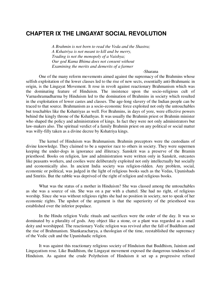### **CHAPTER IX THE LINGAYAT SOCIAL REVOLUTION**

*A Brahmin is not born to read the Veda and the Shastra; A Kshatriya is not meant to kill and be merry, Trading is not the monopoly of a Vaishya; Our god Kama Bhima does not consent without Examining the merits and demerits of a farmer* 

#### -Sharana

One of the many reform movements aimed against the supremacy of the Brahmins whose selfish exploitation of the lower classes led to the rise of new sects, essentially anti-Brahmanic in origin, is the Lingayat Movement. It rose in revolt against reactionary Brahmanism which was the dominating feature of Hinduism. The insistence upon the socio-religious cult of Varnashramadharma by Hinduism led to the domination of Brahmins in society which resulted in the exploitation of lower castes and classes. The age-long slavery of the Indian people can be traced to that source. Brahmanism as a socio-economic force exploited not only the untouchables but touchables like the Kshatriyas as well. For Brahmins, in days of yore, were effective powers behind the kingly throne of the Kshathyas. It was usually the Brahmin priest or Brahmin minister who shaped the policy and administration of kings. In fact they were not only administrators but law-makers also. The spiritual verdict of a family Brahmin priest on any political or social matter was willy-filly taken as a divine decree by Kshatriya kings.

The kernel of Hinduism was Brahmanism. Brahmin preceptors were the custodians of divine knowledge. They claimed to be a superior race to others in society. They were supermen keeping the under-dogs in ignorance and illiteracy. Sanskrit was a preserve of the Bramin priesthood. Books on religion, law and administration were written only in Sanskrit, outcastes like peasants workers, and coolies were deliberately exploited not only intellectually but socially and economically also. In ancient India society was religion-ridden. Any problem, social, economic or political, was judged in the light of religious books such as the Vedas, Upanishads and Smritis. But the rabble was deprived of the right of religion and religious books.

What was the status of a mother in Hinduism? She was classed among the untouchables as she was a source of sin. She was on a par with a chattel. She had no right, of religious worship. Since she was without religious rights she had no position in society, not to speak of her economic rights. The upshot of the argument is that the superiority of the priesthood was established over the inferior populace.

In the Hindu religion Vedic rituals and sacrifices were the order of the day. It was so dominated by a plurality of gods. Any object like a stone, or a plant was regarded as a small deity and worshipped. The reactionary Vedic religion was revived after the fall of Buddhism and the rise of Brahmanism. Shankaracharya, a theologian of the time, reestablished the supremacy of the Vedic cult and the Upanishadic religion.

It was against this reactionary religious society of Hinduism that Buddhism, Jainism and Lingayatism rose. Like Buddhism, the Lingayat movement exposed the dangerous tendencies of Hinduism. As against the crude Polytheism of Hinduism it set up a progressive refined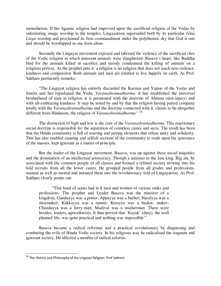monotheism. If the Agamic religion had improved upon the sacrificial religion of the Vedas by substituting image worship in the temples, Lingayatism superseded both by its particular *Ishta Linga* worship and proclaimed its firm commandment under the polytheistic sky that God is one and should be worshipped in one form alone.

Secondly the Lingayat movement exposed and tabooed the violence of the sacrificial rites of the Vedic religion in which innocent animals were slaughtered. Basava's heart, like Buddha bled for the animals killed in sacrifice and stronly condemned the killing of animals on a religious pretext. As the prophet puts it: a religion is no religion that does not teach non-violence, kindness and compassion. Both animals and men are entitled to live happily on earth. As Prof. Sakhare pertinently remarks:

"The Lingayat religion has entirely discarded the Karmas and Yajnas of the Vedas and Smrits and has repudiated the Vedic *Varanashramadharma;* it has established the universal brotherhood of man in religion; it is permeated with the doctrine of Ahimsa (non-injury) and with all-embracing kindness. It may be noted by and by that the religion having parted company totally with the *Varanashramadharma* and the doctrine connected with it, claims to be altogether different from Hinduism, the religion of *Varanashramadharma"* <sup>18</sup>

The distinction of high and low is the core of the *Varanashramadharma*. This reactionary social doctrine is responsible for the separation of countless castes and sects. The result has been that the Hindu community is full of warring and jarring elements that refuse unity and solidarity. This has also enabled cunning and selfish sections of the community to trade upon the ignorance of the masses, kept ignorant as a matter of principle.

But the leader of the Lingayat movement, Basava, was up against these social iniquities and the domination of an intellectual aristocracy. Though a minister to the Jain king, Bijj ala, he associated with the common people of all classes and formed a refined society inviting into his fold recruits from all the lower castes. He grouped people from all grades and professions, manual as well as mental and initiated them into the revolutionary fold of Lingayatism. As Prof. Sakhare clearly points out:

"That band of saints had in it men and women of various ranks and professions. The prophet and Leader Basava was the minister of a kingdom; Gundayya was a potter; Appayya was a barber; Haralyya was a shoemaker; Kakkayya was a tanner, Ketayya was a basket- maker; Chaudayya was a ferry-man; Madival was a washerman. There were besides, traders, agriculturists, It thus proved that 'Kayak' (duty), the well planned life, was quite practical and nothing was impossible."

Basava became a radical reformer and a practical revolutionary by diagnosing and combating the evils of Hindu Vedic society. In his religious way he radicalised the stagnant and ignorant society. He affected a number of radical reforms.

 $^{18}$  The History and Philosophy of the Lingayat Religion: Prof Sakhare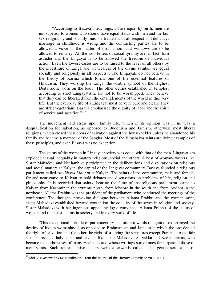"According to Basava's teachings, all are equal by birth; men are not superior to women who should have equal status with men and the fair sex religiously and socially must be treated with all respect and delicacy; marriage in childhood is wrong and the contracting parties are to be allowed a voice in the matter of their union; and windows are to be allowed to remarry. All the iron fetters of social tyranny are, in fact, torn asunder and the Lingayat is to be allowed the freedom of individual action. Even the lowest castes are to be raised to the level of all others by the investiture of Linga and all wearers of the divine symbol are equal socially and religiously in all respects... The Lingayats do not believe in the theory of Karma which forms one of the essential features of Hinduism. They worship the Linga, the visible symbol of the Highest Deity alone worn on the body. The other deities established in temples, according to strict Lingayatism, are not to be worshipped. They believe that they can be liberated from the entanglements of the world in this very life. But the everyday life of a Lingayat must be very pure and clean. They are strict vegetarians. Basava emphasised the dignity of labor and the spirit of service and sacrifice." <sup>19</sup>

The movement laid stress upon family life, which in its opinion was in no way a disqualification for salvation, as opposed to Buddhism and Jainism, otherwise most liberal religions, which closed their doors of salvation against the house-holder unless he abandoned his family and became a member of the Sangha. Most of the Virashaiva saints are living examples of these principles, and even Basava was no exception.

The status of the women in Lingayat society was equal with that of the man. Lingayatism exploded sexual inequality in matters religious, social and others. A host of woman- writers like Sister Mahadèvi and Neelambike participated in the deliberations and disputations on religious and social matters at Kalyan, the capital of the Lingayat community. Basava founded a religious parliament called *Anubhava Mantap* at Kalyan. The saints of the community, male and female, far and near came to Kalyan to hold debates and discussions on problems of life, religion and philosophy. It is recorded that saints, hearing the fame of the religious parliament, came to Kalyan from Kashmir in the extreme north, from Mysore in the south and from Andhra in the northeast. Allama Prabhu was the president of the parliament who conducted the meetings of the conference. The thought- provoking dialogue between Allama Prabhu and the woman saint, sister Mahadevi established beyond contention the equality of the sexes in religion and society. Sister Mahadevi with her ingenious appealing logic convinced Allama Prabhu of the status of women and their just claims in society and in every walk of life.

'This exceptional attitude of parliamentary insitution towards the gentle sex changed the destiny of Indian womanhood, as opposed to Brahmanism and Jainism in which the one denied the right of salvation and the other the right of studying the scriptures except Puranas, to the fair sex. It produced lady saints and savants like sister Mahadevi, Satyakka and Neelalochana, who became the authoresses of many Vachanas and whose writings some times far surpassed those of men saints. Such representative sisters were afterwards called 'The gentle sex saints of

<sup>&</sup>lt;sup>19</sup> Shri Basaveshwar by Dr. Nandimath; From the Journal of the Literary Committee Vol-I. No.1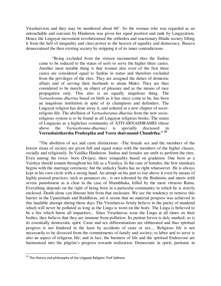Virashaivism and they may be numbered about 60'. So the woman who was regarded as an untouchable and outcaste by Hinduism was given her equal position and rank by Lingayatism. Hence the Lingayat movement revolutionised the orthodox and reactionary Hindu society lifting it from the hell of inequality and class-power to the heaven of equality and democracy. Basava democratised the then existing society by stripping it of its inner contradictions.

"Being excluded from the sixteen sacramental rites the Sudras came to be reduced to the status of serfs to serve the higher three castes. Another most notable thing is that women also even of the first three castes are considered equal to Sudras in status and therefore excluded from the privileges of the rites. They are assigned the duties of domestic affairs and of serving their husbands to attain Mukti. They are thus considered to be merely an object of pleasure and as the means of race propagation only. This also is an equally iniquitous thing. The *Varnashrama dharrna* based on birth as it has since come to be, has been an iniquitous institution in spite of its champions and defenders. The Lingayat religion has done away it, and ushered in a new chapter of socioreligous life. The abolition of *Varnasharama-dharina* from the new socioreligious system is to be found in all Lingayat religious books. The status of Lingayats as a highclass community of ATIVARNASHRAMIS (those above the *Varnashrama-dharma)* is specially discussed in **Veerashaiotkarsha Pradeepika and Veera shaivanand Chandrika." <sup>20</sup>**

"The abolition of sex and caste distinctions: -The female sex and the members of the lowest strata of society are given full and equal status with the members of the higher classes, socially and religiously. In Vaidika Hinduism. Sudras and females are unfit to perform the rites. Even among the twice- born (Dvijas), there isinquality based on gradation. One born as a Vaishya should remain throughout his life as a Vaishya. In the case of females, the first samskara begins with the marriage ceremony; but the unlucky Sudra has no right whatsoever. He is always kept in his own circle with a strong hand. An attmpt on his part to rise above it even by means of highly praised practices, such as penances etc., is not tolerated by the Brahmins and meets with severe punishment as is clear in the case of Shambhuka, killed by the most virtuous Rama. Everything depends on the right of being born in a particular community in which he is strictly enclosed. Death alone can liberate him from that enclosure. We see the tendency to remove this barrier in the Upanishads and Buddhism, yet it seems that no material progress was achieved in this laudable attempt during those days The Virashaivas firmly believe in the purity of mankind which will never be polluted as long as the Linga is worn on the body. The Linga is believed to be a fire which burns all impurities... Since Virashaivas wear the Linga at all times on their bodies, they believe that they are immune from pollution. Its puritan fervor is duly marked; so is its essentially democratic spirit. Caste and sex differentiations are obliterated and thus spiritual progress is not hindered in the least by accidents of caste or sex.... Religious life is not necessarily to be divorced from the commitments of family and society; to labor and to serve is also an aspect of religious life; and in fact, the business of life and the spiritual Endeavour are harmonised into the pilgrim's progress towards realization. Democratic in spirit, puritanic in

<sup>&</sup>lt;sup>20</sup> The History and philosophy of the Lingayat Religion: Prof Sakhare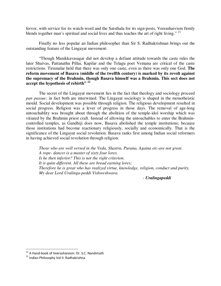fervor, with service for its watch-word and the Satsthala for its sign-posts, Veerashaivism firmly blends together man's spiritual and social lives and thus teaches the art of right living."  $21$ 

Finally no less popular an Indian philosopher than Sir S. Radhakrishnan brings out the outstanding feature of the Lingayat movement:

"Though Manikkavasagar did not develop a defiant attitude towards the caste rules the later Shaivas, Pattanathu Pillai, Kapilar and the Telagu poet Vemana are critical of the caste restrictions. Tirumalar held that there was only one caste, even as there was only one God. **The reform movement of Basava (middle of the twelfth century) is marked by its revolt against the supremacy of the Brahmin, though Basava himself was a Brahmin. This sect does not**  accept the hypothesis of rebirth"<sup>22</sup>

The secret of the Lingayat movement lies in the fact that theology and sociology proceed *pan passue;* in fact both are interwined. The Lingayat sociology is shaped in the monotheistic mould. Social development was possible through religion. The religious development resulted in social progress. Religion was a lever of progress in those days. The removal of age-long untouchablity was brought about through the abolition of the temple-idol worship which was vitiated by the Brahmin priest craft. Instead of allowing the untouchables to enter the Brahmincontrolled temples, as Gandhiji does now, Basava abolished the temple institutions; because those institutions had become reactionary religiously, socially and economically. That is the significance of the Lingayat social revolution. Basava ranks first among Indian social reformers in having achieved social revolution through religion:

*Those who are well versed in the Veda, Shastra, Purana, Againa etc-are not great. A rope- dancer is a master of sixty four lores. Is he then inferior? This is not the right criterion. It is quite different. All these are bread earning lores; Therefore he is great who has realized virtue, knowledge, religion, conduct and purity, My dear Lord Uralinga-peddi Vishweshwara.* 

- *Uralingapeddi* 

<sup>&</sup>lt;sup>21</sup> A Hand-book of Veerashaivism: Dr. S.C. Nandimath

<sup>22</sup> Indian Philosophy Vol II: Radhakrishna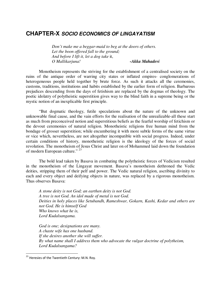### **CHAPTER-X SOCIO ECONOMICS OF LINGAYATISM**

*Don't make me a beggar-maid to beg at the doors of others. Let the boon offered fall to the ground; And before I lift it, let a dog take* it, *O Mallikarjuna! -Akka Mahadevi*

Monotheism represents the striving for the establishment of a centralised society on the ruins of the antique order of warring city states or inflated empires- conglomerations of heterogeneous people held together by brute force. As such it attacks all the ceremonies, customs, traditions, institutions and habits established by the earlier form of religion. Barbarous prejudices descending from the days of fetishism are replaced by the dogmas of theology. The poetic idolatry of polytheistic superstition gives way to the blind faith in a supreme being or the mystic notion of an inexplicable first principle.

"But dogmatic theology, futile speculations about the nature of the unknown and unknowable final cause, and the vain efforts for the realisation of the unrealizable-all these start as much from preconceived notion and superstitious beliefs as the fearful worship of fetichism or the devout ceremonies of natural religion. Monotheistic religions free human mind from the bondage of grosser superstition; while encumbering it with more subtle forms of the same virtue or vice which, nevertheless, are not altogether incompatible with social progress. Indeed, under certain conditions of history, monotheistic religion is the ideology of the forces of social revolution. The monotheism of Jesus Christ and later on of Mohammed laid down the foundation of modern European culture." <sup>23</sup>

The bold lead taken by Basava in combating the polytheistic forces of Vedicism resulted in the monotheism of the Lingayat movement. Basava's monotheism dethroned the Vedic deities, stripping them of their pelf and power. The Vedic natural religion, ascribing divinity to each and every object and deifying objects in nature, was replaced by a rigorous monotheism. Thus observes Basava:

*A stone deity is not God; an earthen deity is not God. A tree is not God. An idol made of metal is not God. Deities in holy places like Setubandh, Rameshwar, Gokarn, Kashi, Kedar and others are not God. He is himself God Who knows what he is, Lord Kudalsangama.* 

*God is one; designations are many. A chaste wife has one husband. If she desires another she will suffer. By what name shall I address them who advocate the vulgar doctrine of polytheism, Lord Kudalsangama?* 

<sup>&</sup>lt;sup>23</sup> Heresies of the Twentieth Century: M.N. Roy.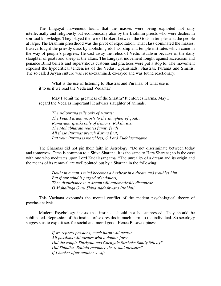The Lingayat movement found that the masses were being exploited not only intellectually and religiously but economically also by the Brahmin priests who were dealers in spiritual knowledge. They played the role of brokers between the Gods in temples and the people at large. The Brahmin priesthood was the pivot of exploitation. That class dominated the masses. Basava fought the priestly class by abolishing idol-worship and temple institutes which came in the way of people's progress. He cast away the relics of Vedic ritualism because of the daily slaughter of goats and sheep at the altars. The Lingayat movement fought against asceticism and penance Blind beliefs and superstitious customs and practices were put a stop to. The movement exposed the hypocritical tendencies of the Vedas, Upanishads, Shastras, Puranas and Smritis. The so called Aryan culture was cross-examined, ex-rayed and was found reactionary:

What is the use of listening to Shastras and Puranas; of what use is it to us if we read the Veda and Vedanta?

May I admit the greatness of the Shastra? It enforces Karma. May I regard the Veda as important? It advises slaughter of animals.

*The Adipurana tells only of Asuras; The Veda Purana resorts to the slaughter of goats. Ramayana speaks only of demons (Rakshasas); The Mahabharata relates family feuds All these Puranas preach Karma first; But your Purana is matchless, O Lord Kudalasangama.* 

The Sharanas did not pin their faith in Astrology; "Do not discriminate between today and tomorrow. Time is common to a Shiva Sharana; it is the same to Hara Sharana; so is the case with one who meditates upon Lord Kudalasangama. "The unreality of a dream and its origin and the means of its removal are well pointed out by a Sharana in the following:

> *Doubt in a man's mind becomes a bugbear in a dream and troubles him. But if our mind is purged of it doubts, Then disturbance in a dream will automatically disappear, O Mahalinga Guru Shiva siddeshwara Prabhu!*

This Vachana expounds the mental conflict of the mddem psychological theory of psycho-analysis.

Modern Psychology insists that instincts should not be suppressed. They should be sublimated. Repression of the instinct of sex results in much harm to the individual. So sexology suggests us to exploit sex for social and moral good. Hence Basava opines:

> *If we repress passions, much harm will accrue. All passions will torture with a double force. Did the couple Shiriyala and Chengale forshake family felicity? Did Shindhu- Ballala renounce the sexual pleasure? If I hanker after another's wife*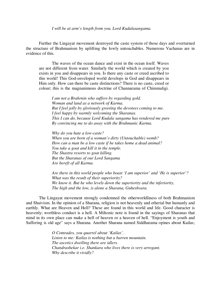#### *I will be at arm's length from you, Lord Kudalasangama.*

Further the Lingayat movement destroyed the caste system of those days and overturned the structure of Brahmanism by uplifting the lowly untouchables. Numerous Vachanas are in evidence of this.

The waves of the ocean dance and exist in the ocean itself. Waves are not different from water. Similarly the world which is created by you exists in you and disappears in you. Is there any caste or creed ascribed to this world! This God-enveloped world develops in God and disappears in Him only. How can there be caste distinctions? There is no caste, creed or colour; this is the magnanimous doctrine of Channarama of Chimmaligi.

*I am not a Brahrnin who suffers by regarding gold. Woman and land as a network of Karma. But I feel jolly by gloriously greeting the devotees coming to me. I feel happy by warmly welcoming the Sharanas. This I can do, because Lord Kudala sangama has rendered me pure By convincing me to do away with the Brahmanic Karma.*

*Why do you hate a low-caste? When you are born of a woman's dirty (Untouchable) womb? How can a man be a low caste if he takes home a dead animal? You take a goat and kill it in the temple. The Shastra resorts to goat killing. But the Sharanas of our Lord Sangama Are bereft of all Karma.* 

*Are there in this world people who boast 'I am superior' and 'He is superior'? What was the result of their superiority? We know it. But he who levels down the superiority and the inferiority, The high and the low, is alone a Sharana, Guheshvara.* 

The Lingayat movement strongly condemned the otherworldliness of both Brahmanism and Shaivism. In the opinion of a Sharana, religion is not heavenly and etherial but humanly and earthly. What are Heaven and Hell? These are found in this world and life. Good character is heavenly; worthless conduct is a hell. A Miltonic note is found in the sayings of Sharanas that mind in its own place can make a hell of heaven or a heaven of hell. "Enjoyment is youth and Suffering is old age" says a Sharana. Another Sharana named Siddharama opines about Kailas;

> *O Comrades, you quarrel about 'Kailas'. Listen to me: Kailas is nothing but a barren mountain. The ascetics dwelling there are idlers. Chandrashekar i.e. Shankara who lives there is very arrogant. Why describe it vividly?*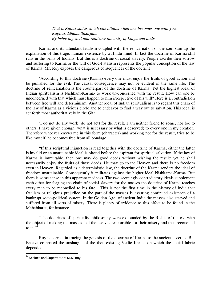*That is Kailas status which one attains when one becomes one with you, Kapilasiddhamallikarjuna, By behaving well and realising the unity of Linga and body.* 

Karma and its attendant fatalism coupled with the reincarnation of the soul sum up the explanation of this tragic human existence by a Hindu mind. In fact the doctrine of Karma still runs in the veins of Indians. But this is a doctrine of social slavery. People ascribe their sorrow and suffering to Karma or the will of God-Fatalism represents the popular conception of the law of Karma. Mr. Roy exposes the dangerous consequences of the doctrine:

'According to this doctrine (Karma) every one must enjoy the fruits of good action and be punished for the evil. The causal consequence may not be evident in the same life. The doctrine of reincarnation is the counterpart of the doctrine of Karma. Yet the highest ideal of Indian spiritualism is Nishkam-Karma- to work un-concerned with the result. How can one be unconcerned with that which must happen to him irrespective of his will? Here is a contradiction between free will and determinism. Another ideal of Indian spiritualism is to regard this chain of the law of Karma as a vicious circle and to endeavor to find a way out to salvation. This ideal is set forth most authoritatively in the Gita:

'I do not do any work (do not act) for the result. I am neither friend to some, nor foe to others. I have given enough (what is necessary or what is deserved) to every one in my creation. Therefore whoever knows me in this form (character) and working not for the result, tries to be like myself, he becomes free from all bondage.

"If this scriptural injunction is read together with the doctrine of Karma; either the latter is invalid or an unattainable ideal is placed before the aspirant for spiritual salvation. If the law of Karma is immutable, then one may do good deeds without wishing the result; yet he shall necessarily enjoy the fruits of those deeds. He may go to the Heaven and there is no freedom even in Heaven. Regarded as a deterministic law, the doctrine of the Karma renders the ideal of freedom unattainable. Consequently it militates against the higher ideal Nishkama-Karma. But there is some sense in this apparent madness. The two seemingly contradictory ideals supplement each other for forging the chain of social slavery for the masses the doctrine of Karma teaches every man to be reconciled to his fate... This is not the first time in the history of India that fatalism or religious prejudice on the part of the masses is assuring continued existence of a bankrupt socio-political system. In the Golden Age' of ancient India the masses also starved and suffered from all sorts of misery. There is plenty of evidence to this effect to be found in the Mahabharat, for instance.

"The doctrines of spiritualist philosophy were expounded by the Rishis of the old with the object of making the masses feel themselves responsible for their misery and thus reconciled to it.  $24$ 

Roy is correct in tracing the genesis of the doctrine of Karma to the ancient ascetics. But Basava combated the onslaught of the then existing Vedic Karma on which the social fabric depended.

<sup>&</sup>lt;sup>24</sup> Sceince and Superstition: M.N. Roy.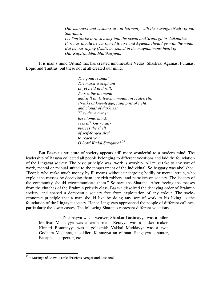*Our manners and customs are in harmony with the sayings (Nudi) of our Sharanas. Let Smritis be thrown away into the ocean and Srutis go to Vaikuntha; Puranas should be consumed to fire and Agamas should go with the wind. But let our saying (Nudi) be seated in the magnanimous heart of Our Kapilshiddha Mallikarjuna.* 

It is man's mind (Atma) that has created innumerable Vedas, Shastras, Agamas, Puranas, Logic and Tantras, but these not at all created our mind.

> *The goad is small The massive elephant Is yet held in thrall; Tiny is the diamond and still at its touch a mountain scattereth; streaks of knowledge, faint pins of light and clouds of darkness They drive away; the atomic mind, sees all, knows allpierces the shell of self-forged sloth to reach you O Lord Kudal Sangama!* <sup>25</sup>

But Basava's structure of society appears still more wonderful to a modern mind. The leadership of Basava collected all people belonging to different vocations and laid the foundation of the Lingayat society. The basic principle was: work is worship. All must take to any sort of work, mental or manual suited to the temperament of the individual. So beggary was abolished. "People who make much money by ill means without undergoing bodily or mental strain, who exploit the masses by deceiving them, are rich robbers, and parasites on society. The leaders of the community should excommunicate them." So says the Sharana. After freeing the masses from the clutches of the Brahmin priestly class, Basava dissolved the decaying order of Brahmin society, and shaped a democratic society free from exploitation of any colour. The socioeconomic principle that a man should live by doing any sort of work to his liking, is the foundation of the Lingayat society. Hence Lingayats approached the people of different callings, particularly the lower castes. The following Sharanas represent different vocations-

Jedar Dasimayya was a weaver; Shankar Dasimayya was a tailor. Madival Machayya was a washerman. Ketayya was a basket maker, Kinnari Bommayya was a goldsmith Vakkal Muddayya was a ryot. Godhara Madanna, a soldier; Kannayya an oilman. Sangayya a hunter, Basappa a carpenter, etc…

<sup>&</sup>lt;sup>25</sup> \* Musings of Baava: Profs: Shrinivas Iyengar and Basaanal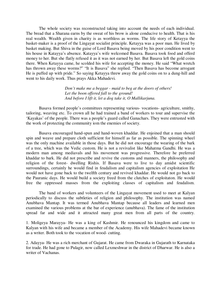The whole society was reconstructed taking into account the needs of each individual. The bread that a Sharana earns by the sweat of his brow is alone conducive to health. That is his real wealth. Wealth given in charity is as worthless as worms. The life story of Ketayya the basket-maker is a proof of the Lingayat socialist principle. Ketayya was a poor man. He lived by basket making. But Shiva in the guise of Lord Basava being moved by his poor condition went to his house in Katayya's absence. Katayya's wife welcomed Basava. Basava took food and offerd money to her. But she flatly refused it as it was not earned by her. But Basava left the gold coins there. When Ketayya came, he scolded his wife for accepting the money. He said "What wretch has thrown away these worms?" "It is Basava" she replied. "Then Basava has become arrogant He is puffed up with pride." So saying Ketayya threw away the gold coins on to a dung-hill and went to his daily work. Thus prays Akka Mahadevi.

> *Don't make me a beggar - maid to beg at the doors of others! Let the boon offered fall to the ground! And before I lift it, let a dog take it, O Mallikarjuna.*

Basava formed people's committees representing various- vocations- agriculture, smithy, tailoring, weaving etc. To crown all he had trained a band of workers to tour and supervise the 'Kayakas' of the people. There was a people's guard called Ganachars. They were entrusted with the work of protecting the community iom the enemies of society.

Basava encouraged hand-spun and hand-woven khaddar. He enjoined that a man should spin and weave and prepare cloth sufficient for himself as far as possible. The spinning wheel was the only machine available in those days. But he did not encourage the wearing of the bark of a tree, which was the Vedic custom. He is not a revivalist like Mahatma Gandhi. He was a modern man among mediavals and his movement was progressive. Therefore he preferred khaddar to bark. He did not prescribe and revive the customs and manners, the philosophy and religion of the forest- dwelling Rishis. If Basava were to live to day amidst scientific surroundings, certainly he would find in feudalism and capitalism agencies of exploitation He would not have gone back to the twelfth century and revived khaddar. He would not go back to the Pauranic days. He would build a society freed from the clutches of exploitaton. He would free the oppressed masses from the exploiting classes of capitalism and feudalism.

The band of workers and volunteers of the Lingayat movement used to meet at Kalyan periodically to discuss the subtleties of religion and philosophy. The institution was named Anubhava Mantap. It was termed Anubhava Mantap because all leaders and learned men examined the various problems at the bar of experience (anubhava). The fame of the institution spread far and wide and it attracted many great men from all parts of the country.

1. Moligeya Marayya- He was a king of Kashmir. He renounced his kingdom and came to Kalyan with his wife and became a member of the Academy. His wife Mahadevi became known as a writer. Both took to the vocation of wood- cutting.

2. Adayya- He was a rich merchant of Gujarat. He came from Dwaraka in Gujarath to Karnataka for trade. He had gone to Pulagir, now called Lexmeshwar in the district of Dharwar. He is also a writer of Vachanas.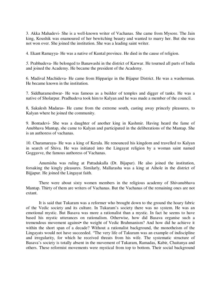3. Akka Mahadevi- She is a well-known writer of Vachanas. She came from Mysore. The Jain king, Koushik was enamoured of her bewitching beauty and wanted to marry her. But she was not won over. She joined the institution. She was a leading saint writer.

4. Ekant Ramayya- He was a native of Kuntal province. He died in the cause of religion.

*5.* Prabhudeva- He belonged to Banawashi in the district of Karwar. He tourned all parts of India and joined the Academy. He became the president of the Academy.

6. Madival Machideva- He came from Hipparige in the Bijapur District. He was a washerman. He became known in the institution.

7. Siddharameshwar- He was famous as a builder of temples and digger of tanks. He was a native of Sholarpur. Pradhudeva took him to Kalyan and he was made a member of the council.

8, Sakalesh Madaras- He came from the extreme south, casting away princely pleasures, to Kalyan where he joined the community.

9. Bontadevi- She was a daughter of another king in Kashmir. Having heard the fame of Anubhava Mantap, she came to Kalyan and participated in the deliberations of the Mantap. She is an authoress of vachanas.

10. Charamaraya- He was a king of Kerala. He renounced his kingdom and travelled to Kalyan in search of Shiva. He was initiated into the Lingayat religion by a woman saint named Goggavve, the famous authoress of Vachanas.

Anumisha was ruling at Pattadakalla (Dt. Bijapur). He also joined the institution, forsaking the kingly pleasures. Similarly, Mallarasha was a king at Aihole in the district of Bijjapur. He joined the Lingayat faith.

There were about sixty women members in the religious academy of Shivanubhava Mantap. Thirty of them are writers of Vachanas. But the Vachanas of the remaining ones are not extant.

It is said that Tukaram was a reformer who brought down to the ground the hoary fabric of the Vedic society and its culture. In Tukaram's society there was no system. He was an emotional mystic. But Basava was more a rationalist than a mystic. In fact he seems to have based his mystic utterances on rationalism. Otherwise, how did Basava organise such a tremendous movement against• the weight of Vedic Brahmanism? And how did he achieve it within the short span of a decade? Without a rationalist background, the monotheism of the Lingayats would not have succeeded. "The very life of Takuram was an example of indiscipline and irregularity, for which he received threats from his wife. The systematic structure of Basava's society is totally absent in the movement of Tukaram, Ramadas, Kabir, Chaitanya and others. These reformist movements were mystical from top to bottom. Their social background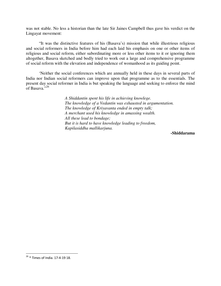was not stable. No less a historian than the late Sir Jaines Campbell thus gave his verdict on the Lingayat movement:

"It was the distinctive features of his (Basava's) mission that while illustrious religious and social reformers in India before him had each laid his emphasis on one or other items of religious and social reform, either subordinating more or less other items to it or ignoring them altogether, Basava sketched and bodly tried to work out a large and comprehensive programme of social reform with the elevation and independence of womanhood as its guiding point.

'Neither the social conferences which are annually held in these days in several parts of India nor Indian social reformers can improve upon that programme as to the essentials. The present day social reformer in India is but speaking the language and seeking to enforce the mind of Basaya." $^{3,26}$ 

> *A Shiddantin spent his life in achieving knowlege. The knowledge of a Vedantin was exhausted in argumentation. The knowledge of Kriyavanta ended in empty talk; A merchant used his knowledge in amassing wealth. All these lead to bondage; But it is hard to have knowledge leading to freedom, Kapilasiddha mallikarjuna.*

> > **-Shiddarama**

 $26 *$  Times of India. 17-4-19 18.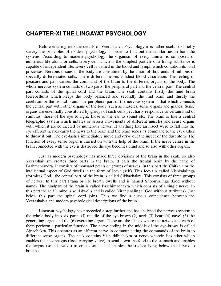# **CHAPTER-XI THE LINGAYAT PSYCHOLOGY**

Before entering into the details of Veerashaiva Psychology it is rather useful to briefly survey the principles of modern psychology in order to find out the similarities in both the systems. According to modern psychology the organism of every animal is composed of numerous life atoms or cells. Every cell which is the simplest particle of a living substance is capable of independent life. Every cell is bathed in the blood and lymph which condition its vital processes. Nervous tissues in the body are constituted by the union of thousands of millions of specially differentiated cells. These different nerves conduct blood circulation. The feeling of pleasure and pain carries the command of the brain to the different organs of the body. The whole nervous system consists of two parts, the peripheral part and the central part. The central part consists of the spinal cord and the brain. The skull contains firstly the hind brain (cerebellum) which keeps the body balanced and secondly the mid brain and thirdly the cerebrum or the frontal brain. The peripheral part of the nervous system is that which connects the central part with other organs of the body, such as muscles, sense organs and glands. Sense organs are essentially constituted by groups of such cells peculiarly responsive to certain kind of stimulus, those of the eye to light, those of the ear to sound etc. The brain is like a central telegraphic system which initates or arrests movements of different muscles and sense organs with which it are connected by numerous nerves. If anything like an insect were to fall into the eye efferent nerves carry the news to the brain and the brain sends its command to the eye-lashes to throw it out. The eye-lashes immediately move and drive out the insect or the dust atom. The function of every sense organ is carried on with the help of the brain. If the nerve centre in the brain connected with the eye is destroyed the eye becomes blind and so also with other organs.

Just as modern psychology has made three divisions of the brain in the skull, so also Veerashaivism creates three parts in the brain. It calls the frontal brain by the name of Brahmanrandra. It consists of thousand petals or groups of nerves. In this part the Chitkala or the intellectual aspect of God dwells in the form of Jeeva (self). This Jeeva is called Nishkalalinga (formless God). the central part of the brain is called Sikhachakra. This consists of three groups of nerves. In this part Prana or life breath dwells and is named Shoonyalinga (God without name). The hindpart of the brain is called Paschimachakra which consists of a single nerve. In this part the self luminous soul dwells and is called Niranjanalinga (God without attributes). Just below this part the spinal cord joins. Thus we find a curious coincidence between the Veerashaiva and modem psychological descriptions of the brain.

Lingayat psychology has proceeded a step further and has analysed the nervous system in the whole body into six parts, (I) middle of the eye-brows (2) neck (3) heart (4) navel *(5)* the generating organ and the (6) excreting organ. These are the places where the nerves and each of them perform a particular function. The nerve ending in the middle of the eye-brows is called Ajnachakra. This operates as an efferent nerve in communicating the commands of the brain to different sense organs. The neck contains Vishuddhichakra or nerve wherein lies ether which enables the aesophagus (food carrying valve) to send down the food to the stomach and enables the larynx (sound -valve) to create sound and enables the trachea lying below the larynx to breathe.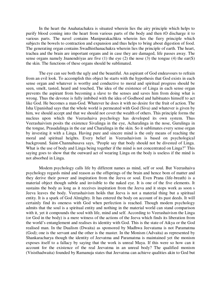In the heart the Anahatachakra is situated wherein lies the airy principle which helps to purify blood coming into the heart from various parts of the body and then tO discharge it to various parts. The navel contains Manipurakachkra wherein lies the fiery principle which subjects the bowels to contraction and expansion and thus helps to bring about digestion of food. The generating organ contains Swadhisthanachakra wherein lies the principle of earth. The heart, trachea and the brain are important organs and in case they are damaged, life passes away. The sense organs namely Jnanendriyas are five (1) the eye (2) the nose (3) the tongue (4) the ear(S) the skin. The functions of these organs should be sublimated.

The eye can see both the ugly and the beautiful. An aspirant of God endeavours to refrain from an evil look. To accomplish this object he starts with the hypothesis that God exists in each sense organ and whatever is worthy and conductive to moral and spiritual progress should be seen, smelt, tasted, heard and touched, The idea of the existence of Linga in each sense organ prevents the aspirant from becoming a slave to the senses and saves him from doing what is wrong. Thus the devotee is fully imbibed with the idea of Godhood and habituates himself to act like God. He becomes a man-God. Whatever he does it with no desire for the fruit of action. The Isha Upanishad says that the whole world is permeated with God (Siva) and whatever is given by him, we should accept and that we should not covet the wealth of others. This principle forms the nucleus upon which the Veerashaiva psychology has developed its own system. Thus Veerashaivism posits the existence Sivalinga in the eye, Acharalinga in the nose, Gurulinga in the tongue, Prasadalinga in the ear and Charalinga in the skin. So it sublimates every sense organ by investing it with a Linga. Having pure and sincere mind is the only means of reaching the moral and spiritual heights. Every belief in Veerashaivism is based on psychological background. Saint-Channabasava says, 'People say that body should not be divested of Linga. What is the use of body and Linga being together if the mind is not concentrated on Linga?" This saying goes to show that the outward act of wearing Linga on the body is useless if the mind is not absorbed in Linga.

Modem psychology calls life by different names as mind, self or soul. But Veerashaiva psychology regards mind and reason as the offsprings of the brain and hence bom of matter and they derive their power and inspiration from the Jeeva or soul. Even Prana (life-breath) is a material object though subtle and invisible to the naked eye. It is one of the five elements. It sustains the body as long as it receives inspiration from the Jeeva and it stops work as soon s Jeeva leaves the body. Veerashaivism holds that Jeeva is not a material thing but a spiritual entity. It is a spark of God Almighty. It has entered the body on account of its past deeds. It will certainly find its oneness with God when perfection is reached. Though modem psychology admits that the soul is a spiritual entity and nothing in the material world can stand comparison with it, yet it compounds the soul with life, mind and self. According to Veerashaivism the Linga (or God in the body) is a mere witness of the actions of the Jeeva which finds its liberation from the world's entanglement and realises its identity with God. This is the state of Aikya or the God realised man. In the Dualism (Dwaita) as sponsored by Madhwa Jeevatama is not Paramatma (God); one is the servant and the other is the master. In the Monism (Advaita) as represented by Shankaracharya though the identity of Jeevatma and Paramatma is maintained yet the monism exposes itself to a fallacy by saying that the work is unreal Maya. If this were so how can it account for the existence of the real Jeevatma in an unreal body? The qualified monism (Visisthadwaita) founded by Ramanuja states that Jeevatma can achieve qualities akin to God but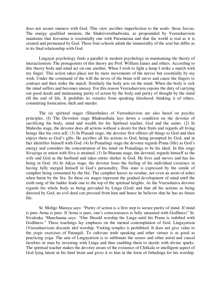does not secure oneness with God. This view ascribes imperfection to the souls- those Jeevas. The energy qualified monism, the Shaktivisisthadwaita, as propounded by Veerashaivism maintains that Jeevatma is essetntially one with Paramatma and that the world is real as it is created and permeated by God. These four schools admit the immortality of the soul but differ as to its final relationship with God.

Lingayat psychology finds a parallel in modern psychology in maintaining the theory of interactionism. The protagonists of this theory are Prof. William Jaines and others. According to this theory body and mind act on one another. When I wish to light a lamp I strike a match with my finger. This action takes place not by mere movements of the nerves but essentially by my wish. Under the command of the will the neves of the brain will move and cause the fingers to contract and then strike the match. Similarly the body acts on the mind. When the body is sick the mind suffers and becomes uneasy. For this reason Veerashaivism enjoins the duty of carrying out good deeds and maintaining purity of action by the body and purity of thought by the mind till the end of life. It prohibits its votaries from speaking falsehood, thinking ii of others, committing fornication, theft and murder.

The six spiritual stages (Shatsthalas) of Veerashaivism are also based on psychic principles. (I) The Devotion stage Bhaktasthala lays down a condition on the devotee of sacrificing his body, mind and wealth for his Spiritual teacher, God and the saints. (2) In Mahesha stage, the devotee does all actions without a desire for their fruits and regards all living beings like his own self. (3) In Prasadi stage, the devotee first offeres all things to God and then enjoys them as God's gifts. He ascribes all his actions to God, being prompted by God, and in fact identifies himself with God. (4) In Pranalingi stage the devotee regards Prana (life) as God's energy and considers the concentration of his mind on Pranalinga to be his ideal. In this stage Sivayoga or union with Siva is attained. *(5)* In Sharana stage, the devoted, regards himself as the wife and God as the husband and takes entire shelter in God. He lives and moves and has his being in God. (6) In Aikya stage, the devotee loses the feeling of his individual existence in having fully merged himself in God's personality. This state is expressed by the simile of camphor being consumed by the fire. The camphor leaves no residue, not even an atom of ashes when burnt by the fire. So these six stages represent the gradual development of mind until the sixth rung of the ladder leads one to the top of the spiritual heights. As the Veerashaiva devotee regards his whole body as being pervaded by Linga (God) and that all his actions as being directed by God, no evil deed can proceed from him and hence he believes that he has no future life.

St. Molige Maraya says: "Purity of action is a first step to secure purity of mind. If mind is pure Atma is pure. If Atma is pure, one's consciousness is fully satuarted with Godliness" St. Sivalenka 'Manchanna says- "One Should worship the Linga until his Prana is imbibed with Godliness." These teachings lay emphasis on the mental contemplation of God. Lingayatism (Veerashaivism) discards idol worship. Visiting temples is prohibited. It does not give value to the yogic exercises of Patanjali. To cultivate truth speaking and other virtues is as good as practicing yoga. The aim of Lingayatism is to sublimate the senses and other astral and causal faculties in man by investing with Linga and thus enabling them to dazzle with divine sparks. The spiritual teacher makes the devotee aware of the existence of Chitkala or intelligent aspect of God lying latent in his hind brain and gives it to him in the form of Isthalinga for his worship.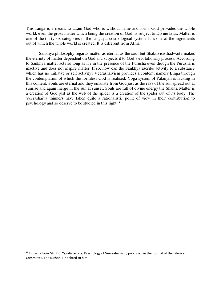This Linga is a means to attain God who is without name and form. God pervades the whole world, even the gross matter which being the creation of God, is subject to Divine laws. Matter is one of the thirty six categories in the Lingayat cosmological system. It is one of the ingredients out of which the whole world is created. It is different from Atma.

Sankhya philosophy regards matter as eternal as the soul but Shaktivisisthadwaita makes the eternity of matter dependent on God and subjects it to God's evolutionary process. According to Sankhya matter acts so long as it i in the presence of the Purusha even though the Purusha is inactive and does not inspire matter. If so, how can the Sankhya ascribe activity to a substance which has no initiatve or self activity? Veerashaivism provides a content, namely Linga through the contemplation of which the formless God is realised. Yoga system of Patanjali is lacking in this content. Souls are eternal and they emanate from God just as the rays of the sun spread out at sunrise and again merge in the sun at sunset. Souls are full of divine energy the Shakti. Matter is a creation of God just as the web of the spider is a creation of the spider out of its body. The Veerashaiva thinkers have taken quite a rationalistic point of view in their contribution to psychology and so deserve to be studied in this light. <sup>27</sup>

 $^{27}$  Extracts from Mr. Y.C. Yagatis article, Psychology of Veerashaivism, published in the Journal of the Literary Committes. The author is indebted to him.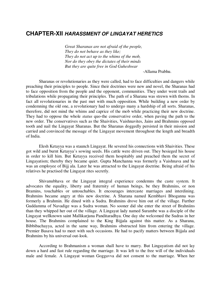#### **CHAPTER-XII HARASSMENT OF LINGAYAT HERETICS**

*Great Sharanas are not afraid of the people, They do not behave as they like; They do not act up to the whims of the mob, Nor do they obey the dictates of their minds But they are quite free in God Guheshwar* 

-Allama Prabhu.

Sharanas or revolutionaries as they were called, had to face difficulties and dangers while preaching their principles to people. Since their doctrines were new and novel, the Sharanas had to face opposition from the people and the opponent, communities. They under went trails and tribulations while propagating their principles. The path of a Sharana was strewn with thorns. In fact all revolutionaries in the past met with much opposition. While building a new order by condemning the old one, a revolutionary had to undergo many a hardship of all sorts. Sharanas, therefore, did not mind the whims and caprice of the mob while practicing their new doctrine. They had to oppose the whole *status* quo-the conservative order, when paving the path to the new order. The conservatives such as the Shaivities, Vaishnavites, Jains and Brahmins opposed tooth and nail the Lingayat Sharanas. But the Sharanas doggedly persisted in their mission and carried and convinced the message of the Lingayat movement throughout the length and breadth of India.

Elesh Ketayya was a staunch Lingayat. He severed his connections with Shaivities. These got wild and burnt Ketayya's sowing seeds. His cattle were driven out. They besieged his house in order to kill him. But Ketayya received them hospitably and preached them the secret of Lingayatism; thereby they became quiet. Gupta Manchanna was formerly a Vaishnava and he was an employee of Bijj ala. Later he was attracted to the Lingayat doctrine. Being afraid of his relatives he practised the Lingayat rites secretly.

Shivanubhava or the Lingayat integral experience condemns the caste system. It advocates the equality, liberty and fraternity of human beings, be they Brahmins, or non Bramins, touchables or untouchables. It encourages intercaste marriages and interdining. Brahmins became angry at this new doctrine. A Sharana named Kembhavi Bhoganna was formerly a Brahmin. He dined with a Sudra. Brahmins drove him out of the village. Further Guddamma of Navadige was a Sudra woman. No sooner did she enter the street of Brahniins than they whipped her out of the village. A Lingayat lady named Surambe was a disciple of the Lingayat wellknown saint Mallikarjuna Panditaradhya. One day she welcomed the Sudras in her house. The Brahmins complained to the King Bijjala against this matter. As a Sharana, Bibbibachayya, acted in the same way, Brahmins obstructed him from entering the village. Premier Basava had to meet with such occasions. He had to pacify matters between Bijjala and Brahmins by his universal out-look.

According to Brahmanism a woman shall have to marry. But Lingayatism did not lay down a hard and fast rule regarding the marriage. It was left to the free will of the individuals male and female. A Lingayat woman Goggavva did not consent to the marriage. When her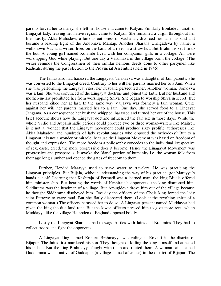parents forced her to marry, she left her house and came to Kalyan. Similarly Bontadevi, another Lingayat lady, leaving her native region, came to Kalyan. She remained a virgin throughout her life. Lastly, Akka Mahadevi, a famous authoress of Vachanas, divorced her Jain husband and became a leading light of the Anubhava Mantap. Another Sharana Uriligadeva by name, a wellknown Vachana writer, lived on the bank of a river in a straw hut. But Brahmins set fire to the hut. A young girl named Kolambi lived with her companion girls in a cottage. All were worshipping God while playing. But one day a Vaishnava in the village burnt the cottage. (The writer reminds the Congressmen of their similar henious deeds done to other partymen like Radicals, during the past election to the Provincial Assemblies held in 1946).

The Jainas also had harassed the Lingayats. Tilakavva was a daughter of Jain parents. She was converted to the Lingayat creed. Contrary to her will her parents married her to a Jain. When she was performing the Lingayat rites, her husband persecuted her. Another woman, Somovva was a lain. She was convinced of the Lingayat doctrine and joined the faith. But her husband and mother-in-law prohibited her from worshipping Shiva. She began to worship Shiva in secret. But her husband killed her at last. In the same way Vaijavva was formely a Jain woman. Quite against her will her parents married her to a Jain. One day, she served food to a Lingayat Jangama. As a consequence her husband whipped, harassed and turned her out of the house. This brief account shows how the Lingayat doctrine influenced the fair sex in those days. While the whole Vedic and Aupanishadic periods could produce two or three woman-writers like Maitrei, is it not a. wonder that the Lingayat movement could produce sixty prolific authoresses like Akka Mahadevi and hundreds of lady revolutionaries who opposed the orthodoxy? But to a Lingayat it is not a wonder or miracle; because the Lingayat Movement was based on freedom of thought and expression. The more freedom a philosophy concedes to the individual irrespective of sex, caste, creed, the more progressive does it become. Hence the Linagayat Movement was progressive and prosperous. It awoke the 'dark' portion of humanity i.e. the woman folk from their age long slumber and opened the gates of freedom to them.

Further, Hendad Marayya used to serve water to travelers. He was practicing the Lingayat principles. But Bijjala, without understanding the way of his practice, got Marayya's hands cut off. Learning that Keshiraja of Permadi was a learned man, the king Bijjala offered him minister ship. But hearing the words of Keshiraja's opponents, the king dismissed him. Siddhrama was the headman of a village. But Amugideva drove him out of the village because he thought Siddhrama disobeyed him. One day the officers of the Chola king forced the lady saint Pittavve to carry mud. But she flatly disobeyed them. (Look at the revolting spirit of a common woman!) The officers harassed her to do so. A Lingayat peasant named Muddayya had given the king the due land rent. But the lower officers pressed him to give more rent, which Muddayya like the village Hampden of England opposed boldly.

Lastly the Lingayat Sharanas had to wage battles with Jains and Brahmins. They had to collect troops and fight the opponents.

A Lingayat king named Kohuru Brahmayya was ruling at Kovalli in the district of Bijapur. The Jains first murdered his son. They thought of killing the king himself and attacked his palace. But the king Brahmayya fought with them and routed them. A woman saint named Guddamma was a native of Guddapur (a village named after her) in the district of Bijapur. The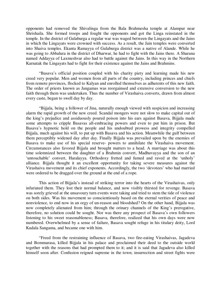opponents had removed the Shivalinga from the Bala Brahmesha temple at Alampur near Shrishaila. She formed troops and fought the opponents and got the Linga reinstated in the temple. In the district of Gulaburga a regular war was waged between the Lingayats and the Jains in which the Lingayats were crowned with success. As a result, the Jain temples were converted into Shaiva temples. Ekanta Ramayya of Gulaburga district was a native of Alande. While he was going to Abbalura in the district of Dharwar, he had to fight with the Jains there. A Sharana named Addayya of Laxmeshvar also had to battle against the Jains. In this way in the Northern Karnatak the Lingayats had to fight for their existence against the Jains and Brahmins.

"Basava's official position coupled with his charity piety and learning made his new creed very popular. Men and women from all parts of the country, including princes and chiefs from remote provinces, flocked to Kalyan and enrolled themselves as adherents of this new faith. The order of priests known as Jangamas was reorgainsed and extensive conversion to the new faith through them was undertaken. Thus the number of Virashaiva converts, drawn from almost every caste, began to swell day by day.

"Bijjala, being a follower of Jina, naturally enough viewed with suspicion and increasing alarm the rapid growth of the new creed. Scandal mongers were not slow to make capital out of the king's prejudice and assiduously poured poison into his ears against Basava, Bijjala made some attempts to cripple Basavas all-embracing powers and even to put him in prison. But Basava's hypnotic hold on the people and his undoubted prowess and integrity compelled Bijjala, much against his will, to put up with Basava and his action. Meanwhile the gulf between them perceptibly widened day after day. Finally Bijjala was prevailed upon by the enemies of Basava to make use of his special reserve- powers to annihilate the Virashaiva movement. Circumstances also favored Bijjala and brought matters to a head. A marriage was about this time solemnized between the daughter of a Brahmin convert, Madhuvayya and the son of an 'untouchable' convert, Haralayya. Orthodoxy fretted and fumed and raved at the 'unholy' alliance. Bijjala thought it an excellent opportunity for taking severe measures against the Virashaiva movement and its chief exponents. Accordingly, the two 'devotees' who had married were ordered to be dragged over the ground at the end of a rope.

This action of Bijjala's instead of striking terror into the hearts of the Virashaivas, only infuriated them. They lost their normal balance, and now visibly thirsted for revenge. Basava was sorely grieved at the unsavoury turn events were taking and tried to stem the tide of violence on both sides. Was his movement so conscientiously based on the eternal verities of peace and nonviolence, to end now in an orgy of un-reason and bloodshed? On the other hand, Bijjala was now completely alienated from him; through the orinary channels of the King's prerogative, therefore, no solution could be sought. Nor was there any prospect of Basava's own followers listening to his sweet reasonableness; Basava, therefore, realized that his own days were now numbered. Overwhelmed by a sense of failure, Basava sought refuge in his titulary deity, Lord Kudala Sangama, and became one with him.

"Freed from the restraining influence of Basava, two fire-eating Virashaivas, Jagadeva and Bommarasa, killed Bijjala in his palace and proclaimed their deed to the outside world together with the reasons that had prompted them to it; and it is said that Jagadeva also killed himself soon after. Confusion reigned supreme in the town; insurrection and street fights were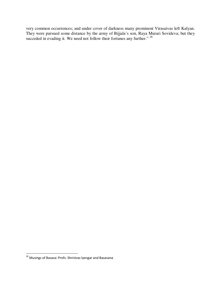very common occurrences; and under cover of darkness many prominent Virasaivas left Kalyan. They were pursued some distance by the army of Bijjala's son, Raya Murari Sovideva; but they succeded in evading it. We need not follow their fortunes any further."  $^{28}$ 

<sup>&</sup>lt;sup>28</sup> Musings of Basava: Profs: Shrinivas lyengar and Basavana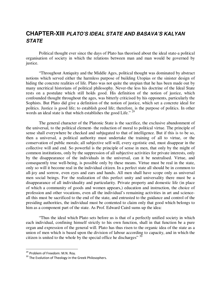# **CHAPTER-XIII PLATO'S IDEAL STATE AND BASAVA'S KALYAN STATE**

Political thought ever since the days of Plato has theorised about the ideal state-a political organisation of society in which the relations between man and man would be governed by justice.

"Throughout Antiquity and the Middle Ages, political thought was dominated by abstract notions which served either the harmless purpose of building Utopias or the sinister design of hiding the concrete realities of life. Plato was not quite the utopian that he has been made out by many uncritical historians of political philosophy. Never-the less his doctrine of the Ideal State rests on a postulate which still holds good. His definition of the notion of justice, which confounded thought throughout the ages, was bitterly criticised by his opponents, particularly the Sophists. But Plato did give a definition of the notion of justice, which set a concrete ideal for politics. Justice is good life; to establish good life; therefore, is the purpose of politics. In other words an ideal state is that which establishes the good Life." <sup>29</sup>

The general character of the Platonic State is the sacrifice, the exclusive abandonment of the universal, to the political element- the reduction of moral to political virtue. The principle of sense shall everywhere be checked and subjugated to that of intelligence. But if this is to be so, then a universal, a political authority must undertake the training of all to virtue, or the conservation of public morals; all subjective self-will, every egotistic end, must disappear in the collective will and end. So powerful is the principle of sense in men, that only by the might of common institutions, only by the suppression of all subjective activities for private interests, only by the disappearance of the individuals in the universal, can it be neutralised. Virtue, and consequently true well-being, is possible only by these means. Virtue must be real in the state, only so will it become real in the individual citizen. In a perfect state all should be in common to all-joy and sorrow, even eyes and ears and hands. All men shall have scope only as universal men social beings. For the realization of this perfect unity and universality there must be a disappearance of all individuality and particularity. Private property and domestic life (in place of which a community of goods and women appears,) education and instruction, the choice of profession and other vocations, even all the individual's remaining activities in art and scienceall this must be sacrificed to the end of the state, and entrusted to the guidance and control of the presiding authorities, the individual must be contented to claim only that good which belongs to him as a component part of the state. As Prof. Edward Caird sums up the idea:

"Thus the ideal which Plato sets before us is that of a perfectly unified society in which each individual, confining himself strictly to his own function, shall in that function be a pure organ and expression of the general will. Plato has thus risen to the organic idea of the state as a union of men which is based upon the division of labour according to capacity, and in which the citizen is united to the whole by the special office he discharges"  $30$ 

<sup>&</sup>lt;sup>29</sup> Problem of Freedom: M.N. Roy.

<sup>&</sup>lt;sup>30</sup> The Evolution of Theology in the Greek Philosophers.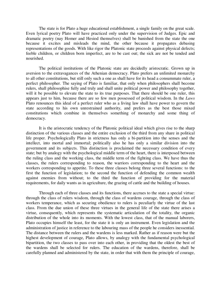The state is for Plato a huge educational establishment, a single family on the great scale. Even lyrical poetry Plato will have practiced only under the supervision of Judges. Epic and dramatic poetry (nay Homer and Hesiod themselves) shall be banished from the state the one because it excites and misleads the mind, the other because it propagates debasing representations of the goods. With like rigor the Platonic state proceeds against physical defects; feeble children, or children born imperfect, are to be cast out; the sick are not be tended and nourished.

The political institutions of the Platonic state are decidedly aristocratic. Grown up in aversion to the extravagances of the Athenian democracy. Plato prefers an unlimited monarchy to all other constitutions, but still only such a one as shall have for its head a consummate ruler, a perfect philosopher. The saying of Plato is familiar, that only when philosophers shall become rulers, shall philosophise fully and truly and shall unite political power and philosophy together, will it be possible to elevate the state to its true purposes. That there should be one ruler, this appears just to him, because there are so few men possessed of political wisdom. In the *Laws*  Plato renounces this ideal of a perfect ruler who as a living law shall have power to govern the state according to his own unrestrained authority, and prefers as the best those mixed constitutions which combine in themselves something of monarchy and some thing of democracy.

It is the aristocratic tendency of the Platonic political ideal which gives rise to the sharp distinction of the various classes and the entire exclusion of the third from any share in political life proper. Psychologically Plato in strictness has only a bi-partition into the senses and the intellect, into mortal and immortal; politically also he has only a similar division into the government and its subjects. This distinction is proclaimed the necessary condition of every state; but by analogy with the psychological middle term of the heart, there is interposed between the ruling class and the working class, the middle term of the fighting class. We have thus the classes, the rulers corresponding to reason, the warriors corresponding to the heart and the workers corresponding to appetite. To these three classes belong three several functions: to the first the function of legislation; to the second the function of defending the common wealth against enemies from without; to the third the function of providing for the material requirements, for daily wants as in agriculture, the grazing of cattle and the building of houses.

Through each of three classes and its functions, there accrues to the state a special virtue: through the class of rulers wisdom, through the class of wardens courage, through the class of workers temperance, which as securing obedience to rulers is peculiarly the virtue of the last class. From the due union of these three virtues in the general life of the state there arises a virtue, consequently, which represents the systematic articulation of the totality, the organic distribution of the whole into its moments. With the lowest class, that of the manual laborers, Plato occupies himself the least, for the state it is only an instrument. Even legislation and the administration of justice in reference to the labouring mass of the people he considers inessential. The distance between the rulers and the wardens is less marked. Rather as if reason were but the highest development of courage, Plato allows, by analogy with the fundamental psychological bipartition, the two classes to pass over into each other, in providing that the oldest the best of the wardens shall be selected for rulers. The education of the wardens, therefore, shall be carefully planned and administered by the state, in order that with them the principle of courage,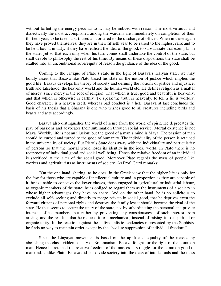without forfeiting the energy peculiar to it, may be imbued with reason. The most virtuous and dialectically the most accomplished among the wardens are immediately on completion of their thirtieth year, to be taken apart, tried and ordered to the discharge of offices. When in these again they have proved themselves, they are in their fiftieth year to be raised to the highest rank and to be held bound in duty, if they have realised the idea of the good, to substantiate that exemplar in the state, yet so that each only when his turn comes shall undertake the control of the state, but shall devote to philosophy the rest of his time. By means of these dispositions the state shall be exalted into an unconditional sovereignty of reason the guidance of the idea of the good.

Coming to the critique of Plato's state in the light of Basava's Kalyan state, we may boldly assert that Basava like Plato based his state on the notion of justice which implies the good life. Basava develops his theory of society and defining the notions of justice and injustice, truth and falsehood, the heavenly world and the human world etc. He defines religion as a matter of mercy, since mercy is the root of religion. That which is true, good and beautiful is heavenly, and that which is otherwise is earthly. To speak the truth is heavenly, to tell a lie is worldly. Good character is a heaven itself, whereas bad conduct is a hell. Basava at last concludes the basis of his thesis that a Sharana is one who wishes good to all creatures including birds and beasts and acts accordingly.

Basava also distinguishes the world of sense from the world of spirit. He deprecates the play of passions and advocates their sublimation through social service. Mortal existence is not Maya. Worldly life is not an illusion; but the greed of a man's mind is Maya. The passion of man should be curbed and turned to the good of humanity. The individuality of the person is retained in the universality of society. But Plato's State does away with the individuality and particularity of persons so that the mortal world loses its identity in the ideal world. In Plato there is no reciprocity of individual good and social well being. Hence the relative freedom of an individual is sacrificed at the alter of the social good. Moreover Plato regards the mass of people like workers and agriculturists as instruments of society. As Prof. Caird remarks:

"On the one hand, sharing, as he does, in the Greek view that the higher life is only for the few for those who are capable of intellectual culture and in proportion as they are capable of it, he is unable to conceive the lower classes, those engaged in agricultural or industrial labour, as organic members of the state; he is obliged to regard them as the instruments of a society in whose higher advantages they have no share. And on the other hand, he is so solicitous to exclude all self- seeking and directly to merge private in social good, that he deprives even the forward citizens of personal rights and destroys the family lest it should become the rival of the state. He thus seems to secure the unity of the state, not by subordinating the personal and private interests of its members, but rather by preventing any consciousness of such interest from arising, and the result is that he reduces it to a mechanical, instead of raising it to a spiritual or organic unity. In the reaction against the individualistic tendencies represented by the Sophists, he finds no way to maintain order except by the absolute suppression of individual freedom."

Since the Lingayat movement is based on the uplift and equality of the masses by abolishing the class- ridden society of Brahmanism, Basava fought for the right of the common man. Hence he retained the relative freedom of the masses in struggle for the common good of mankind. Unlike Plato, Basava did not divide society into the class of intellectuals and the mass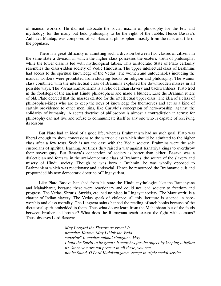of manual workers. He did not advocate the social maxim of philosophy for the few and mythology for the many but held philosophy to be the right of the rabble. Hence Basava's Aubhava Mantap, was composed of scholars and philosophers mostly from the rank and file of the populace.

There is a great difficulty in admitting such a division between two classes of citizens in the same state a division in which the higher class possesses the esoteric truth of philosophy, while the lower class is fed with mythological fables. This aristocratic State of Plato certainly resembles the class-ridden society of Vedic Hinduism. The upper intellectual class of Brahmins had access to the spiritual knowledge of the Vedas. The women and untouchables including the manual workers were prohibited from studying books on religion and philosophy. The wanior class combined with the intellectual class of Brahmins exploited the downtrodden masses in all possible ways. The Varnashramadharma is a relic of Indian slavery and backwardness. Plato trod in the footsteps of the ancient Hindu philosophers and made a blunder. Like the Brahmin rulers of old, Plato decreed that the masses existed for the intellectual upper class. The idea of a class of philosopher-kings who are to keep the keys of knowledge for themselves and act as a kind of earthly providence to other men, sins, like Carlyle's conception of hero-worship, against the solidarity of humanity. A secret doctrine of philosophy is almost a contradiction in terms: for philosophy can not live and refuse to communicate itself to any one who is capable of receiving its lessons.

But Plato had an ideal of a good life, whereas Brahmanism had no such goal. Plato was liberal enough to show concessions to the warrior class which should be admitted to the higher class after a few tests. Such is not the case with the Vedic society. Brahmins were the sole custodians of spiritual learning. At times they raised a war against Kshatriya kings to overthrow their sovereignty. But Basava's conception of society is better than either. Basava was a dialectician and foresaw in the anti-democratic class of Brahmins, the source of the slavery and misery of Hindu society. Though he was born a Brahmin, he was wholly opposed to Brahmanism which was reactionary and antisocial. Hence he renounced the Brahmanic cult and propounded his new democratic doctrine of Lingayatism.

Like Plato Basava banished from his state the Hindu mythologies like the Ramanyana and Mahabharat, because these were reactionary and could not lead society to freedom and progress. The Vedas, Shrutis, Smritis, etc. had no place in Lingayat society. The Manusmriti is a charter of Indian slavery. The Vedas speak of violence; all this literature is steeped in heroworship and class morality. The Lingayat saints banned the reading of such books because of the dictatorial spirit embedded in them. Thus what do we learn from the Mahabharat but of the feuds between brother and brother? What does the Ramayana teach except the fight with demons? Thus observes Lord Basava:

> *May I regard the Shastra as great? It preaches Karma. May I think the Veda superior? It teaches animal slaughter. May I hold the Smriti to be great? It searches for the object by keeping it before us. Since you are not present in all these, you can not be found, O Lord Kudalsangama, except in triple social service.*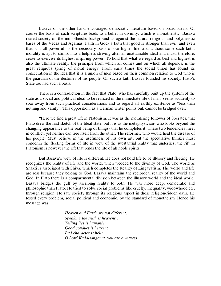Basava on the other hand encouraged democratic literature based on broad ideals. Of course the basis of such scriptures leads to a belief in divinity, which is monotheistic. Basava reared society on the monotheistic background as against the natural religious and polytheistic bases of the Vedas and Agamas. Faith in God- a faith that good is stronger than evil, and even that it is all-powerful- is the necessary basis of our higher life, and without some such faith, morality is apt to shrink into a helpless striving after an unattainable ideal and must, therefore, cease to exercise its highest inspiring power. To hold that what we regard as best and highest is also the ultimate reality, the principle from which all comes and on which all depends, is the great religious spring of moral energy. From early times the social union has found its consecration in the idea that it is a union of men based on their common relation to God who is the guardian of the destinies of his people. On such a faith Basava founded his society. Plato's State too had such a basis.

There is a contradiction in the fact that Plato, who has carefully built up the system of the state as a social and political ideal to be realized in the immediate life of man, seems suddenly to soar away from such practical considerations and to regard all earthly existence as "less than nothing and vanity". This opposition, as a German writer points out, cannot be bridged over:

"Here we find a great rift in Platonism. It was as the moralising follower of Socrates, that Plato drew the first sketch of the Ideal state, but it is as the metaphysician- who looks beyond the changing appearance to the real being of things- that he completes it. These two tendencies meet in conflict, yet neither can free itself from the other. The reformer, who would heal the disease of his people. Must believe in the usefulness of his own art; but the speculative thinker must condemn the fleeting forms of life in view of the substantial reality that underlies; the rift in Platonism is however the rift that rends the life of all noble spirits."

But Basava's view of life is different. He does not hold life to be illusory and fleeting. He recognizes the reality of life and the world, when wedded to the divinity of God. The world as Shakti is associated with Shiva, which completes the Reality of Lingayatism. The world and life are real because they belong to God. Basava maintains the reciprocal reality of the world and God. In Plato there is a compartmental division between the illusory world and the ideal world. Basava bridges the gulf by ascribing reality to both. He was more deep, democratic and philosophic than Plato. He tried to solve social problems like cruelty, inequality, widowhood etc, through religion. He saw society through its religious aspect in those religion-ridden days. He tested every problem, social political and economic, by the standard of monotheism. Hence his message was:

> *Heaven and Earth are not different, Speaking the truth is heavenly; Telling lies is humanly; Good conduct is heaven; Bad character is hell; O Lord Kudalsangama, you are a witness.*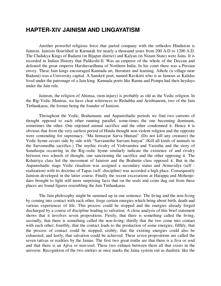#### **HAPTER-XIV JAINISM AND LINGAYATISM**

Another powerful religious force that parted company with the orthodox Hinduism is Jainism. Jainism flourished in Karnatak for nearly a thousand years from 200 A.D to 1200 A.D. The Chalukya Kings of Badami (in Bijapur district) and Kalyan (in Nizam State) were Jains. It is recorded in Indian History that Pulikeshi-Il. Was an emperor of the whole of the Deccan and defeated the great emperor Harshavardhana of Northern India. In his court there was a Persian envoy. These Jain kings encouraged Kannada art, literature and learning. Aihole (a village near Badami) was a University capital. A Sanskrit poet, named Ravikirti who is as famous as Kalidas lived under the patronage of a Jain king. Kannada poets like Ranna and Pompa had their heydays under the Jain rule.

Jainism, the religion of Ahimsa, (non-injury) is probably as old as the Vedic religion. In the Rig-Vedic Mantras, we have clear references to Rishabha and Arishtanemi, two of the Jain Tirthankaras, the former being the founder of Jainism.

Throughout the Vedic, Brahamanic and Aupanishadic periods we find two currents of thought opposed to each other running parallel, some-times the one becoming dominant, sometimes the other. One enjoined animal sacrifice and the other condemned it. Hence it is obvious that from the very earliest period of Hindu thought non-violent religion and the opposite were contending for supremacy. "Ma himsayat Sarva bhutani" (Do not kill any creature) the Vedic hymn occurs side by side with "Sarvamethe Sarvam hanyat" (Kill all kinds of animals in the Sarvamedha sacrifice.) The mythic rivalry of Vishvamitra and Vasistha and the story of Sunahsepa occurring in the Rig-vedic hymn similarly indicate the existence of and rivalry between two schools of thought, one sanctioning the sacrifice and the other opposing it. The Kshatriya class led the movement of Jainism and the Brahmin class opposed it. But in the Aupanishadic stage Vedic ritualism was assigned a secondary status and Atmavidya (self realization) with its doctrine of Tapas (self -discipline) was accorded a high place. Consequently Jainism developed in the latter course. Finally the recent excavations at Harappa and Mohenjodaro brought to light still more surprising facts that on the seals and coins dug out from these places are found figures resembling the Jain Tirthankaras.

The Jain philosophy might be summed up in one sentence. The living and the non-living by coming into contact with each other, forge certain energies which bring about birth, death and various experiences of life. This process could be stopped and the energies already forged discharged by a course of discipline leading to salvation. A close analysis of this brief statement shows that it involves seven propositions. Firstly, that there is something called the living; secondly, that there is something called the non-living; thirdly that the two come into contact with each other; fourthly, that the contact leads to the production of some energies; fifthly, that the process of contact could be stopped; sixthly, that the existing energies could also be exhausted; and lastly, that salvation could be achieved. These seven propositions are called the seven tattvas or realities by the Jainas. The first two great truths are that there is a Jiva or soul and that there is an Ajiva or non-soul. These two exhaust between them all that exists in the universe. Recognition of the two entities at once marks the Jaina system out as dualistic like the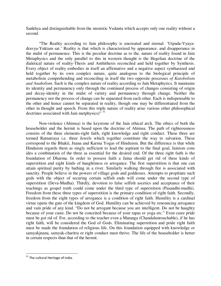Sankhya and distinguishable from the monistic Vedanta which accepts only one reality without a second.

"The Reality according to Jain philosophy is uncreated and eternal. 'Utpada-Vyayadravya-Yuktam sat.' Reality is that which is characterized by appearance. and disapperance in the midst of permanence. This is the peculiar doctrine as to the. nature of reality found in Jain Metaphysics and the only parallel to this in western thought is the Hegelian doctrine of the dialetical nature of reality-Thesis and Anthithesis reconciled and held together by Synthesis. Every object of reality embodies in itself an affirmative and a negative aspect synthasized and held together by its own complex nature, quite analogous to the biological principle of metabolism comprehending and reconciling in itself the two opposite processes *of Katobolisin and Anabolism.* Such is the complex nature of reality according to Jain Metaphysics. It maintains its identity and permanency only through the continued process of changes consisting of origin and decay-identity in the midst of variety and permanency through change. Neither the permanency nor the process of change can be separated from each other. Each is indispensable to the other and hence cannot be separated in reality, though one may be differentiated from the other in thought and speech. From this triple nature of reality arise various other philosophical doctrines associated with Jain metphysics)<sup>", 31</sup>

Non-violence (Ahimsa) is the keystone of the Jain ethical arch. The ethics of both the householder and the hermit is based upon the doctrine of Ahimsa. The path of righteousness consists of the three elements-right faith, right knowledge and right conduct. These three are termed Ratnatraya i.e. three Jewels which together constitute the way to salvation. These correspond to the Bhakti, Jnana and Karma Yogas of Hinduism. But the difference is that while Hinduism regards them as singly sufficient to lead the aspirant to the final goal, Jainism cons ides a combination of the three as essential for the desired end. Of the three right faith is the foundation of Dharma. In order to possess faith a Jaina should get rid of three kinds of superstition and eight kinds of haughtiness or arrogance. The first superstition is that one can attain spiritual purity by bathing in a river. Similarly walking through fire is associated with sanctity. People believe in the powers of village gods and goddesses. Attempts to propitiate such gods with the object of securing certain selfish ends will come under the second type of superstition (Deva-Mudha). Thirdly, devotion to false selfish ascetics and acceptance of their teachings as gospel truth could come under the third type of superstition (Pasandhi-mudhi). Freedom from these three types of superstition is the primary condition of right faith. Secondly, freedom from the eight types of arrogance is a condition of right faith. Humility is a cardinal virtue opens the gate of the kingdom of God. Humility can be achieved by renouncing arrogance and vain pride of any kind. "Do not be arrogant because you are intelligent. Do not be haughty because of your caste. Do not be conceited because of your tapas or yoga etc." Even caste pride must be got rid of. For, according to the teacher even a Matanga (Chandaluntouchable), if he has right faith, will be considered the God of Gods. Eliminating superstition and pride right faith must be made the foundation of religious life. On this foundation equipped with knowledge or samyakjnana, samyak-charitra or right conduct must thrive. The life of the householder is better in certain respects than that of the hermit.

<sup>&</sup>lt;sup>31</sup> The cultural Heritage of India.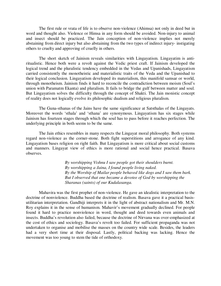The first rule or vrata of life is to observe non-violence (Ahimsa) not only in deed but in word and thought also. Violence or Himsa in any form should be avoided. Non-injury to animal and insect should be practiced. The Jain conception of non-violence implies not merely abstaining from direct injury but also abstaining from the two types of indirect injury- instigating others to cruelty and approving of cruelly in others.

The short sketch of Jainism reveals similarities with Lingayatism. Lingayatim is antiritualistic. Hence both were a revolt against the Vedic priest craft. If Jainism developed the logical trend and the pluralistic tendency embedded in the Vedas and Upanishads, Lingayatism carried consistently the monotheistic and materialistic traits of the Veda and the Upanishad to their logical conclusion. Lingayatism developed its materialism, this manifold samsar or world, through monotheism. Jainism finds it hard to reconcile the contradiction between moism (Soul's union with Paramatm Ekanta) and pluralism. It fails to bridge the gulf between matter and soul. But Lingayatism solves the difficulty through the concept of Shakti. The Jain monistic concept of reality does not logically evolve its philosophic dualism and religious pluralism.

The Guna-sthanas of the Jains have the same significance at Satsthalas of the Lingayats. Moreover the words 'sthala' and 'sthana' are synonymous. Lingayatism has six stages while Jainism has fourteen stages through which the soul has to pass before it reaches perfection. The underlying principle in both seems to be the same.

The Jain ethics resembles in many respects the Lingayat moral philosophy. Both systems regard non-violence as the corner-stone. Both fight superstitions and arrogance of any kind. Lingayatism bases religion on right faith. But Lingayatism is more critical about social customs and manners. Lingayat view of ethics is more rational and social hence practical. Basava observes.

> *By worshipping Vishnu I saw people got their shoulders burnt. By worshipping a Jaina, I found people living naked. By the Worship of Mailar people behaved like dogs and I saw them bark. But I observed that one became a devotee of God by worshipping the Sharanas (saints) of our Kudalasanga.*

Mahavira was the first prophet of non-violence. He gave an idealistic interpretation to the doctrine of nonviolence. Buddha based the doctrine of realism. Basava gave it a practical basisutilitarian interpretation. Gandhiji interprets it in the light of abstract nationalism and Mr. M.N. Roy explains it in the sense of humanism. Mahavir's movement gradually declined. For people found it hard to practice nonviolence in word, thought and deed towards even animals and insects. Buddha's revolution also failed, because the doctrine of Nirvana was over-emphasized at the cost of ethics and sociology. Basava's revolt too failed. For sufficient propaganda was not undertaken to organise and mobilise the masses on the country wide scale. Besides, the leaders had a very short time at their disposal. Lastly, political backing was lacking. Hence the movement was too young to stem the tide of orthodoxy.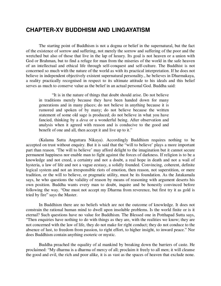## **CHAPTER-XV BUDDHISM AND LINGAYATISM**

The starting point of Buddhism is not a dogma or belief in the supernatural, but the fact of the existence of sorrow and suffering, not merely the sorrow and suffering of the poor and the wretched but also of those that live in the lap of luxury. Its goal is not heaven or a union with God or Brahman, but to find a refuge for man from the miseries of the world in the safe heaven of an intellectual and ethical life through self-conquest and self-culture. The Buddhist is not concerned so much with the nature of the world as with its practical interpretation. If he does not believe in independent objectively existent supernatural personality., he believes in Dharmakaya, a reality practically recognised in respect to its ultimate attitude to his ideals and this belief serves as much to conserve value as the belief in an actual personal God. Buddha said:

"It is in the nature of things that doubt should arise. Do not believe in traditions merely because they have been handed down for many generations and in many places; do not believe in anything because it is rumored and spoken of by many; do not believe because the written statement of some old sage is produced; do not believe in what you have fancied, thinking by a *deva* or a wonderful being. After observation and analysis when it agreed with reason and is conducive to the good and benefit of one and all, then accept it and live up to it."

(Kalama Sutta Anguttara Nikaya). Accordingly Buddhism requires nothing to be accepted on trust without enquiry. But it is said that the "will to believe' plays a more important part than reason. 'The will to believe' may afford delight to the imagination but it cannot secure permanent happiness nor enable man to fight against the forces of darkness. If religion is to be a knowledge and not creed, a certainty and not a doubt, a real hope in death and not a wail of hysteria, a law of life and not a vague ecstasy, a solidly founded. Convincing, coherent, definite logical system and not an irresponsible riots of emotion, then reason, not superstition, or mere tradition, or the will to believe, or pragmatic utility, must be its foundation. As the Jatakamala says, he who questions the validity of reason by means of reasoning with argument deserts his own position. Buddha wants every man to doubt, inquire and be honestly convinced before following the way. "One must not accept my Dharma from reverence, but first try it as gold is tried by fire" says the Master.

In Buddhism there are no beliefs which are not the outcome of knowledge. It does not constrain the rational human mind to dwell upon insoluble problems. Is the world finite or is it eternal? Such questions have no value for Buddhism. The Blessed one in Potthapad Sutta says, "Then enquiries have nothing to do with things as they are, with the realities we know; they are not concerned with the law of life, they do not make for right conduct; they do not conduce to the absence of lust, to freedom from passion, to right effort, to higher insight, to inward peace." Nor does Buddhism contain anything esoteric or mystic.

Buddha preached the equality of al mankind by breaking down the barriers of caste. He proclaimed: "My dharma is a dharma of mercy of all; proclaim it freely to all men; it will cleanse the good and evil, the rich and poor alike, it is as vast as the spaces of heaven that exclude none.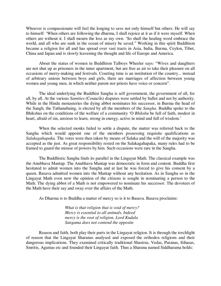Whoever is compassionate will feel the longing to save not only himself but others. He will say to himself: 'When others are following the dharma, I shall rejoice at it as if it were myself. When others are without it. I shall mourn the loss as my own. 'So shall the healing word embrace the world, and all who are sunk in the ocean of misery be saved." Working in this spirit Buddhism became a religion for all and has spread over vast tracts in Asia, India, Burma, Ceylon, Tibet, China and Japan and is slowly leavening the thought and life of Europe and America.

About the status of women in Buddhism Talboys Wheeler says: "Wives and daughters are not shut up as prisoners in the inner apartment, but are free as air to take their pleasure on all occasions of merry-making and festivals. Courting time is an institution of the country... instead of arbitrary unions between boys and girls, there are marriages of affection between young women and young men, in which neither parent nor priests have voice or concern".

The ideal underlying the Buddhist Sangha is self government, the government of all, for all, by all. At the various *Samities* (Councils) disputes were settled by ballot and not by authority. While in the Hindu monasteries the dying abbot nominates his successor, in Burma the head of the Sangh, the Tathanabaing, is elected by all the members of the *Sangha*. Buddha spoke to the Bhikshus on the conditions of the welfare of a community 'O *Bhikshu* be full of faith, modest in heart, afraid of sin, anxious to learn, strong in energy, active in mind and full of wisdom.'

When the selected monks failed to settle a dispute, the matter was referred back to the Sangha which would appoint one of the members possessing requisite qualifications as *Salakaguhapaka.* The votes were then taken by means of Salaka and the will of the majority was accepted as the just. As great responsibility rested on the Salakagahapaka, many rules had to be framed to guard the misuse of powers by him. Such occasions were rare in the Sangha.

The Buddhistic Sangha finds its parallel in the Lingayat Math. The classical example was the Anubhava Mantap. The Anubhava Mantap was democratic in form and content. Buddha first hesitated to admit women into the Sangha and at last he was forced to give his consent by a queen. Basava admitted women into the Mantap without any hesitation. As in Sangha so in the Lingayat Math even now the opinion of the citizens is sought in nominating a person to the Math. The dying abbot of a Math is not empowered to nominate his successor. The devotees of the Math have their say and sway over the affairs of the Math.

As Dharma is to Buddha a matter of mercy so is it to Basava. Basava proclaims:

*What is that religion that is void of mercy? Mercy is essential to all animals. Indeed mercy is the root of religion. Lord Kudala Sangama does not contend the opposite*

Reason and faith, both play their parts in the Lingayat religion. It is through the torchlight of reason that the Lingayat Sharanas analysed and exposed the orthodox religions and their dangerous implications. They examined critically traditional Shastras, Vedas, Puranas, Itihasas, Smritis, Agamas etc and founded their Lingayat faith. Thus a Sharana named Siddharama holds: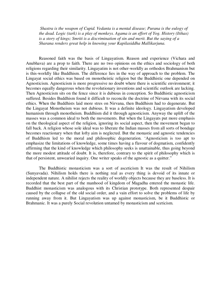*Shastra is the weapon of Cupid. Vedanta is a mental disease; Purana is the eulogy of the dead. Logic (tark) is a play of monkeys. Agama is an effort of Yog. History (Itihas) is a story of kings; Smriti is a discrimination of sin and merit. But the saying of a Sharana renders great help in knowing your Kapilasiddha Mallikarjuna.*

Reasoned faith was the basis of Lingayatism. Reason and experience (Vichara and Anubhava) are a prop to faith. There are no two opinions on the ethics and sociology of both religions regarding their similarity. Lingayatim is not other-worldly as orthodox Brahmanism but is this-worldly like Buddhism. The difference lies in the way of approach to the problem. The Lingayat social ethics was based on monotheistic religion but the Buddhistic one depended on Agnosticism. Agnosticism is more progressive no doubt where there is scientific environment; it becomes equally dangerous when the revolutionary inventions and scientific outlook are lacking. Then Agnosticism sits on the fence since it is dubious in conception. So Buddhistic agnosticism suffered. Besides Buddhism found it difficult to reconcile the doctrine of Nirvana with its social ethics. When the Buddhists laid more stres on Nirvana, then Buddhism had to degenerate. But the Lingayat Monotheism was not dubious. It was a definite ideology. Lingayatism developed humanism through monotheism. Buddhism did it through agnosticism. Anyway the uplift of the masses was a common ideal to both the movements. But when the Lingayats put more emphasis on the theological aspect of the religion, ignoring its social aspect, then the movement began to fall back. A religion whose sole ideal was to liberate the Indian masses from all sorts of bondage becomes reactionary when that lofty aim is neglected. But the monastic and agnostic tendencies of Buddhism led to the moral and philosophic degeneration. 'Agnosticism is too apt to emphasize the limitations of knowledge, some times having a flavour of dogmatism, confidently affirming that the kind of knowledge which philosophy seeks is unattainable, thus going beyond the more modest attitude of doubt. It is, therefore, contrary to the spirit of philosophy which is that of persistent, unwearied inquiry. One writer speaks of the agnostic as a quitter."

The Buddhistic monasticism was a sort of asceticism It was the result of Nihilism (Sunyavada). Nihilism holds there is nothing real as every thing is devoid of its innate or independent nature. A nihilist rejects the reality of worldly objects because they are baseless. It is recorded that the best part of the manhood of kingdom of Magadha entered the monastic life. Buddhist monasticism was analogous with its Christian prototype. Both represented despair caused by the collapse of the old social order, and a vain effort to solve the problems of life by running away from it. But Lingayatism was up against monasticism, be it Buddhistic or Brahmanic. It was a purely Social revolution untamed by monasticism and sceticism.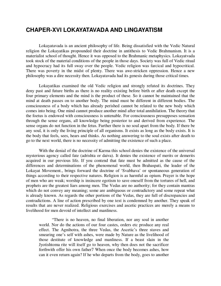## **CHAPER-XVI LOKAYATAVADA AND LINGAYATISM**

Lokayatavada is an ancient philosophy of life. Being dissatisfied with the Vedic Natural religion the Lokayatikas propounded their doctrine in antithesis to Vedic Brahmanism. It is a materialist school of thought. Hence it was opposed to the Brahmanic metaphysics. Lokayatvada took stock of the material conditions of the people in those days. Society was full of Vedic ritual and hypocracy had its full sway over the people. Vedic religion was farcical and hypocritical. There was poverty in the midst of plenty. There was awe-stricken oppression. Hence a new philosophy was a dire necessity then. Lokayatavada had its genesis during those critical times.

Lokayatikas examined the old Vedic religion and strongly refuted its doctrines. They deny past and future births as there is no reality existing before birth or after death except the four primary elements and the mind is the product of these. So it cannot be maintained that the mind at death passes on to another body. The mind must be different in different bodies. The consciousness of a body which has already perished cannot be related to the new body which comes into being. One mind cannot produce another mind after total annihilation. The theory that the foetus is endowed with consciousness is untenable. For consciousness presupposes sensation through the sense organs, all knowledge being posterior to and derived from experience. The sense organs do not function in the fetus. Further there is no soul apart from the body. If there be any soul, it is only the living principle of all organisms. It exists as long as the body exists. It is the body that feels, sees, hears and thinks. As nothing answering to the soul exists after death to go to the next world, there is no necessity of admitting the existence of such a place.

With the denial of the doctrine of Karma this school denies the existence of the universal mysterious agency called fate (adrishta or daiva). It denies the existence of merits or demerits acquired in our previous life. If you contend that fate must be admitted as the cause of the differences and determinations of the phenomenal world, then Brahaspati, the leader of the Lokayat Movement., brings forward the doctrine of 'Svabhava' or spontaneous generation of things according to their respective natures. Religion is as harmful as opium. Prayer is the hope of men who are weak; worship is insincere egotism to save oneself from the tortures of hell, and prophets are the greatest liars among men. The Vedas are no authority; for they contain mantras which do not convey any meaning; some are ambiguous or contradictory and some repeat what is already known. As regards the other portions of the Vedas, they are full of discrepancies and contradictions. A line of action prescribed by one text is condemned by another. They speak of results that are never realized. Religious exercises and ascetic practices are merely a means to livelihood for men devoid of intellect and manliness.

"There is no heaven, no final liberation, nor any soul in another world. Nor do the actions of our four castes, orders etc produce any real effect. The Agnihotra, the three Vedas, the Ascetic's three staves and smearing one's self with ashes, were made by Nature as the livelihood of those destitute of knowledge and manliness. If a beast slain in the Jyotishtoma rite will itself go to heaven, why then does not the sacrificer forthwith offer his own father7 When once the body becomes ashes, how can it even return again? If he who departs from the body, goes to another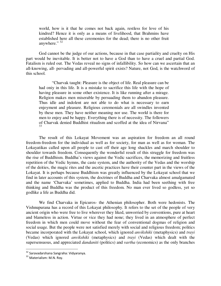world, how is it that he comes not back again, restless for love of his kindred? Hence it is only as a means of livelihood, that Brahmins have established here all these ceremonies for the dead; there is no other fruit anywhere." <sup>32</sup>

God cannot be the judge of our actions, because in that case partiality and cruelty on His part would be inevitable. It is better not to have a God than to have a cruel and partial God. Fatalism is ruled out. The Vedas reveal no signs of infallibility. So how can we ascertain that an all-knowing, all- pervading and all-powerful spirit exists? Nature, not God, is the watchword of this school.

"Charvak taught: Pleasure is the object of life. Real pleasure can be had oniy in this life. It is a mistake to sacrifice this life with the hope of having pleasure in some other existence. It is like running after a mirage. Religion makes men miserable by persuading them to abandon pleasure. Thus idle and indolent are not able to do what is necessary to earn enjoyment and pleasure. Religious ceremonials are all swindles invented by these men. They have neither meaning nor use. The world is there for men to enjoy and be happy. Everything there is of necessity. The followers of Charvak denied Buddhist ritualism and scoffed at the idea of Nirvana" 33

The result of this Lokayat Movement was an aspiration for freedom an all round freedom-freedom for the individual as well as for society, for man as well as for woman. The Lokayatikas called upon all people to cast off their age long shackles and march shoulder to shoulder towards freedom. Consequently the wonderful result of this struggle for freedom was the rise of Buddhism. Buddha's views against the Vedic sacrifices, the memorizing and fruitless repetition of the Vedic hymns, the caste system, and the authority of the Vedas and the worship of the deities, the magic rites and the ascetic practices have their counter part in the views of the Lokayat. It is perhaps because Buddhism was greatly influenced by the Lokayat school that we find in later accounts of this system, the doctrines of Buddha and Charvaka almost amalgamated and the name 'Charvaka' sometimes, applied to Buddha. India had been seething with free thinking and Buddha was the product of this freedom. No man ever lived so godless, yet so godlike a life as Buddha did.

We find Charvaka in Epicuros- the Athenian philosopher. Both were hedonists. The Vishnupurana has a record of this Lokayat philosophy. It refers to the set of the people of very ancient origin who were free to live wherever they liked, unworried by conventions, pure at heart and blameless in action. Virtue or vice they had none; they lived in an atmosphere of perfect freedom in which men could move without the fear of conventional dogmas of religion and social usage. But the people were not satisfied merely with social and religious freedom; politics became incorporated with the Lokayat school, which ignored *anvikshiki* (metaphysics) and *trayi*  (Vedas) which ignored *anvikshiki* (metaphysics) and *trayi* (Vedas) which dealt with the supersensuous, and appreciated *dandaniti* (politics) and *vartha* (economics) as the only branches

<sup>&</sup>lt;sup>32</sup> Saravadarshana Sangraha: Vidyaranya.

<sup>&</sup>lt;sup>33</sup> Materialism: M.N. Roy.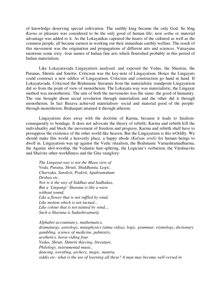of knowledge deserving special cultivation. The earthly king became the only God. So lông *Karna* or pleasure was considered to be the only good of human life; now *artha* or material advantage was added to it. As the Lokayatikas captured the hearts of the cultured as well as the common people, all became earnest in working out their immediate earthly welfare. The result of this movement was the origination and propagations of different arts and sciences. Vatsayana mentions some sixty -four names of Indian fine arts which flourished probably in this period of Indian materialism.

Like Lokayatavada Lingayatisrn analysed. and exposed the Vedas, the Shastras, the Puranas, Shrutis and Smritis. Criticism was the key-note of Lingayatism. Hence the Lingayats could construct a new edifice of Lingayatism. Criticism and construction go hand in hand. If Lokayatavada. Criticised the Brahmanic literature from the materialistic standpoint Lingayatism did so from the point of view of monotheism. The Lokayata way was materialistic, the Lingayat method was monotheistic. The aim of both the movements was the same- the good of humanity. The one brought about social revolution through materialism and the other did it through monotheism. In fact Basava achieved materialism- social and material good of the peoplethrough monotheism. Brahaspati attained it through atheism.

Lingayatism does away with the doctrine of Karma, because it leads to fatalismconsequently to bondage. It does not advocate the theory of rebirth; Karma and rebirth kill the individuality and block the movement of freedom and progress. Karma and rebirth shall have to presuppose the existence of the other world like heaven. But the Lingayatism is this wOrldly. We should make this world a heavenly place, a happy abode *(Kalyan srisli)* for human beings to dwell in. Lingayatism was up against the Vedic ritualism, the Brahmanic Varnashramadharma, the Agamic idol-worship, the Vedantic hair-splitting, the Logician's verbatism, the Váishnavite and Shaivite other-worldliness and the Gita vainglory:

*The Lingayat way is not the Maya view of Veda, Purana, Shruti, Shiddhanta, Logic, Charvaka, Sanskrit, Prakrit, Apabramsham Deshya etc. Nor is it the way of Siddhas and Sadhakas, But a 'Lingangi' Sharana is like a wave without sound, Like a flower that is not ruffled by wind, Like motion which is not tactual... Like colour that is not tainted by wind.... Such a Sharana is Sadashivamurtj.* 

*Alphabet accountancy, mathematics, dramaturgy, astrology, mataphysics (atma vidya), logic, grammar, etymology, dictionary gambling, science of medicine, palmistry, aesthetics, horse-riding four Vedas, Shruti, Shmriti thieving, literature, Philology, instrumental music, dancing, wrestling, archery, magic, mantra, siddis etc- what is the use of learning all these? A man may become well-versed in*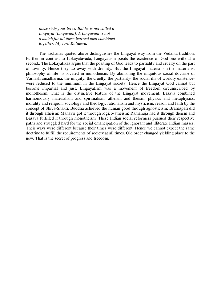*these sixty-four lores. But he is not called a Lingayat (Lingavant). A Lingavant is not a match for all these learned men combined together, My lord Kalideva.* 

The vachanas quoted above distinguishes the Lingayat way from the Vedanta tradition. Further in contrast to Lokayatavada, Lingayatism posits the existence of God-one without a second.. The Lokayatikas argue that the positing of God leads to partiality and cruelty on the part of divinity. Hence they do away with divinity. But the Lingayat materialism-the materialist philosophy of life- is located in monotheism. By abolishing the iniquitous social doctrine of Varnashramadharma, the iniquity, the cruelty, the partiality- the social ills of worldly existencewere reduced to the minimum in the Lingayat society. Hence the Lingayat God cannot but become impartial and just. Lingayatism was a movement of freedom circumscribed by monotheism. That is the distinctive feature of the Lingayat movement. Basava combined harmoniously materialism and spiritualism, atheism and theism, physics and metaphysics, morality and religion, sociology and theology, rationalism and mysticism, reason and faith by the concept of Shiva-Shakti. Buddha achieved the human good through agnosticism; Brahaspati did it through atheism; Mahavir got it through logico-atheism; Ramanuja had it through theism and Basava fulfilled it through monotheism. These Indian social reformers pursued their respective paths and struggled hard for the social emancipation of the ignorant and illiterate Indian masses. Their ways were different because their times were different. Hence we cannot expect the same doctrine to fulfill the requirements of society at all times. Old order changed yielding place to the new. That is the secret of progress and freedom.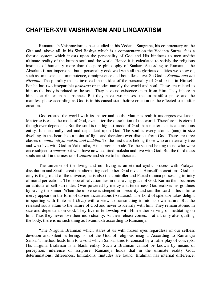#### **CHAPTER-XVII VAISHNAVISM AND LINGAYATISM**

Ramanuja's Vaishnavism is best studied in his Vedanta Sangraha, his commentary on the Gita and, above all, in his Shri Bashya which is a commentary on the Vedanta Sutras. ft is a theistic system which insists upon the personality of God and His kindness to men andthe ultimate reality of the human soul and the world. Hence it is calculated to satisfy the religious instincts of humanity more than the pure philosophy of Sankar. According to Ramanuja the Absolute is not impersonal but a personality endowed with all the glorious qualities we know of, such as omniscience, omnipotence, omnipresence and boundless love. So God is *Saguna and not Nirguna.* The plurality that is involved in the idea of the personality of God exists in Himself. For he has two inseparable *prakaras* or modes namely the world and soul. These are related to him as the body is related to the soul. They have no existence apart from Him. They inhere in him as attributes in a substance. But they have two phases- the un-manifest phase and the manifest phase according as God is in his causal state before creation or the effected state after creation.

God created the world with its matter and souls. Matter is real; it undergoes evolution. Matter existes as the mode of God, even after the dissolution of the world. Therefore it is eternal though ever dependent. But the soul is the highest mode of God than matter as it is a conscious entity. It is eternally real and dependent upon God. The soul is every atomic (anu) in size dwelling in the heart like a point of light and therefore ever distinct from God. There are three classes of *souls- nitya, mukta, and buddha.* To the first class belong those who are eternally free and who live with God in Vaikuntha, His supreme abode. To the second belong those who were once subject to *samsar* but who have now acquired moksha and live with God. But the third class souls are still in the meshes of *samsar* and strive to be liberated.

The universe of the living and non-living is an eternal cyclic process with Pralayadissolution and Sristhi creation, alternating each other. God reveals Himself in creations. God not only is the ground of the universe; he is also the controller and Purushottama possessing infinity of moral perfections. The hope of salvation lies in the saving grace of God. Karma then becomes an attitude of self-surrender. Over-powered by mercy and tenderness God realizes his godlines by saving the sinner. When the universe is steeped in insecurity and sin, the Lord in his infinite mercy appears in the form of divine incarnations (Avataras). The Lord of splendor takes delight in sporting with finite self (Jiva) with a view to transmuting it Into its own nature. But the released souls attain to the nature of God and never to identify with him. They remain atomic in size and dependent on God. They live in fellowship with Him either serving or meditating on him. Thus they never lose their individuality. As their release comes, if at all, only after quitting the body, there is no such thing as Jivanmukti according to Ramanuja.

"The Nirguna Brahman which stares at us with frozen eyes regardless of our selfless devotion and silent suffering, is not the God of religious insight. According to Ramanuja Sankar's method leads him to a void which Sankar tries to conceal by a futile play of concepts. His nirguna Brahrnan is a blank entity. Such a Brahman cannot be known by means of perception, inference or scripture. Ramanuja holds that in the ultimate reality God, determinations, differences, limitations, finitudes are found. Brahman has internal difference.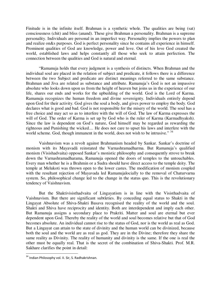Finitude is in the infinite itself. Brahman is a synthetic whole. The qualities are being (sat) consciousness (chit) and bliss (anand). These give Brahman a personality. Brahman is a supreme personality. Individuals are personal in an imperfect way. Personality implies the powers to plan and realize on&s purposes. God is perfect personality since he contains all experience in himself. Prominent qualities of God are knowledge, power and love. Out of his love God created the world, established laws and helps constantly all those who seek to attain perfection. The connection between the qualities and God is natural and eternal.

"Ramanuja holds that every judgment is a synthesis of distincts. When Brahman and the individual soul are placed in the relation of subject and predicate, it follows there is a difference between the two Subject and predicate are distinct meanings referred to the same substance. Brahman and Jiva are related as substance and attribute. Ramanuja's God is not an impassive absolute who looks down upon us from the height of heaven but joins us in the experience of our life, shares our ends and works for the upbuilding of the world. God is the Lord of Karma. Ramanuja recognizes the human freedom and divine sovereignty. Individuals entirely depend upon God for their activity. God gives the soul a body, and gives power to employ the body. God declares what is good and bad. God is not responsible for the misery of the world. The soul has a free choice and may act so as to interfere with the will of God. The law of Karma expresses the will of God. The order of Karma is set up by God who is the ruler of Karma (Karmadhyaksh). Since the law is dependent on God's nature, God himself may be regarded as rewarding the righteous and Punishing the wicked.... He does not care to upset his laws and interfere with the world scheme. God, though immanent in the world, does not wish to be intrusive." <sup>34</sup>

Vaishnavism was a revolt against Brahmanism headed by Sankar. Sankar's doctrine of monism with its Mayavadã reinstated the Varnashramadharma. But Ramanuja's qualified monism (Visishadvaita) opposed Sankar's monistic philosophy and consequently strove to break down the Varnashramadharama, Ramanuja opened the doors of temples to the untouchables. Every man whether he is a Brahmin or a Sudra should have direct access to the temple deity. The temple at Melukoti was thrown open to the lower castes. The modification of monism coupled with the resultant rejection of Mayavada led Ramanujalocially to the removal of Chaturvarna system. So, philosophical change led to the change in the status quo. This is the revolutionary tendency of Vaishnavism.

But the Shaktivisisthadvaita of Lingayatism is in line with the Visisthadvaita of Vaishnavism. But there are significant subtleties. By conceding equal status to Shakti in the Lingayat Absolute of Shiva-Shakti Basava recognised the reality of the world and the soul. Shakti and Shiva have reciprocity and identity. Both are interdependent and imply each other. But Ramanuja assigns a secondary place to Prakriti. Matter and soul are eternal but ever dependent upon God. Thereby the reality of the world and soul becomes relative but that of God becomes absolute. An individual cannot rise to the status of God, nor is the world as real as God. But a Lingayat can attain to the state of divinity and the human world can be divinized, because both the soul and the world are as real as god. They are in the Divine; therefore they share the same reality as Divinity. The reality of humanity and divinity is the same. If the one is real the other must be equally real. That is the secret of the combination of Shiva-Shakti. Prof. M.R. Sakhare clarifies the point in detail:

<sup>&</sup>lt;sup>34</sup> Indian Philosophy vol. II. Sir, S. Radhakrishnan.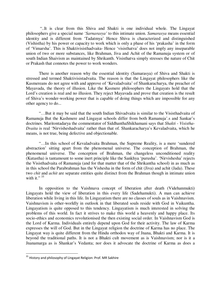"..It is clear from this Shiva and Shakti is one individual whole. The Lingayat philosophers give a special name *'Sarnarasya'* to this intimate union. *Samarasya* means essential identity and is different from 'Tadatmya' Hence Shiva is characterized and distinguished (Vishistha) by his power or capacity to work which is only a phase of his 'prakasha' in the form of 'Vimarsha'. This is Shaktivisisthadvaita- Hence 'visisthatva' does not imply any inseparable union of two or more substances, like Brahman, Jiva and Achit of the Ramanuja system or of south Indian Shaivism as maintained by Shrikanth. Visisthatva simply stresses the nature of Chit or Prakash that connotes the power to work wonders.

There is another reason why the essential identity (Samarasya) of Shiva and Shakti is stressed and termed Shaktivisistadvaita. The reason is that the Lingayat philosophers like the Kasmereans do not agree with and approve of 'Kevaladvaita' of Shankaracharya, the preacher of Mayavada, the theory of illusion. Like the Kasmere philosophers the Lingayats hold that the Lord's creation is real and no illusion. They reject Mayavada and prove that creation is the result of Shiva's wonder-working power that is capable of doing things which are impossible for any other agency to do...

"…But it may be said that the south Indian Shivadvaita is similar to the Visisthadvaita of Ramanuja But the Kashmere and Lingayat schools differ from both Ramanuja'.s and Sankar's doctrines. Maritontadarya the commentator of SiddhanthaShikhamani says that *Shakti* - *Visistha-Dvaita* is real 'Nirvisheshadvaita' rather than that of. Shankaracharya's Kevaladvaita, which he means, is not true, being defective and objectionable.

"…In this school of Kevaladvaita Brahman, the Supreme Reality, is a mere 'sundered abstraction' sitting apart from the phenomenal universe. The conception of Brahman, the phenomenal universe. The conception of Brahman, the changeless unconditioned reality (Kutastha) is tantamount to some inert principle like the Sankhya 'purusha'. 'Nirvishesha' rejects the Visisthadvaita of Ramanuja (and for that matter that of the Shrikantha school) in as much as in this school the Parabrahman has the Vishesha in the form of chit (Jiva) and achit (Jada). These two *chit* and *achit* are separate entities quite distinct from the Brahman though in intimate union with it."  $35$ 

In opposition to the Vaishnava concept of liberation after death (Videhanmukti) Lingayats hold the view of liberation in this every life (Sadehamukti). A man can achieve liberation while living in this life. In Lingayatism there are no classes of souls as in Vaishnavism. Vaishnavism is other-worldly in outlook in that liberated souls reside with God in Vaikuntha. Lingayatism is quite opposed to this tendency. Lingayatism is much interested in solving the problems of this world. In fact it strives to make this world a heavenly and happy place. Its socio-ethics and economics revolutionised the then existing social order. In Vaishnavism God is the Lord of Karma. Individuals entirely depend upon God for their activity. The law of Karma expresses the will of God. But in the Lingayat religion the doctrine of Karma has no place. The Lingayat way is quite different from the Hindu orthodox way of Jnana, Bhakti and Karma. It is beyond the traditional paths. It is not a Bhakti cult movement as is Vaishnavism; nor is it a Jnanamarga as is Shankar's Vedanta; nor does it advocate the doctrine of Karma as does a

<sup>&</sup>lt;sup>35</sup> History and philosophy of Lingayat Religion: Prof. MR Sakhire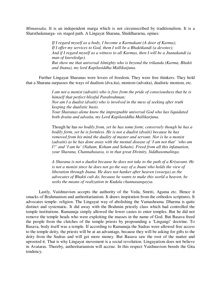*Mimansaka.* It is an independent marga which is not circumscribed by traditionalism. It is a Shatsthalamarga- six staged path. A Lingayat Sharana, Shiddhararna, opines:

> *If I regard myself as a body, I become a Karmakani (A door of Karma); If I offer my services to God, them I will be a Bhaktikandi (a devotee); And if I regard myself as a witness to all Karmas, then I will be a Jnanakandi (a man of knowledge). But show me that universal Almighty who is beyond the trikanda (Karma, Bhakti and Jnana), my lord Kapilasiddha Mallikaijuna.*

Further Lingayat Sharanas were lovers of freedom. They were free thinkers. They hold that a Sharana surpasses the ways of dualism (dva.ita), monism (advaita), dualistic monism, etc.

> *I am not a monist (advaiti) who is free from the pride of conscioushess that he is himself that perfect blissful Parabrahman; Nor am I a dualist (dvaiti) who is involved in the mess of seeking after truth keeping the dualistic basis. Your Sharanas alone know the impregnable universal God who has liquidated both dvaita and advaita, my Lord Kapilasiddha Mallikarjuna.*

> Though he has *no bodily from, yet he has some form; conversely though he has a bodily form, yet he is formless. He is not a dualist (dvaiti) because he has removed from his mind the duality of master and servant. Nor is he a monist (advaiti) as he has done away with the mental disease of 'I am not that' 'who am I?' and 'I am he' (Naham, Koham and Sohain). Freed from all this infatuation, your Sharana, Channabasava, is in that great Divinity, Siddhasomalinga*.

*A Sharana is not a dualist because he does not take to the path of a Kriyavant. He is not a monist since he does not go the way of a Jnani who holds the view of liberation through Jnana. He does not hanker after heaven (swarga) as the advocates of Bhakti cult do, because he wants to make this world a heaven, he seeks the means of realization in Kudala channasangayya*.

Lastly, Vaishnavism accepts the authority of the Veda, Smriti, Agama etc. Hence it smacks of Brahmanism and authoritarianism. It draws inspiration from the orthodox scriptures. It advocates temple- religion. The Lingayat way of abolishing the Vamashrama. Dharma is quite distinct and systematic. It did away with the Brahmin priestly class which had controlled the temple institutions. Ramanuja simply allowed the lower castes to enter temples. But he did not remove the temple heads who were exploiting the masses in the name of God. But Basava freed the people from the clutches of the temple priests by propounding a 'Lingangi' doctrine. To Basava, body itself was a temple. If according to Ramanuja the Sudras were allowed free access to the temple deity, the priests will be at an advantage, because they will be asking for gifts to the deity from the Sudras and will get more money. But Basava saw the root of the matter and uprooted it. That is why Lingayat movement is a social revolution. Lingayatism does not believe in Avataras. Thereby, authoritarianism will accrue. In this respect Vaishnavism breeds the Gita tendency.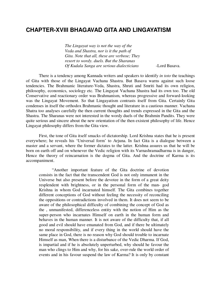#### **CHAPTER-XVIII BHAGAVAD GITA AND LINGAYATISM**

*The Lingayat way is not the way of the Veda and Shastra, nor is it the path of Gita. Note that all, these are verbose; They resort to wordy. duels. But the Sharanas Of Kudala Sanga are serious dialecticians* -Lord Basava.

There is a tendency among Kannada writers and speakers to identify *in toto* the teachings of Gita with those of the Lingayat Vachana Shastra. But Basava warns against such loose tendencies. The Brahmanic literature-Veda, Shastra, Shruti and Smriti had its own religion, philosophy, economics, sociology etc. The Lingayat Vachana Shastra had its own too. The old Conservative and reactionary order was Brahmanism, whereas progressive and forward-looking was the Lingayat Movement. So that Lingayatism contrasts itself from Gita. Certainly Gita condenses in itself the orthodox Brahmanic thought and literature in a cautious manner. Vachana Shatra too analyses carefully the then current thoughts and trends expressed in the Gita and the Shastra. The Sharanas were not interested in the wordy duels of the Brahmin Pandits. They were quite serious and sincere about the new orientation of the then existent philosophy of life. Hence Lingayat philosophy differs from the Gita view.

First, the tone of Gita itself smacks of dictatorship. Lord Krishna states that he is present everywhere; he reveals his 'Universal form' to Arjuna. In fact Gita is a dialogue between a master and a servant, where the former dictates to the latter. Krishna assures us that he will be born on earth off and on whenever the Vedic religion with its Varnashramadharma is in danger, Hence the theory of reincarnation is the dogma of Gita. And the doctrine of Karma is its accompaniment.

"Another important feature of the Gita doctrine of devotion consists in the fact that the transcendent God is not only immanent in the Universe but also present before the devotee in the form of a great deity resplendent with brightness, or in the personal form of the man- god Krishna in whom God incarnated himself. The Gita combines together different conceptions of God without feeling the necessity of reconciling the oppositions or contradictions involved in them. It does not seem to be aware of the philosophical difficulty of combining the concept of God as the , unmanifested, differenceless entity with the notion of Him as the super-person who incarnates Himself on earth in the human form and behaves in the human manner. It is not aware of the difficulty that, if all good and evil should have emanated from God, and if there be ultimately no moral responsibility, and if every thing in the world should have the same place in God, there is no reason why God should trouble to incarnate Himself as man, When there is a disturbance of the Vedic Dharma. If God, is impartial and if he is absolutely unperturbed, why should he favour the man who clings to Him and why, for his sake, over-rule the world order of events and in his favour suspend the law of Karma? It is only by constant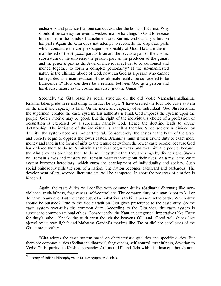endeavors and practice that one can cut asunder the bonds of Karma. Why should it be so easy for even a wicked man who clings to God to release himself from the bonds of attachment and Karma, without any effort on his part? Again the Gita does not attempt to reconcile the disparate parts which constitute the complex super- personality of God. How are the unmanifested or the *Avyakta* part as Braman, the Avyakta part of the cosmic substratum of the universe, the prakriti part as the producer of the gunas, and the *prakriti* part as the Jivas or individual selves, to be combined and melted together to form a complex personality? If the un-manifested nature is the ultimate abode of God, how can God as a person who cannot be regarded as a manifestation of this ultimate reality, be considered to be transcendent? How can there be a relation between God as a person and his diverse nature as the cosmic universe, jiva the Gunas" 36

Secondly, the Gita bases its social structure on the old Vedic Varnashramadharma. Krishna takes pride in re-installing it. In fact he says: 'I have created the four-fold caste system on the merit and capacity is final. On the merit and capacity of an individual' God Shri Krishna, the supermen, created the caste system. His authority is final. God imposes the system upon the people. God's motive may be good. But the right of the individual's choice of a profession or occupation is exercised by a superman namely God. Hence the doctrine leads to divine dictatorship. The initiative of the individual is annulled thereby. Since society is divided by divinity, the system becomes compartmental. Consequently, the castes at the helm of the State and Society begin to oppress the lower castes. Brahmins think it their divine duty to exact more money and land in the form of gifts to the temple deity from the lower caste people, because God has ordered them to do so. Similarly Kshatriyas begin to tax and tyrannize the people, because the Almighty has ordained them to do so. They think that they are kings by divine right. Slaves will remain slaves and masters will remain masters throughout their lives. As a result the caste system becomes hereditary, which curbs the development of individuality and society. Such social philosophy kills the soul of a nation. The nation becomes backward and barbarous. The development of art, science, literature etc. will be hampered. In short the progress of a nation is hindered.

Again, the caste duties will conflict with common duties (Sadharna dharmas) like nonviolence, truth-fulness, forgiveness, self-control etc. The common duty of a man is not to kill or do harm to any one. But the caste duty of a Kshatriya is to kill a person in the battle. Which duty should be pursued? True to the Vedic tradition Gita gives preference to the caste duty. So the caste system over-rules the common duty. According to the Gita view the caste system is superior to common rational ethics. Consequently, the Kantian categorical imperatives like 'Duty for duty's sake', 'Speak, the truth even though the heavens fall' and 'Good will shines like ajewel by its own light'; and Mahatma Gandhi's maxims like 'Do or die' are corollories of the Gita caste morality.

"Gita adopts the caste system based on characteristic qualities and specific duties. But there are common duties (Sadharana dharmas) forgiveness, self-control, truthfulness, devotion to Vedic Gods, purity etc Krishna persuades Arjuna to kill and fight with his kinsmen, though non-

 $36$  History of Indian Philosophy vol II: Dr. Dasagupta, M.A. Ph.D.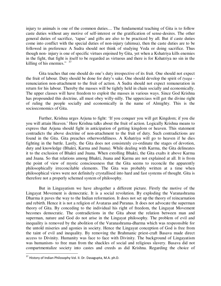injury to animals is one of the common duties.... The fundamental teaching of Gita is to follow caste duties without any motive of self-interest or the gratification of sense-desires. The other general duties of sacrifice, 'tapas' and gifts are also to be practiced by all. But if caste duties come into conflict with the special duties of non-injury (ahimsa), then the caste duties are to be followed in preference A Sudra should not think of studying Veda or doing sacrifice. Thus though non- injury is one of specific virtues enjoined by Gita, yet when a Kshatriya kills enemies in the fight, that fight is itself to be regarded as virtuous and there is for Kshatriya no sin in the killing of his enemies."  $37$ 

Gita teaches that one should do one's duty irrespective of its fruit. One should not expect the fruit of labour. Duty should be done for duty's sake. One should develop the spirit of *tyaga*  renunciation non-attachment to the fruit of action. A Sudra should not expect remuneration in return for his labour. Thereby the masses will be tightly held in chain socially and economically. The upper classes will have freedom to exploit the masses in various ways. Since God Krishna has propounded this doctrine, all must obey willy-nilly. The upperciass will get the divine right of ruling the people socially and economically in the name of Almighty. This is the socioeconomics of Gita.

Further, Krishna urges Arjuna to fight: 'If you conquer you will get Kingdom; if you die you will attain Heaven.' Here Krishna talks about the fruit of action. Logically Krishna means to express that Arjuna should fight in anticipation of getting kingdom or heaven. This statement contradicts the above doctrine of non-attachment to the fruit of duty. Such contradictions are found in the Gita. Gita preaches otherworldliness. A Kshatriya will go to heaven if he dies fighting in the battle. Lastly, the Gita does not consistenly co-ordinate the stages of devotion, duty and knowledge (Bhakti, Karma and Jnana). While dealing with Karma, the Gita delineates it to the exclusion of Bhakti and Jnana. When extolling Bhakti, the Gita exalts it above Karma and Jnana. So that relations among Bhakti, Jnana and Karma are not explained at all. It is from the point of view of mystic consciousness that the Gita seems to reconcile the apparently philosophically irreconcilable elements. The Gita was probably written at a time when philosophical views were not definitely crystallised into hard and fast systems of thought. Gita is therefore not a properly schemed system of philosophy.

But in Lingayatism we have altogether a different picture. Firstly the motive of the Lingayat Movement is democratic. It is a social revolution. By exploding the Varanashrama Dharma it paves the way to the Indian reformation. It does not set up the theory of reincarnation and rebirth. Hence it is not a religion of Avataras and Puranas. It does not advocate the superman theory of Gita. By conceding to the individual his right of freedom, the Lingayat Movement becomes democratic. The contradictions in the Gita about the relation between man and superman, nature and God do not arise in the Lingayat philosophy. The problem of evil and inequality is removed by the abolition of the Varanashrama-dharma which was respeonsible for the untold miseries and agonies in society. Hence the Lingayat conception of God is free from the taint of evil and inequality. By removing the Brahmanic priest-craft Basava made direct access to Divinity. Humanity was face to face with Divinity. The background of Lingayatism was humanism- to free man from the shackles of social and religious slavery. Basava did not compartmentalize society into castes and creeds as did Krishna. Regarding the choice of

 $37$  History of Indian Philosophy Vol. II. Dr. Dasagupta, M.A. ph.D.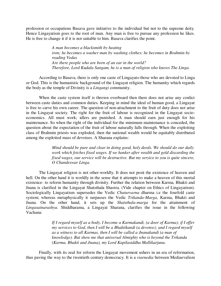profession or occupations Basava gave initiative to the individual but not to the supreme deity. Hence Lingayatism goes to the root of man. Any man is free to pursue any profession he likes. He is free to change it if it is not suitable to him. Basava clarifies the point.

> *A man becomes a blacksmith by heating iron; he becomes a washer man by washing clothes; he becomes in Brahmin by reading Vedas Are there people who are born of an ear in the world? Therefore, Lord Kudala Sangam, he is a man of religion who knows The Linga.*

According to Basava, there is only one caste of Lingayats-those who are devoted to Linga or God. This is the humanistic background of the Lingayat religion. The humanity which regards the body as the temple of Divinity is a *Lingangi* community.

When the caste system itself is thrown overboard then there does not arise any conlict between caste duties and common duties. Keeping in mind the ideal of human good, a Lingayat is free to carve his own career. The question of non-attachment to the fruit of duty does not arise in the Lingayat society. The right for the fruit of labour is recognized in the Lingayat socioeconomics. All must work; idlers are punished. A man should earn just enough for his maintenance. So when the right of the individual for the minimum maintenance is conceded, the question about the expectation of the fruit of labour naturally falls through. When the exploiting class of Brahmin priests was exploded, then the national wealth would be equitably distributed among the exploited mass of devotees. A Sharana explains:

> *Mind should be pure and clear in doing good, holy deeds. We should do our daily work which fetches fixed wages. If we hanker after wealth and gold discarding the fixed wages, our service will be destructive. But my seryice to you is quite sincere, O Chandeswar Linga.*

The Lingayat religion is not other-worldly. It does not posit the existence of heaven and hell. On the other hand it is worldly in the sense that it attempts to make a heaven of this mortal existence- to reform humanity through divinity. Further the relation between Karma, Bhakti and Jnana is clarified in the Lingayat Shatsthala Shastra. (Vide chapter on Ethics of Lingayatism). Sociologically Lingayatism supersedes the Vedic *Chaturvarna* dharma i.e the fourfold caste system; whereas metaphysically it surpasses the Vedic *Trikanda-Marga,* Karma, Bhakti and Jnana. On the other hand, it sets up the *Shatsthala-marga* for the attainment of *Lingasainarashya.* Shiddharama, a Lingayat Sharana, clarifies the issue in the following Vachana:

> *If I regard myself as a body, I become a Karmakandi, (a door of Karma); if I offer my services to God, then I will be a Bhaktikandi (a devotee); and I regard myself as a witness to all Karmas, then I will be called a Jnanakandi (a man of knowledge). But show me that universal Almighty who is beyond the Trikanda (Karma, Bhakti and Jnana), my Lord Kapilasiddha Mallikarjuna.*

Finally, with its zeal for reform the Lingayat movement ushers in an era of reformation, thus paving the way to the twentieth century democracy. It is a *viarnedia* between Mediaevalism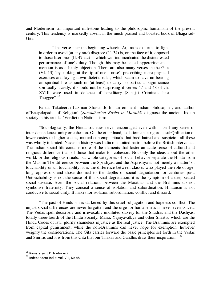and Modernism- an important milestone leading to the philosophic humanism of the present century. This tendency is markedly absent in the much praised and boasted book of Bhagavad-Gita.

"The verse near the beginning wherein Arjuna is exhorted to fight in order to avoid (at any rate) disgrace (11.34) is, on the face of it, opposed to those later ones (II. 47 etc) in which we find inculcated the disinterested performance of one's duty. Though this may be called hypercriticism, I mention is as a likely objection. There are also many verses in the Gita (VI. 13) 'by looking at the tip of one's nose', prescribing mere physical exercises and laying down dietetic rules, which seem to have no bearing on spiritual life as such or (at least) to carry no particular significance spiritually. Lastly, it should not be surprising if verses 47 and 48 of ch. XVIII were used in defence of hereditary (Sahaja) Criminals like Thuggee"  $38$ 

Pandit Takateerth Laxman Shastri Joshi, an eminent Indian philosopher, and author of'Encyclopadic of Religion' (*Sarvadharina Kosha in Marathi)* diagnose the ancient Indian society in his article. 'Verdict on Nationalism:

"Sociologically, the Hindu societies never encouraged even within itself any sense of inter-dependence, unity or cohesion. On the other hand, isolationism, a rigorous subQrdination of lower castes to higher castes, mutual contempt, rituals that bred hatred and suspicion-all these was wholly tolerated. Never in history was India one united nation before the British intervened. The Indian social life contains more of the elements that foster an acute sense of cultural and religious difference than of those that make for cohesion. Not only the ideas about the other world, or the religious rituals, but whole categories of social behavior separate the Hindu from the Muslim The difference between the Sprishyad and the Asprishya is not merely a matter' of touchability or un-touchability; it is the difference between classes who played the role of agelong oppressors and those doomed to the depths of social degradation for centuries past. Untouchability is not the cause of this social degradation; it is the symptom of a deep-seated social disease. Even the social relations between the Marathas and the Brahmins do not symbolise fraternity. They conceal a sense of isolation and subordination. Hinduism is not conducive to social unity. It makes for isolation subordination, conflict and discord.

"The past of Hinduism is darkened by this cruel subjugation and hopeless conflict. The unjust social differences are never forgotten and the urge for humaneness is never even voiced. The Vedas spell decisively and irrevocably undiluted slavery for the Shudras and the Dashyas, totally three-fourth of the Hindu Society. Manu, Yajnyavalkya and other Smritis, which are the Hindu Codes of law, glorify shameless injustice as the real justice. The Brahmins are exempted from capital punishment, while the non-Brahmins can never hope for exemption, however weighty the considerations. The Gita carries forward the basic principles set forth in the Vedas and Smritis and it is from this Gita that our Tilakas and Gandhis draw their inspiration."<sup>39</sup>

<sup>&</sup>lt;sup>38</sup> Ramarajya: S.D. Nadakarni

<sup>39</sup> Independent India: Vol. VIII, No 48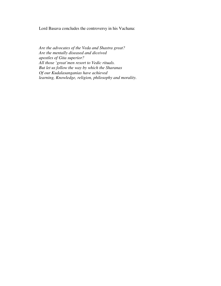Lord Basava concludes the controversy in his Vachana:

*Are the advocates of the Veda and Shastra great? Are the mentally diseased and diceived apostles of Gita superior? All those 'great'men resort to Vedic rituals. But let us follow the way by which the Sharanas Of our Kudalasanganias have achieved learning, Knowledge, religion, philosophy and morality.*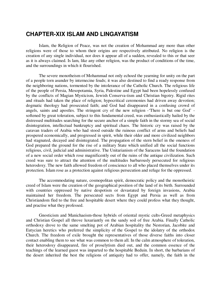# **CHAPTER-XIX ISLAM AND LINGAYATISM**

Islam, the Religion of Peace, was not the creation of Mohammad any more than other religions were of those to whom their origins are respectively attributed. No religion is the creation of any single individual, nor does it appear all of a sudden, revealed to this or that seer as it is always claimed. Is lam, like any other religion, was the product of conditions of the time, and the surroundings in which it flourished.

The severe monotheism of Mohammad not only echoed the yearning for unity on the part of a people torn asunder by internecine feuds; it was also destined to find a ready response from the neighboring nations, tormented by the intolerance of the Catholic Church. The religious life of the people of Persia, Mesopotamia, Syria, Palestine and Egypt had been hopelessly confused by the conflicts of Magian Mysticism, Jewish Conserva-tism and Christian bigotry. Rigid rites and rituals had taken the place of religion; hypocritical ceremonies had driven away devotion; dogmatic theology had prosecuted faith; and God had disappeared in a confusing crowd of angels, saints and apostles. The stringent cry of the new religion -'There is but one God' softened by great toleration, subject to this fundamental creed, was enthusiastically hailed by the distressed multitudes searching for the secure anchor of a simple faith in the stormy sea of social disintegration, intellectual bankruptcy and spiritual chaos. The historic cry was raised by the caravan traders of Arabia who had stood outside the ruinous conflict of arms and beliefs had prospered economically, and progressed in spirit, while their older and more civilized neighbors had stagnated, decayed and disintegrated. The propagation of the stern belief in the oneness of God prepared the ground for the rise of a military State which unified all the social functions religious, civil, judicial and administrative. The Unitarianism of the Saracens laid the foundation of a new social order which rose magnificently out of the ruins of the antique civilization. Such creed was sure to attract the attention of the multitudes barbarously persecuted for religious heterodoxy. The new faith allowed freedom of conscience to all who placed themselves under its protection. Islam rose as a protection against religious persecution and refuge for the oppressed.

The accommodating nature, cosmopolitan spirit, democratic policy and the monotheistic creed of Islam were the creation of the geographical position of the land of its birth. Surrounded with countries oppressed by native despotism or devastated by foreign invasions, Arabia maintained her freedom. The persecuted sects from Egypt and Persia as well as from Christiandom fled to the free and hospitable desert where they could profess what they thought, and practise what they professed.

Gnosticism and Manichaeism-those hybrids of oriental mystic cults-Greed metaphysics and Christian Gospel all throve luxuriantly on the sandy soil of free Arabia. Finally Catholic orthodoxy drove to the same smelting pot of Arabian hospitality the Nestorian, Jacobite and Eutycian heretics who preferred the simplicity of the Gospel to the idolatry of the orthodox Church. The freedom of exile brought the representatives of those diverse faiths into closer contact enabling them to see what was common to them all. In the calm atmosphere of toleration, their heterodoxy disappeared, fire of proselytism died out, and the common essence of the teachings of the learned guest was imparted to the hospitable Beduin. In short, the barbarians of the desert inherited the best the religions of antiquity had to offer, namely, the faith in the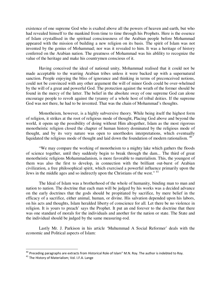existence of one supreme God who is exalted above all the powers of heaven and earth, but who had revealed himself to the mankind from time to time through his Prophets. Here is the essence of Islam crystallised in the spiritual consciousness of the Arabian people before Mohammad appeared with the mission of building a new religion on its basis. The spirit of Islam was not invented by the genius of Mohammad; nor was it revealed to him. It was a heritage of history conferred on the Arabian nation. The greatness of Mohammad was his ablility to recognize the value of the heritage and make his countrymen conscious of it.

Having conceived the ideal of national unity, Mohammad realised that it could not be made acceptable to the warring Arabian tribes unless it were backed up with a supernatural sanction. People enjoying the bliss of ignorance and thinking in terms of preconceived notions, could not be convinced with any other argument the will of minor Gods could be over-whelmed by the will of a great and powerful God. The protection against the wrath of the former should be found in the mercy of the latter. The belief in the absolute sway of one supreme God can alone encourage people to revolt against the tyranny of a whole host of tribal deities. If the supreme God was not there, he had to be invented. That was the chain of Mohammad's thoughts.

Monotheism, however, is a highly subversive theory. While being itself the highest form of religion, it strikes at the root of religious mode of thought, Placing God above and beyond the world, it opens up the possibility of doing without Him altogether, Islam as the most rigorous monotheistic religion closed the chapter of human history dominated by the religious mode of thought, and by its very nature was open to unorthodox interpretations, which eventually liquidated the religious mode of thought and laid down the foundation of modern rationalism.<sup>40</sup>

"We may compare the working of monotheism to a mighty lake which gathers the floods of science together, until they suddenly begin to break through the dam... The third of great monotheistic religions Mohammadanism, is more favorable to materialism. This, the youngest of them was also the first to develop, in connection with the brilliant out-burst of Arabian civilization, a free philosophical spirit, which exercised a powerful influence primarily upon the Jews in the middle ages and so indirectly upon the Christians of the west." <sup>41</sup>

The Ideal of Islam was a brotherhood of the whole of humanity, binding man to man and nation to nation. The doctrine that each man will be judged by his works was a decided advance on the early doctrines that the gods should be propitiated by sacrifice, by mere belief in the efficacy of a sacrifice, either animal, human, or divine. His salvation depended upon his labors, on his acts and thoughts, Islam heralded liberty of conscience for all. Let there be no violence in religion. It is yours to preach' says the Prophet. It put an end forever to the doctrine that there was one standard of morals for the individuals and another for the nation or state. The State and the individual should be judged by the same measuring-rod.

Lastly Mr. J. Parkison in his article 'Muhummad A Social Reformer' deals with the economic and Political aspects of Islam:

 $^{40}$  Preceding paragraphs are extracts from Historical Role of Islam" M.N. Roy. The author is indebted to Roy.

<sup>41</sup> The History of Materialism; Vol. I.F.A. Lange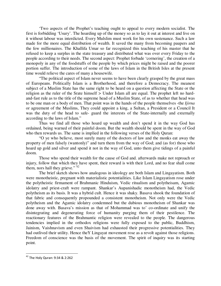'Two aspects of the Prophet's teaching ought to appeal to every modern socialist. The first is forbidding 'Usury'. The hoarding up of the money so as to lay it out at interest and live on it without labour was interdicted. Every Mulslim must work for his own sustenance. Such a law made for the more equal distribution of wealth. It saved the many from becoming paupers and the few millionaires. The Khallifa Umar so far recognized this teaching of his master that he refused to keep a surplus in the state treasury and distributed what was over every Friday to the people according to their needs. The second aspect: Prophet forbade 'cornering', the creation of a monopoly in any of the foodstuffs of the people by which prices might be raised and the poorer portion suffer. The introduction of some of the laws of Islam in the British Isles at the present time would relieve the cares of many a housewife.

"The political aspect of Islam never seems to have been clearly grasped by the great mass of Europeans. Politically Islam is a Brotherhood, and therefore a Democracy. The meanest subject of a Muslim State has the same right to be heard on a question affecting the State or the religion as the ruler of the Srate himself *>* Under Islam all are equal. The prophet left no hardand-fast rule as to the title of the supreme head of a Muslim State, of as to whether that head was to be one man or a body of men. That point was in the hands of the people themselves -the *Ijirna*  or agreement of the Muslims, They could appoint a king, a Sultan, a President or a Council It was the duty of the head to safe- guard the interests of the State-internally and externally according to the laws of Islam."

Thus we find all those who hoard up wealth and don't spend it in the way God has ordained, being warned of their painful doom. But the wealth should be spent in the way of God who then rewards us. The same is implied in the following verses of the Holy Quran:

"O ye who believe, most surely many of the doctors of law and the monks eat away the property of men falsely (wantonly)" and turn them from the way of God; and (as for) those who hoard up gold and silver and spend it not in the way of God, unto them give tidings of a painful doom.

Those who spend their wealth for the cause of God and. afterwards make not reproach or injury, follow that which they have spent, their reward is with their Lord, and no fear shall come them, nors hall they grieve."<sup>42</sup>

The brief sketch shows how analogous in ideology are both Islam and Lingayatism. Both were monotheistic, pregnant with materialistic potentialities. Like Islam Lingayatism rose under the polytheistic firmament of Brahmanic Hinduism, Vedic ritualism and polytheisam, Agamic idolatry and priest-craft were rampant. Shankar's Aupanishadic monotheism had, the Vedic polytheism as its basis. It was a hybrid cult. Hence it was shaky. Basava shook the foundation of that fabric and consequently propounded a consistent monotheism. Not only were the Vedic polytheism and the Agamic idolatry condemned but the dubious monotheism of Shankar was done away with. Basava's mission as that of Mohammad was to' co-ordinate and unify the disintegrating and degenerating force of humanity purging them of their pestilence. The reactionary features of the Brahmantic religion were revealed to the people. The dangerous tendencies implied in the orthodox religions were fully exposed to the public, Buddhism, Jainism, Vaishnavism and even Shaivism had exhausted their progressive potentialities. They had outlived their utility. Hence theY Lingayat movement rose as a revolt against those religions. Freedom of conscience was the basis of the movement. The spirit of inquiry was its starting point.

<sup>&</sup>lt;sup>42</sup> The Holy Quran: 9:34 & 2:262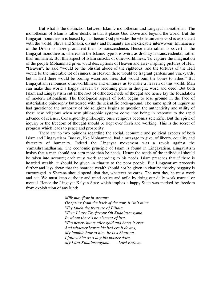But what is the distinction between Islamic monotheism and Lingayat monotheism. The monotheism of Islam is rather deistic in that it places God above and beyond the world. But the Lingayat monotheism is biased by pantheism-God pervades the whole universe God is associated with the world. Shiva and Shakti, divinity and humanity are inextricable interwoven; Immanence of the Divine is more prominent than its transcendence. Hence materialism is covert in the Lingayat monotheism, whereas in the Islamic type it is overt, as divinity is transcendental, rather than immanent. But this aspect of Islam smacks of otherworldliness. To capture the imagination of the people Mohammad gives vivid descriptions of Heaven and awe- inspiring pictures of Hell. "Heaven", he said "would be the blissful abode of the righteous, and the tortures of the Hell would be the miserable lot of sinners. In Heaven there would be fragrant gardens and vine-yards, but in Hell there would be boiling water and fires that would bum the bones to ashes." But Lingayatism renounces otherworldliness and enthuses us to make a heaven of this world. Man can make this world a happy heaven by becoming pure in thought, word and deed. But both Islam and Lingayatism cut at the root of orthodox mode of thought and hence lay the foundation of modern rationalism. The theological aspect of both begins to lose ground in the face of materialistic philosophy buttressed with the scientific back-ground. The same spirit of inquiry as had questioned the authority of old religions begins to question the authenticity and utility of these new religions when new philosophic systems come into being in response to the rapid advance of science. Consequently philosophy once religious becomes scientific. But the spirit of inquiry or the freedom of thought should be kept ever fresh and working. This is the secret of progress which leads to peace and prosperity.

There are no two opinions regarding the social, economic and political aspects of both Islam and Lingayatism. Basava, like Mohammad, had a message to give, of liberty, equality and fraternity of humanity. Indeed the Lingayat movement was a revolt against the Vamashramadharma. The economic principle of Islam is found in Lingayatism. Lingayatism insists that a man should not earn more than he needs. Hence the needs of the individual should be taken into account; each must work according to his needs. Islam preaches that if there is hoarded wealth, it should be given in charity to the poor people. But Lingayatism proceeds further and lays down that the hoarded wealth should not be given in charity; thereby beggary is encouraged. A Sharana should spend, that day, whatever he earns. The next day, he must work and eat. We must keep ourbody and mind active and agile by doing our daily work manual or mental. Hence the Lingayat Kalyan State which implies a happy State was marked by freedom from exploitation of any kind:

> *Milk may flow in streams Or spring from the back of the cow, it isn't mine, Why touch the treasure of Bijjala When I have Thy favour Oh Kudalasangama In whom there's no element of lust, Who never- hunts after gold and hates it ever And whoever leaves his bed ere it dawns, My humble bow to him, he is a Sharana. I follow him as a dog his master does, My Lord Kudalasangama. -Lord Basava.*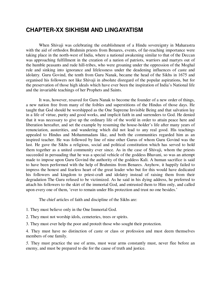## **CHAPTER-XX SIKHISM AND LINGAYATISM**

When Shivaji was celebrating the establishment of a Hindu sovereignty in Maharastra with the aid of orthodox Brahmin priests from Benares, events, of far-reaching importance were taking place in the north-west of India, where a national awakening similar to that of the Deccan was approaching fulfillment in the creation of a nation of patriots, warriors and martyrs out of the humble peasants and rude hill-tribes, who were groaning under the oppression of the Moghal rule and sinking into ignorance and lifelessness under the deadening influences of caste and idolatry. Guru Govind, the tenth from Guru Nanak, became the head of the Sikhs in 1675 and organised his followers not like Shivaji in absolute disregard of the popular aspirations, but for the preservation of those high ideals which have ever been the inspiration of India's National life and the invariable teachings of her Prophets and Saints.

It was, however, resaved for Guru Nanak to become the founder of a new order of things, a new nation free from many of the foibles and superstitions of the Hindus of those days. He taught that God should be worshipped as the One Supreme Invisible Being and that salvation lay in a life of virtue, purity and good works, and implicit faith in and surrenders to God. He denied that it was necessary to give up the ordinary life of the world in order to attain peace here and liberation hereafter, and set the example by resuming the house-holder's life after many years of renunciation, austerities, and wandering which did not lead to any real good. His teachings appealed to Hindus and Mohammadans like, and both the communities regarded him as an inspired teacher. He was followed by line of nine other Gurus of whom Guru Govind was the last. He gave the Sikhs a religious, social and political constitution which has served to hold them together as a united community ever since. As in the case of Shivaji, whom the priests succeeded in persuading that he was a special vehicle of the goddess Bhavani, so was an attempt made to impose upon Guru Govind the authority of the goddess Kali. A human sacrifice is said to have been performed with the help of Brahmins from Benares. Anyhow, it happily failed to impress the honest and fearless heart of the great leader who but for this would have dedicated his followers and kingdom to priest-craft and idolatry instead of raising them from their degradation The Guru refused to be victimized. As he said in his dying address, he preferred to attach his followers to the skirt of the immortal God, and entrusted them to Him only, and called upon every one of them, 'ever to remain under His protection and trust no one besides.'

The chief articles of faith and discipline of the Sikhs are:

1. They must believe only in the One Immortal God.

2. They must not worship idols, cemeteries, trees or spirits.

3. They must ever help the poor and proteét those who sought their protection.

4. They must have no distinction of caste or class or profession and must deem themselves members of one family.

*5.* They must practice the use of arms, must wear arms constantly must, never flee before an enemy, and must be prepared to die for the cause of truth and justice.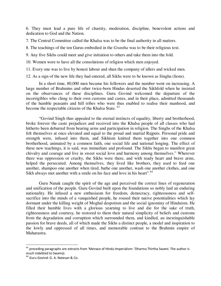6. They must lead a pure life of chastity, moderation, discipline, benevolent actions and dedication to God and the Nation.

7. The Central Committee called the Khalsa was to be the final authority in all matters.

8. The teachings of the ten Gurus embodied in the *Grantha* was to be their religious text.

9. Any five Sikhs could meet and give initiation to others and take them into the fold.

10. Women were to have all the consolations of religion which men enjoyed.

11. Every one was to live by honest labour and shun the company of idlers and wicked men.

12. As a sign of the new life they had entered, all Sikhs were to be known as Singha (lions).

 In a short time, 80,000 men became his followers and the number went on increasing. A large number of Brahmins and other twice-born Hindus deserted the Sikhfold when he insisted on the observances of these disciplines. Guru Govind welcomed the departure of the incorrigibles who clung to their own customs and castes, and in their place, admitted thousands of the humble peasants and hill tribes who were thus enabled to realise their manhood, and become the respectable citizens of the Khalsa State.<sup>43</sup>

"Govind Singh thus appealed to the eternal instincts of equality, liberty and brotherhood, broke forever the caste prejudices and received into the Khalsa people of all classes who had hitherto been debarred from bearing arms and participation in religion. The Singhs of the Khalsa felt themselves at once elevated and equal to the proud and martial Rajputs. Personal pride and strength were, infused into them, and Sikhism knitted them together into one common brotherhood, animated by a common faith, one social life and national longing. The effect of these new teachings, it is said, was immediate and profound. The Sikhs began to manifest great chivalry and courage and live in sweet social love and harmony among themselves." Wherever there was oppression or cruelty, the Sikhs were there, and with ready heart and brave arms, helped the persecuted. Among themselves, they lived like brothers, they used to feed one another, shampoo one another when tired, bathe one another, wash one another clothes, and one Sikh always met another with a smile on his face and love in his heart".<sup>44</sup>

Guru Nanak caught the spirit of the age and perceived the correct lines of regeneration and unification of the people. Guru Govind built upon the foundations so nobly laid an enduring nationality. He infused a new enthusiasm for freedom, democracy, righteousness and selfsacrifice into the minds of a vanquished people, he roused their native potentialities which lay dormant under the killing weight of Moghal despotism and the social ignominy of Hinduism. He filled their humble lives with a glorious yearning to live and die for the sake of truth, righteousness and courtesy, he restored to them their natural simplicity of beliefs and customs from the degradation and corruption which surrounded them, and kindled, an inextinguishable passion for brave deeds, all of which made the Sikhs a distinct people, a model and inspiration to the lowly and oppressed of all times, and memorable contrast to the Brahmin empire of Maharastra.

 $\overline{a}$ 

<sup>&</sup>lt;sup>43</sup> preceding paragraphs are extracts from 'Menace of Hindu Imperialism: 'Dharma Thirtha Swami. The author is much indebted to Swamiji.

<sup>44</sup> Guru Govind: G. A. Natesan & Co.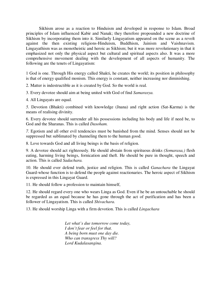Sikhism arose as a reaction to Hinduism and developed in response to Islam. Broad principles of Islam influenced Kabir and Nanak; they therefore propounded a new doctrine of Sikhism by incorporating them into it. Similarly Lingayatism appeared on the scene as a revolt against the then existing religions-Hinduism, Buddhism, Jainism and Vaishnavism. Lingayathism was as monotheistic and heroic as Sikhism; but it was more revolutionary in that it emphasized not only the physical aspect but cultural and spiritual aspects also. It was a more comprehensive movement dealing with the development of all aspects of humanity. The following are the tenets of Lingayatism:

1 God is one. Through His energy called Shakti, he creates the world; its position in philosophy is that of energy qualified monism. This energy is constant, neither increasing nor diminishing.

2. Matter is indestructible as it is created by God. So the world is real.

3. Every devotee should aim at being united with God of find *Samarasya.* 

4. All Lingayats are equal.

*5.* Devotion (Bhakti) combined with knowledge (Jnana) and right action (Sat-Karma) is the means of realising divinity.

6. Every devotee should surrender all his possessions including his body and life if need be, to God and the Sharanas. This is called *Dasoham.* 

*7.* Egotism and all other evil tendencies must be banished from the mind. Senses should not be suppressed but sublimated by channeling them to the human good.

8. Love towards God and all living beings is the basis of religion.

9. A devotee should act righteously. He should abstain from spirituous drinks *(Somarasa,)* flesh eating, harming living beings, fornication and theft. He should be pure in thought, speech and action. This is called *Sadachara.* 

10. He should ever defend truth, justice and religion. This is called *Ganachara* the Lingayat Guard-whose function is to defend the people against reactionaries. The heroic aspect of Sikhism is expressed in this Lingayat Guard.

11. He should follow a profession to maintain himself,

12. He should regard every one who wears Linga as God. Even if he be an untouchable he should be regarded as an equal because he has gone through the act of purification and has been a follower of Lingayatism. This is called *Shivachara.* 

13. He should worship Linga with a firm devotion. This is called *Lingachara* 

*Let what's due tomorrow come today, I don't fear or feel for that. A being born must one day die. Who can transgress Thy will? Lord Kudalasangina.*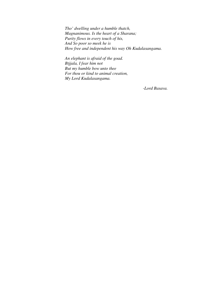*Tho' dwelling under a humble thatch, Magnanimous. Is the heart of a Sharana; Purity flows in every touch of his, And So poor so meek he is How free and independent his way Oh Kudalasangama.* 

*An elephant is afraid of the goad. Btjjala, I fear him not But my humble bow unto thee For thou or kind to animal creation, My Lord Kudalasangama.* 

*-Lord Basava.*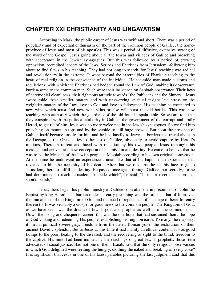#### **CHAPTER XXI CHRISTIANITY AND LINGAYATISM**

According to Mark, the public career of Jesus was swift and short. There was a period of popularity and of expectant enthusiasm on the part of the common people of Galilee, the homeprovince of Jesus and most of his apostles. This was a period of diffusive, extensive sowing of the word of the Gospel, Jesus going about all the towns and villages of Galilee and preaching with acceptance in the Jewish synagogues. But this was followed by a period of growing opposition, accredited leaders of the Jews, Scribes and Pharisees from Jerusalem, -following him about to find flaws in his teaching. They had not long to search, for Jesus' teaching was radical and revolutionary in the extreme. It went beyond the externalities of Pharisaic teaching to the heart of real religion in the conscience of the individual. He set aside man-made customs and regulations, with which the Pharisees had hedged round the Law of God, making its observance burden-some to the common man. Such were their insistence on Sabbath observance. Their laws of ceremonial cleanliness, their righteous attitude towards "the Publicans and the Sinners." Jesus swept aside these smaller matters and with unswerving spiritual insight laid stress on the weightier matters of the Law, love to God and love to fellowmen. His teaching he compared to new wine which must find new wine-skins or else will burst the old bottles. This was new teaching with authority which the guardians of the old found impala table. So we are told that they conspired with the political authority in Galilee, the government of the corrupt and crafty Herod, to get rid of him. Jesus was no more welcomed in the Jewish synagogues. So we find him preaching on mountain-tops and by the seaside to still huge crowds. But soon the province of Galilee itself became unsafe for him and he had hastily to leave its borders and travel about in the Decapolis, the Greek cities to the east of Galilee, obviously to avoid capture by Herod's minions, There in retreat and faced with rejection by his own people, Jesus rethought his message and arrived at a new conception of his mission and destiny. He came to believe that he was to be the Messiah of the Jewish people, a Messiah according to his own original conception. At this time he underwent an experience crucial like that at his baptism, an experience that revealed to him the necessity of his death. After that we read that he set his face to go to Jerusalem, there to fulfill his destiny. He passed once again through Galilee, but secretly, for he had determined to reach Jerusalem, "outside which", he said, "It is not meet that a prophet should perish,"

Jesus, then, began his public ministry in Galilee soon after the imprisonment of John the Baptist by king Herod. The burden of Jesus' early preaching was the same as that of John, viz; the immanence of the Kingdom of God and the need of repentance of a change of heart for entry therein to. It was veritably a Gospel or good news to the common people. The Kingdom of God, as we have seen, was the dream of Jewish poet and prophet as well as of the common man. Down their long and chequered career, this was the one hope that had sustained them, the hope of God visiting and redeeming His people, establishing his reign on earth. To many, the majority, it meant political sovereignty, freedom from the hated Roman yoke, the restoration of their ancient Davidic splendor. But to Jesus at this time it had mainly an ethical content. It was good tidings to the poor, healing to the diseased, and the recovering of sight to the blind, freedom to the captive. His mind had been molded by the teachings of great Jewish prophets, those stern advocates of social justice. Had not one of them, Isaiah, said that the only religious observances in which God delighted were feeding the hungry, clothing the naked and breaking of every yoke? It is significant that Jesus in one of his latest parables picturing the last judgment said that this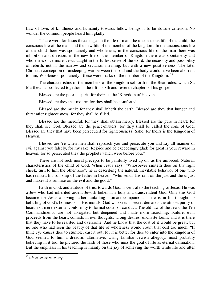Law of love, of kindliness and humanity towards fellow beings is to be its sole criterion. No wonder the common people heard him gladly.

"There were for Jesus three stages in the life of man: the unconscious life of the child, the conscious life of the man, and the new life of the member of the kingdom. In the unconscious life of the child there was spontaneity and wholeness; in the conscious life of the man there was inhibition and division; in the new life of the member of Kingdom there was spontaneity and wholeness once more. Jesus taught in the fullest sense of the word, the necessity and possibility of rebirth, not in the narrow and sectarian meaning, but with a new positive-ness. The later Christian conception of unsleeping war between the soul and the body would have been ahorrent to him, Wholeness spontaneity - these were marks of the member of the Kingdom.<sup>45</sup>

The characteristics of the members of the kingdom set forth in the Beatitudes, which St. Matthew has collected together in the fifth, sixth and seventh chapters of his gospel:

Blessed are the poor in spirit, for theirs is the 'Kingdom of Heaven.

Blessed are they that mourn: for they shall be comforted.

Blessed are the meek: for they shall inherit the earth. Blessed are they that hunger and thirst after righteousness: for they shall be filled.

Blessed are the merciful: for they shall obtain mercy, Blessed are the pure in heart: for they shall see God. Blessed are the peace-makers: for they shall be called the sons of God. Blessed are they that have been persecuted for righteousness! Sake: for theirs is the Kingdom of Heaven.

Blessed are Ye when men shall reproach you and persecute you and say all manner of evil against you falsely, for my sake. Rejoice and be exceedingly glad: for great is your reward in heaven: for so persecuted they the prophets which were before you."

These are not such moral precepts to be painfully lived up on, as the unforced. Natural, characteristics of the child of God. When Jesus says: "Whosoever smiteth thee on thy right cheek, turn to him the other also", he is describing the natural, inevitable behavior of one who has realized his son ship of the father in heaven, "who sends His rain on the just and the unjust and makes His sun rise on the evil and the good."

Faith in God, and attitude of trust towards God, is central to the teaching of Jesus. He was a Jew who had inherited ardent Jewish belief in a holy and transcendent God. Only this God became for Jesus a loving father, unfailing intimate companion. There is in his thought no belittling of God's holiness or f His morals. God who sees in secret demands the utmost purity of heart -not mere external conformity to formal codes of conduct. The old law of the Jews, the Ten Commandments, are not abrogated but deepened and made more searching. Failure, evil, proceeds from the heart, consists in evil thoughts, wrong desires, unchaste looks; and it is there that they have to be resisted and overcome. And he know that the cost of it would be great; but no one who had seen the beauty of that life of wholeness would count that cost too much. "If thine eye causes thee to stumble, cast it out; for it is better for thee to enter into the kingdom of God seemed to him a dreadful alternative. Using familiar Jewish allegory, most probably believing in it too, he pictured the faith of those who miss the goal of life as eternal damnation. But the emphasis in his teaching is mainly on the joy of achieving the worth while life and utter

<sup>&</sup>lt;sup>45</sup> Life of Jesus: M. Murry.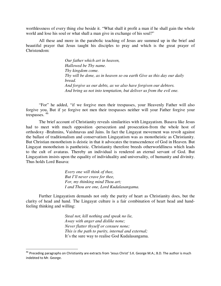worthlessness of every thing else beside it. "What shall it profit a man if he shall gain the whole world and lose his soul or what shall a man give in exchange of his soul?"

All these and more in the parabolic teaching of Jesus are summed up in the brief and beautiful prayer that Jesus taught his disciples to pray and which is the great prayer of Christendom:

> *Our father which art in heaven, Hallowed be Thy name. Thy kingdom come. Thy will be done, as in heaven so ou earth Give us this day our daily bread. And forgive us our debts, as we also have forgiven our debtors. And bring us not into temptation, but deliver us from the evil one.*

"For" he added, "if we forgive men their trespasses, your Heavenly Father will also forgive you, But if ye forgive not men their trespasses neither will your Father forgive your trespasses. <sup>46</sup>

The brief account of Christianity reveals similarities with Lingayatism. Basava like Jesus had to meet with much opposition -persecution and prosecution-from the whole host of orthodoxy -Brahmins, Vaishnavas and Jains. In fact the Lingayat movement was revolt against the ballast of traditionalism and conservatism Lingayatism was as monotheistic as Christianity. But Christian monotheism is deistic in that it advocates the transcendence of God in Heaven. But Lingayat monotheism is pantheistic. Christianity therefore breeds otherworldliness which leads to the cult of avataras. Thereby an individual is rendered an eternal servant of God. But Lingayatism insists upon the equality of individuality and universality, of humanity and divinity. Thus holds Lord Basava:

> *Every one will think of thee, But I'll never crave for thee, For, my thinking mind Thou art; I and Thou are one, Lord Kudalasangama.*

Further Lingayatism demands not only the purity of heart as Christianity does, but the clarity of head and hand. The Lingayat culture is a fair combination of heart head and handfeeling thinking and willing:

> *Steal not, kill nothing and speak no lie, Away with anger and dislike none; Never flatter thyself or censure none; This is the path to purity, internal and external;* It's the sure way to realise God Kudalasangama.

<sup>&</sup>lt;sup>46</sup> Preceding paragraphs on Christianity are extracts from 'Jesus Christ' S.K. George M.A.; B.D. The author is much indebted to Mr. George.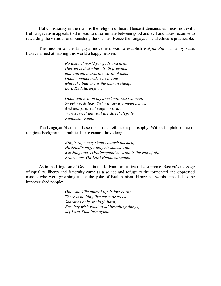But Christianity in the main is the religion of heart. Hence it demands us 'resist not evil'. But Lingayatism appeals to the head to discriminate between good and evil and takes recourse to rewarding the virtuous and punishing the vicious. Hence the Lingayat social ethics is practicable.

The mission of the Lingayat movement was to establish *Kalyan Raj* - a happy state. Basava aimed at making this world a happy heaven:

> *No distinct world for gods and men. Heaven is that where truth prevails, and untruth marks the world of men. Good conduct makes us divine while the bad one is the human stamp, Lord Kudalasangama.*

*Good and evil on thy sweet will rest Oh man, Sweet words like 'Sir' will always mean heaven; And hell yawns at vulgar words, Words sweet and soft are direct steps to Kudalasangama.* 

The Lingayat Sharanas' base their social ethics on philosophy. Without a philosophic or religious background a political state cannot thrive long:

> *King's rage may simply banish his men, Husband's anger may his spouse ruin, But Jangama's (Philosopher's) wrath is the end of all, Protect me, Oh Lord Kudalasangama.*

As in the Kingdom of God, so in the Kalyan Raj justice rules supreme. Basava's message of equality, liberty and fraternity came as a solace and refuge to the tormented and oppressed masses who were groaninig under the yoke of Brahmanism. Hence his words appealed to the impoverished people:

> *One who kills animal life is low-born; There is nothing like caste or creed. Sharanas only are high-born, For they wish good to all breathing things, My Lord Kudalasangama.*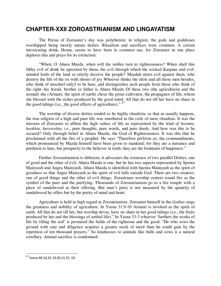## **CHAPTER-XXII ZOROASTRIANISM AND LINGAYATISM**

The Persia of Zoroaster's day was polytheistic in religion; the gods and goddesses worshipped being mostly nature deities. Ritualism and sacrifices were common. A certain intoxicating drink, Homa, seems to have been in common use, for Zoroaster in one place deplores this and prays for its extinction:

"When; O Ahura Mazda, when will the nobles turn to righteousness? When shall this filthy evil of drink be uprooted by them, the evil through which the wicked Karpans and evilminded lords of the land so utterly deceive the people7 Mazdah utters evil against them, who destroy the life of the ox with shouts of joy Whoever thinks the idols and all those men besides, who think of mischief only3 to be base, and distinguishes such people from those who think of the right--his friend, brother or father is Ahura Mazda Of these two (the agriculturist and the nomad) she (Armaiti, the spirit of earth) chose the pious cultivator, the propagator of life, whom she blessed with the riches produced by the good mind. All that do not till her have no share in the good tidings (i.e., the good effects of agriculture)."<sup>47</sup>

The worship of diverse deities tended to be highly ritualistic so that as usually happens, the true religion of a high and pure life was smothered in the coils of mere ritualism. It was the mission of Zoroaster to affirm the high values of life as represented by the triad *of hoomta, hookhta, huvereshta,* i.e., pure thoughts, pure words, and pure deeds. And how was this to be secured? Only through belief in Ahura Mazda, the God of Righteousness. It was this that he proclaimed with all the fire of a prophet. He says "Therefore perform ye, the commandments, which pronounced by Mazda himself have been given to mankind; for they are a nuisance and perdition to liars, but prosperity to the believer in truth; they are the fountains of happiness."

Further Zoroastrianism is ditheism; it advocates the existence of two parallel Deities, one of good and the other of evil. Ahura Mazda is one, but he has two aspects represented by Spenta Mainyush and Angra Mainyush. Ahura Mazda is identified with Spenta Mainyush as the spirit of goodness so that Angra Mainyush as the spirit of evil falls outside God. There are two creators: one of good things and the other of evil things. Zorastrians worship centres round fire as the symbol of the pure and the purifying. Thousands of Zoroastrianism go to a fire temple with a piece of sandalwood as their offering. But man's piety is not measured by the quantity of sandalwood he offers but by the purity of mind and heart.

Agriculture is held in high regard in Zoroatrianism. Zoroaster himself in the *Gathas* sings the greatness and nobility of agriculture. In Yasna 31.9-10 Armaiti is invoked as the spirit of earth. All that do not till her, but worship devas, have no share in her good tidings (i.e., the fruits produced by her and the blessings of settled life)." In Yasna 33-3 whoever 'furthers the works of life by tilling the soil' is promised the fields of the righteous and the good. "He who sows the ground with care and diligence acquires a greater stock of merit than he could gain by the repetition of ten thousand prayers," So kindnesses to animals like bulls and cows is a natural corollary. Animal sacrifice is condemned:

<sup>47</sup> Yasna 48 10,32 *14,45,11,31,* 10.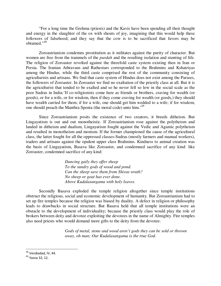"For a long time the Grehma (priests) and the Kavis have been spending all their thought and energy in the slaughter of the ox with shouts of joy, imagining that this would help these followers of falsehood; and they say that the cow is to be sacrificed that favors may be obtained."<sup>48</sup>

Zoroastrianism condemns prostitution as it militates against the purity of character. But women are free from the trammels of the *purdah* and the resulting isolation and stunting of life. The religion of Zoroaster revolted against the threefold caste system existing then in Iran or Persia. The Iranian Athravans and Rathestars corresponded to the Brahmins and Kshatriyas among the Hindus, while the third caste comprised the rest of the community consisting of agriculturists and artisans. We find that caste system of Hindus does not exist among the Parsees, the followers of Zoroaster. In Zoroaster we find no exaltation of the priestly class at all. But it is the agriculturist that tended to be exalted and so he never fell so low in the social scale as the poor Sudras in India:'If co-religionists come here as friends or brothers, craving for wealth (or goods), or for a wife, or for wisdom, then if they come craving for wealth (or goods,) they should have wealth carried for them; if for a wife, one should get him wedded to a wife; if for wisdom, one should preach the Manthra Spenta (the moral code) unto him.'<sup>49</sup>

Since Zoroastrianism posits the existence of two creators, it breeds ditheism. But Lingayatism is out and out monotheistic. If Zoroastrianism rose against the polytheism and landed in ditheism and dualism, Lingayatism fought against the Vedic and Agamic polytheism and resulted in monotheism and monism. If the former championed the cause of the agricultural class, the latter fought for all the oppressed classes-Sudras (mostly farmers and manual workers), traders and artisans against the opulent upper class Brahmins. Kindness to animal creation was the basis of Lingayatism, Basava like Zoroaster, and condemned sacrifice of any kind: like Zoroaster, condemned sacrifice of any kind:

> *Dancing gaily they offer sheep To the sundry gods of wood and pond. Can the sheep save them from Shivas wrath? No sheep or goat has ever done. Above Kudalasangama with holy leaves.*

Secondly Basava exploded the temple religion altogether since temple institutions obstruct the religious, social and economic development of humanity. But Zoroastrianism had to set up fire temples because the religion was biased by duality. A defect in religion or philosophy leads to drawbacks in social structure. But Basava held that all temple institutions were an obstacle to the development of individuality; because the priestly class would play the role of brokers between deity and devotee exploiting the devotees in the name of Almighty. Fire temples also need priests who would demand more gifts to the deity from the devotee:

> *Gods of metal, stone and wood aren't gods they can be sold or thrown away, oh man; Our Kudalasangama is the true God.*

<sup>&</sup>lt;sup>48</sup> Vendiadad, IV, 44.

<sup>49</sup> Yasna 32, 12.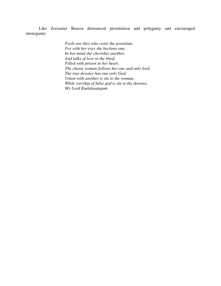Like Zoroaster Basava denounced prostitution and polygamy and encouraged monogamy:

> *Fools are they who court the prostitute, For with her eyes she beckons one, In her mind she cherishes another, And talks of love to the third, Filled with poison in her heart. The chaste woman follows her one and only lord, The true devotee has one only God; Union with another is sin to the woman, While worship of false god is sin to thy devotee, My Lord Kudalasangam.*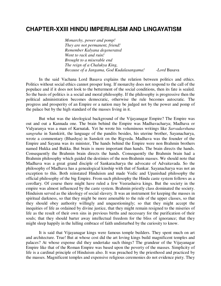#### **CHAPTER-XXIII HINDU IMPERIALISM AND LINGAYATISM**

*Monarchy, power and pomp! They are not permanent, friend! Remember Kalyana degenerated Went to rack and ruin! Brought to a miserable end The reign of a Chalukya King, Because of a Jangama, God Kudalasangama! -Lord* Basava

In the said Vachana Lord Basava explains the relation between politics and ethics. Politics without social ethics cannot prosper long. If monarchy does not respond to the call of the populace and if it does not look to the betterment of the social conditions, then its fate is sealed. So the basis of politics is a social and moral philosophy. If the philosophy is progressive then the political administration becomes democratic, otherwise the rule becomes autocratic. The progress and prosperity of an Empire or a nation may be judged not by the power and pomp of the palace but by the high standard of the masses living in it.

But what was the ideological background of the Vijayanagar Empire? The Empire was out and out a Kannada one. The brain behind the Empire was Madhavacharya; Madhava or Vidyaranya was a man of Karnatak. Yet he wrote his voluminous writings like *Sarvadarshana sangraha* in Sanskirit, the language of the pandits besides, his uterine brother, Sayanacharya, wrote a commentary (Bhashya) in Sanskrit on the Rigveda. Madhava was the founder of the Empire and Sayana was its minister, The hands behind the Empire were non Brahmin brothers named Hukka and Bukka. But brain is more important than hands. The brain directs the hands. Consequently the Brahmin brain directs the hands. Consequently the Brahmin brain had a Brahmin philosophy which guided the destinies of the non-Brahmin masses. We should note that Madhava was a great grand disciple of Sankaracharya the advocate of Advaitavada. So the philosophy of Madhava has a genealogical kinship with that of Sankar. Sayanacharya was not an exception to this. Both reinstated Hinduism and made Vedic and Upanishad philosophy the official philosophy of the big Empire. From such philosophy the Hindu caste system follows as a corollary. Of course there might have ruled a few Veerashaiva kings. But the society in the empire was almost influenced by the caste system. Brahmin priestly class dominated the society. Hinduism served as the ideology of social slavery. It was an instrument for keeping the masses in spiritual darkness, so that they might be more amenable to the rule of the upper classes, so that they should obey authority willingly and unquestioningly; so that they might accept the inequities of life as ordained by divine justice, that they might remain resigned to the miseries of life as the result of their own sins in previous births and necessary for the purification of their souls; that they should barter away intellectual freedom for the bliss of ignorance; that they might sleep happily in the lulling embrace of faith undisturbed by the curiosity to know.

It is said that Vijayanagar kings were famous temple builders. They spent much on art and architecture. True! But at whose cost did the art loving kings build magnificent temples and palaces? At whose expense did they undertake such things? The grandeur of the Vijayanagar Empire like that of the Roman Empire was based upon the poverty of the masses. Simplicity of life is a cardinal principle of Hinduism also. It was preached by the priesthood and practiced by the masses. Magnificent temples and expensive religious ceremonies do not evidence piety. They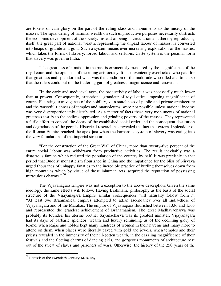are tokens of vain glory on the part of the ruling class and monuments to the misery of the masses. The squandering of national wealth on such unproductive purposes necessarily obstructs the economic development of the society. Instead of being in circulation and thereby reproducing itself, the great part of national wealth, representing the unpaid labour of masses, is converted into heaps of granite and gold. Such a system means ever increasing exploitation of the masses, which takes the forms of slavery, forced labour and serfdom. Caste system is the peculiar form that slavery was given in India.

"The greatness of a nation in the past is erroneously measured by the magnificence of the royal court and the opulence of the ruling aristocracy. It is conveniently overlooked who paid for that greatness and splendor and what was the condition of the multitude who tilled and toiled so that the rulers could put on the flattering garb of greatness, magnificence and renown....

"In the early and mediaeval ages, the productivity of labour was necessarily much lower than at present. Consequently, exceptional grandeur of royal cities, imposing magnificence of courts. Flaunting extravagance of the nobility, vain stateliness of public and private architecture and the wasteful richness of temples and mausoleums, were not possible unless national income was very disproportionately distributed. As a matter of facts these very monuments of national greatness testify to the endless oppression and grinding poverty of the masses. They represented a futile effort to conceal the decay of the established social order and the consequent destitution and degradation of the people. Historical research has revealed the fact that external splendour of the Roman Empire reached the apex just when the barbarous system of slavery was eating into the very foundations of the imperial structure…

"For the construction of the Great Wall of China, more than twenty-five percent of the entire social labour was withdrawn from productive activities. The result inevitably was a disastrous famine which reduced the population of the country by half. It was precisely in that period that Buddist monasticism flourished in China and the impatience for the bliss of Nirvava urged thousands of unhappy fanatics to the incredible practice of hurling themselves down from high mountains which by virtue of those inhuman acts, acquired the reputation of possessing miraculous charms." <sup>50</sup>

The Vijayanagara Empire was not a exception to the above description. Given the same ideology, the same effects will follow. Having Brahmanic philosophy as the basis of the social structure of the Vijayanagara Empire similar consequences will naturally follow from it. "At least two Brahmanical empires attempted to attian ascendancy over all India-those of Vijayanagara and of the Marahas. The empire of Vijaynagara flourished between 1336 and 1565 and represented the grandest achievement of Brahamanism. The grest Madhavacharya was probably its founder, his uterine brother Sayanacharya was its greatest minister. Vijayanagara had its days of barbaric splendor, wealth and luxury reminding us of the declining glory of Rome, when Rajas and nobles kept many hundreds of women in their harems and many more to attend on them, when places were literally paved with gold and jewels, when temples and their priests revealed in the immensity of their ill-gotten wealth, in the dazzling magnificence of their festivals and the fleeting charms of dancing girls, and gorgeous monuments of architecture rose out of the sweat of slaves and prisoners of wars. Otherwise, the history of the 250 years of the

 $50$  Heressis of the Twentieth Century: M. N. Roy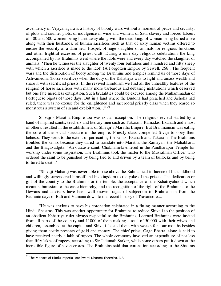ascendency of Vijayanagara is a history of bloody wars without a moment of peace and security, of plots and counter plots, of indulgence in wine and women, of Sati, slavery and forced labour, of 400 and 500 women being burnt away along with the dead king, of woman being buried alive along with their husbands, of human sacrifices such as that of sixty human victims offered to ensure the security of a dam near Hospet, of huge slaughter of animals for religious functions and other frightful excesses of priest craft. During a nine day religious celebrations the king accompanied by his Brahmins went where the idols were and every day watched the slaughter of animals. 'Then he witnesses the slaughter of twenty four buffaloes and a hundred and fifty sheep with which a sacrifice is made to the idol' (A Forgotten Empire by Sewell. 266). The frequent wars and the distribution of booty among the Brahmins and temples remind us of those days of Ashvamedha (horse sacrifice) when the duty of the Kshatriya was to fight and amass wealth and share it with sacrificial priests. In the revived Hinduism we find all the unhealthy features of the religion of horse sacrifices with many more barbarous and debasing institutions which deserved but one fate merciless extirpation. Such brutalities could be excused among the Muhammadan or Portuguese bigots of those days. But in a land where the Buddha had preached and Ashoka had ruled, there was no excuse for the enlightened and sacerdotal priestly class when they reared so monstrous a system of sin and exploitation..."<sup>51</sup>

Shivaji's Maratha Empire too was not an exception. The religious revival started by a band of inspired saints, teachers and literary men such as Tukaram, Ramadas, Ekanath and a host of others, resulted in the establishment of Shivaji's Maratha Empire. But Brahmanism was eating the core of the social structure of the empire. Priestly class compelled Sivaji to obey their behests. They went to the extent of persecuting the saints. Ekanath and Tukaram. The Brahmins troubled the saints because they dared to translate into Marathi, the Ramayan, the Mahabharat and the Bhagavadgita. 'An outcaste saint, Chokhamela entered in the Pandharapur Temple for worship under some inspiration. The Brahmins took the matter to the Mussalman Officer who ordered the saint to be punished by being tied to and driven by a team of bullocks and by being tortured to death.'

"Shivaji Maharaj was never able to rise above the Bahmanical influence of his childhood and willingly surrendered himself and his kingdom to the yoke of the priests. The dedication or gift of the country to the Brahmins or the temple, the acceptance of the Kshatriyahood which meant submission to the caste hierarchy, and the recognition of the right of the Brahmins to the Dewans and advisers have been well-known stages of subjection to Brahmanism from the Pauranic days of Bali and Vamana down to the recent history of Travancore....

"He was anxious to have his coronation celebrated in a fitting manner according to the Hindu Shastras. This was another opportunity for Brahmins to reduce Shivaji to the position of an obedient Kshatriya ruler always respectful to the Brahmins, Learned Brahmins were invited from all parts of the country and 11000 of them making a total of 50,000 with their wives and children, assembled at the capital and Shivaji feasted them with sweets for four months besides giving them costly presents of gold and money. The chief priest, Gaga Bhatta, alone is said to have received nearly a lakh of rupees. The whole ceremony involved an expenditure of not less than fifty lakhs of rupees, according to Sir Jadunath Sarkar, while some others put it down at the incredible figure of seven crores. The Brahmins said that coronation according to the Shastras

 $51$  The Menace of Hindu Imperialism: Swami Dharma Theertha. B.A.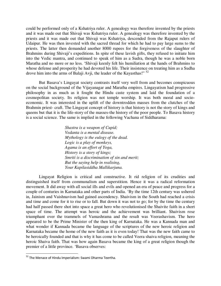could be performed only of a Kshatriya ruler. A genealogy was therefore invented by the priests and it was made out that Shivaji was Kshatriya ruler. A genealogy was therefore invented by the priests and it was made out that Shivaji was Kshatriya, descended from the Rajaput rulers of Udaipur. He was then invested with the sacred thread for which he had to pay large sums to the priests. The latter then demanded another 8000 rupees for the forgiveness of the slaughter of Brahmins during Shivaji's expeditions. In spite of these lavish gifts, they refused to initiate him into the Vedic mantra, and continued to speak of him as a Sudra, though he was a noble born Maratha and no more or no less. 'Shivaji keenly felt his humiliation at the hands of Brahmins to whose defense and prosperity he had devoted his life. Their insistence on treating him as a Sudha drove him into the arms of Balaji Avji, the leader of the Kayasthas!"<sup>52</sup>

But Basava's Lingayat society contrasts itself very well from and becomes conspicuous on the social background of the Vijayanagar and Maratha empires. Lingayatism had progressive philosophy in as much as it fought the Hindu caste system and laid the foundation of a cosmopolitan society. Its religion was not temple worship. It was both moral and socioeconomic. It was interested in the uplift of the downtrodden masses from the clutches of the Brahmin priest- craft. The Lingayat concept of history is that history is not the story of kings and queens but that it is the life-story of the masses-the history of the poor people. To Basava history is a social science. The same is implied in the following Vachana of Siddharama:

> *Shastra is a weapon of Cupid; Vedanta is a mental disease. Mythology is the eulogy of the dead. Logic is a play of monkeys, Agama is an effort of Yoga, History is a story of kings; Smriti is a discrimination of sin and merit; But the saying help in realising, Your Kapilasiddha Mallikarjuna.*

Lingayat Religion is critical and constructive. It rid religion of its crudities and distinguished itself from communalism and superstition. Hence it was a radical reformation movement. It did away with all social ills and evils and opened an era of peace and progress for a couple of centuries in Karnataka and other parts of India. 'By the time 12th century was ushered in, Jainism and Vaishnavism had gained ascendency. Shaivism in the South had reached a crisis and time and come for it to rise or to fall. But down it was not to go; for by the time the century had half passed there shot into space a great hero who revolutionised the Shaivite faith in a short space of time. The attempt was heroic and the achievement was brilliant. Shaivism rose triumphant over the trammels of Vamashrama and the result was Veerashavism. The hero appeared to be the Prime Minister of the then king of Karnataka. He was a Kannada man and what wonder if Kannada became the language of the scriptures of the new heroic religion and Karnataka became the home of the new faith as it is even today! That was the new faith came to be heroically founded and that is why it has come to be called Veera shaiva religion, meaning the heroic Shaiva faith. That was how again Basava became the king of a great religion though the premier of a little province. 'Basava observes:

<sup>&</sup>lt;sup>52</sup> The Menace of Hindu Imperialism: Swami Dharma Teertha.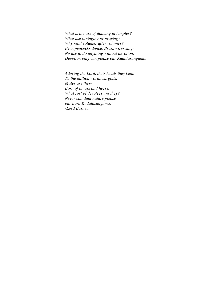*What is the use of dancing in temples? What use is singing or praying? Why read volumes after volumes? Even peacocks dance. Brass wires sing: No use to do anything without devotion. Devotion only can please our Kudalasangama.* 

*Adoring the Lord, their heads they bend To the million worthless gods. Mules are they-Born of an ass and horse. What sort of devotees are they? Never can dual nature please our Lord Kudalasangama; -Lord Basava*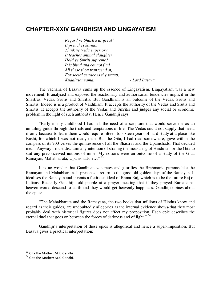## **CHAPTER-XXIV GANDHISM AND LINGAYATISM**

*Regard ye Shastra as great? It preaches karma. Think ye Veda superior? It teaches animal slaughter Hold ye Smriti supreme? It is blind and cannot find. All these thou transcend'st, For social service is thy stamp, Kudalasangama. - Lord Basava.* 

The vachana of Basava sums up the essence of Lingayatism. Lingayatism was a new movement. It analysed and exposed the reactionary and authoritarian tendencies implicit in the Shastras, Vedas, Srutis and Smritis. But Gandhism is an outcome of the Vedas, Srutis and Smritis. Indeed is is a product of Vaidikism. It accepts the authority of the Vedas and Srutis and Smritis. It accepts the authority of the Vedas and Smritis and judges any social or economic problem in the light of such authority, Hence Gandhiji says:

"Early in my childhood I had felt the need of a scripture that would serve me as an unfailing guide through the trials and temptations of life. The Vedas could not supply that need, if only because to learn them would require fifteen to sixteen years of hard study at a place like Kashi, for which I was not ready then. But the Gita, I had read somewhere, gave within the compass of its 700 verses the quintessence of all the Shastras and the Upanishads. That decided me.... Anyway I must disclaim any intention of strainig the measuring of Hinduism or the Gita to suit any preconceived notions of mine. My notions were an outcome of a study of the Gita, Ramayan, Mahabharata, Upanishads, etc." <sup>53</sup>

It is no wonder that Gandhism venerates and glorifies the Brahmanic puranas like the Ramayan and Mahabharata. It preaches a return to the good old golden days of the Ramayan. It idealises the Ramayan and invents a fictitious ideal of Rama Raj, which is to be the future Raj of Indians. Recently Gandhiji told people at a prayer meeting that if they prayed Ramanama, heaven would descend to earth and they would get heavenly happiness. Gandhiji opines about the epics:

"The Mahabharata and the Ramayana, the two books that millions of Hindus know and regard as their guides, are undoubtedly allegories as the internal evidence shows-that they most probably deal with historical figures does not affect my proposition. Each epic describes the eternal duel that goes on between the forces of darkness and of light."<sup>54</sup>

Gandhiji's interpretation of these epics is allegorical and hence a super-imposition, But Basava gives a practical interpretation:

<sup>&</sup>lt;sup>53</sup> Gita the Mother: M.K. Gandhi.

<sup>54</sup> Gita the Mother: M.K. Gandhi.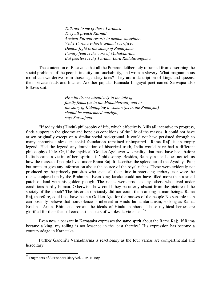*Talk not to me of those Puranas, They all preach Karma! Ancient Purana resorts to demon slaughter. Vedic Purana exhorts animal sacrifice; Demon-fight is the stamp of Ramayana; Family-feud is the core of Mahabharata, But peerless is thy Purana, Lord Kudalasangama.*

The contention of Basava is that all the Puranas deliberately refrained from describing the social problems of the people-iniquity, un-touchability, and woman slavery. What magnanimous moral can we derive from those legendary tales? They are a description of kings and queens, their private feuds and hitches. Another popular Kannada Lingayat poet named Sarwajna also follows suit:

> *He who listens attentively to the tale of family feuds (as in the Mahabharata) and to the story of Kidnapping a woman (as in the Ramayan) should be condemned outright, says Sarwajana*.

"If today this (Hindu) philosophy of life, which effectively, kills all incentive to progress, finds support in the gloomy and hopeless conditions of the life of the masses, it could not have arisen originally except on a similar social background. It could not have persisted through so many centuries unless its social foundation remained unimpaired. 'Rama Raj' is an empty legend. Had the legend any foundation of historical truth, India would have had a different philosophy of life. Or, if the mythical 'Golden Age' ever was reality, that must have been before India became a victim of her 'spiritualist' philosophy. Besides, Ramayan itself does not tell us how the masses of people lived under Rama Raj. It describes the splendour of the Ayodhya Pun; but omits to give any information about the source of the royal riches. These were evidently not produced by the princely parasites who spent all their time in practicing archery; nor were the riches conjured up by the Brahmins. Even king Janaka could not have tilled more than a small patch of land with his golden plough. The riches were produced by others who lived under conditions hardly human. Otherwise, how could they be utterly absent from the picture of the society of the epoch? The historian obviously did not count them among human beings. Rama Raj, therefore, could not have been a Golden Age for the masses of the people No sensible man can possibly believe that nonviolence is inherent in Hindu humanitarianism, so long as Rama, Krishna, Arjun, Bhim etc. remain the ideals of Hindu manhood. Those mythical heroes are glorified for their feats of conquest and acts of wholesale violence' <sup>55</sup>

Even now a peasant in Karnataka expresses the same spirit about the Rama Raj; 'If Rama became a king, my toiling is not lessened in the least thereby.' His expression has become a country adage in Karnataka.

Further Gandhi's Varnadharma is reactionary as the four varnas are compartmental and hereditary:

<sup>&</sup>lt;sup>55</sup> Fragments of A Prisoners Diary Vol. 1: M. N. Roy.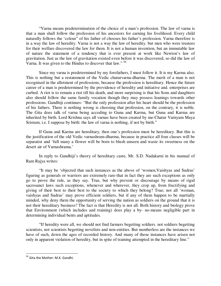"Varna means predetermination of the choice of a man's profession. The law of varna is that a man shall follow the profession of his ancestors for earning his livelihood. Every child naturally follows the 'colour" of his father of chooses his father's profession. Varna therefore is in a way the law of heredity. Varna is not a way the law of heredity. but men who were trustees for their welfare discovered the law for them. It is not a human invention, but an immutable law of nature the statement of a tendency that is ever present at work like Newton's law of gravitation. Just as the law of gravitation existed even before it was discovered, so did the law of Varna. It was given to the Hindus to discover that law." <sup>56</sup>

Since my varna is predetermined by my forefathers, I must follow it. It is my Karma also. This is nothing but a restatement of the Vedic chaturvarna-dharma. The merit of a man is not recognised in the allotment of professions, because the profession is hereditary. Hence the future career of a man is predetermined by the providence of heredity and initiative and. enterprises are curbed. A riot is to remain a riot till his death, and more surprising is that his Sons and daughters also should follow the same family vocation though they may possess leanings towards other professions. Gandhiji continues- "But the only profession after his heart should be the profession of his fathers. There is nothing wrong is choosing that profession, on the contrary, it is noble. The Gita does talk of varna being accoding to Guna and Karma, but Guna and Karma are inherited by birth. Lord Krishna says all varnas have been created by me-Chatur Varnyam Maya Sristum; i.e. I suppose by birth: the law of varna is nothing, if not by birth."

If Guna and Karma are hereditary, then one's profession must be hereditary. But this is the justification of the old Vedic varnashram-dharma, because in practice all four classes will be separatist and 'full many a flower will be born to blush unseen and waste its sweetness on the desert air of Varnashrama.'

In reply to Gandhiji's theory of hereditary caste, Mr. S.D. Nadakarni in his manual of Ram Rajya writes:

"It may be 'objected that such instances as the above of 'women,Vaishyas and Sudras' figuring as generals or warriors are extremely rare-that in fact they are such exceptions as only go to prove the rule, as they say. True, but why prevent or discourage by means of rigid sacrosanct laws such exceptions, whenever and wherever, they crop up, from fructifying and giving of their best to their best to the society to which they belong? True; not all 'woman, vaishyas and Sudras' may prove efficient soldiers, but if any of them happen to be martially minded, why deny them the opportunity of serving the nation as soldiers on the ground that it is not their hereditary business? The fact is that Heredity is not all. Both history and biology prove that Environment (which includes and training) does play a by- no-means negligible part in determining individual bents and aptitudes.

"If heredity were all, we should not find farmers begetting soldiers. not soldiers begetting scientists, not scientists begetting novelists and non-entities. But numberless are the instances we have of such, down the ages of recorded history. And many of those instances have arisen not only in apparent violation of heredity, but in spite of training attempted in the hereditary line."

<sup>&</sup>lt;sup>56</sup> Gita the Mother: M.K. Gandhi.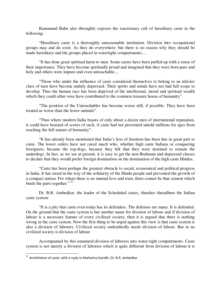Ramanand Babu also throughly exposes the reactionary cult of hereditary caste in the following:

"Hereditary caste is a thoroughly unreasonable institution. Division into occupational groups may and do exist. As they do everywhere; but there is no reason why they should be made hereditary and the groups placed in watertight compartments....

"It has done great spiritual harm to men. Some castes have been puffed up with a sense of their importance. They have become spiritually proud and imagined that they were born pure and holy and others were impure and even untouchable....

"Those who under the influence of caste considered themselves to belong to an inferior class of men have become unduly depressed. Their spirits and minds have not had full scope to develop. Thus the human race has been deprived of the intellectual, moral and spiritual wealth which they could other wise have contributed to the common treasure house of humanity".

"The position of the Untouchables has become worse still, if possible. They have been treated as worse than the lower animals".

"Thus where modern India boasts of only about a dozen men of international reputation, it could have boasted of scores of such, if caste had not prevented untold millions for ages from reaching the full stature of humanity".

"It has already been mentioned that India's loss of freedom has been due in great part to caste. The lower orders have not cared much who, whether high caste Indians or conquering foreigners, became the top-dogs, because they felt that they were destined to remain the underdogs. In fact, as we see at present. it is easy to get the non-Brahman and depressed classes to declare that they would prefer foreign domination on the domination of the high caste Hindus.

"Caste has been perhaps the greatest obstacle to social, economical and political progress in India. It has stood in the way of the solidarity of the Hindu people and prevented the growth of a compact nation. For where there is no mutual love and trust, there connot be that cement which binds the parts together."<sup>57</sup>

Dr. B.R. Ambedkar, the leader of the Scheduled castes, thrashes threadbare the Indian caste system:

"It is a pity that caste even today has its defenders. The defenses are many. It is defended. On the ground that the caste system is but another name for division of labour and if division of labour is a necessary feature of every civilized society, then it is argued that there is nothing wrong in the caste system. Now the first thing to be urged against this view is that caste system is also a division of laborers. Civilized society undoubtedly needs division of labour. But in no civilized society is division of labour

Accompanied by this unnatural division of laborers into water-tight compartments. Caste system is not merely a division of laborers which is quite different from division of labour-it is

 $57$  Annihilation of caste: with a reply to Mahatma Gandhi. Dr. B.R. Ambedkar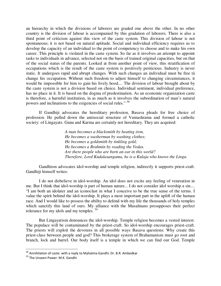an hierarchy in which the divisions of laborers are graded one above the other. In no other country is the division of labour is accompanied by this gradation of laborers. There is also a third point of criticism against this view of the caste system. This division of labour is not spontaneous; it is not based on natural aptitude. Social and individual efficiency requires us to develop the capacity of an individual to the point of competency to choose and to make his own career. This principle is violated in the caste system. So far as it involves an attempt to appoint tasks to individuals in advance, selected not on the basis of trained original capacities, but on that of the social status of the parents. Looked at from another point of view, this stratification of occupations which is the result of the caste system is positively pernicious. Industry is never static. It undergoes rapid and abrupt changes. With such changes an individual must be free tà change his occupation. Without such freedom to adjust himself to changing circumstances, it would be impossible for him to gain his lively hood.... The division of labour brought about by the caste system is not a division based on choice. Individual sentiment, individual preference, has no place in it. It is based on the dogma of predestination. As an economic organization caste is therefore, a harmful institution, in as much as it involves the subordination of man's natural powers and inclinations to the exigencies of social rules." <sup>58</sup>

If Gandhiji advocates the hereditary profession, Basava pleads for free choice of profession. He pulled down the antisocial structure of Vamashrama and formed a catholic society: of Lingayats. Guna and Karma are certainly not hereditary. They are acquired:

> *A man becomes a blacksmith by heating iron, He becomes a washerman by washing clothes; He becomes a goldsmith by tinkling gold; He becomes a Brahmin by reading the Vedas. Are there people who are born an ear in this world? Therefore, Lord Kudalasangama, he is a Kulaja who knows the Linga.*

Gandhism advocates idol-worship and temple religion, indirectly it supports priest-craft. Gandhiji himself writes:

I do not disbelieve in idol-worship. An idol does not excite any feeling of veneration in me. But I think that idol-worship is part of human nature... I do not consider idol worship a sin.... "I am both an idolater and an iconoclast in what I conceive to be the true sense of the terms. I value the spirit behind the idol-worship. It plays a most important part in the uplift of the human race. And I would like to possess the ability to defend with my life the thousands of holy temples which sanctify this land of ours. My alliance with the Musalmans presupposes their perfect tolerance for my idols and my temples.  $59$ 

But Lingayatism denounces the idol-worship. Temple religion becomes a vested interest. The populace will be contaminated by the priest-craft. So idol-worship encourages priest-craft. The priests will exploit the devotees in all possible ways Basava questions: Why create this priest-class between people and god? This brokerage system of Brahamanism must go root and branch, lock and barrel. Our body itself is a temple in which we can find our God. Temple

 $^{58}$  Annihilation of caste: with a reply to Mahatma Gandhi. Dr. B.R. Ambedkar

<sup>59</sup> The Unseen Power: M.K. Gandhi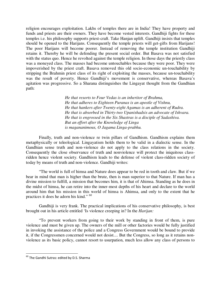religion encourages exploitation. Lakhs of temples there are in India! They have property and funds and priests are their owners. They have become vested interests. Gandhiji fights for these temples i.e. his philosophy supports priest-craft. Take Hanjan uplift. Gandhiji insists that temples should be opened to the Harijans. Consequently the temple priests will get-gifts from Harijans! The poor Harijans will become poorer. Instead of removing the temple institution Gandhiji retains it. Thereby he will be defending the present social order. But Basava was not satisfied with the status quo. Hence he revolted against the temple religion. In those days the priestly class was a moneyed class. The masses had become untouchables because they were poor. They were impoverished by the priest craft. Basava removed this old socio-economic un-touchability by stripping the Brahmin priest class of its right of exploiting the masses, because un-touchability was the result of poverty. Hence Gandhiji's movement is conservative, whereas Basava's agitation was progressive. So a Sharana distinguishes the Lingayat thought from the Gandhian path:

> *He that resorts to Four Vedas is an inheritor of Brahma, He that adheres to Eighteen Puranas is an apostle of Vishnu, He that hankers after Twenty-eight Agamas is an adherent of Rudra. He that is absorbed in Thirty-two Upanishadsis an advocate of Ishvara. He that is engrossed in the Six Shastras is a disciple of Sadashiva. But an effort after the Knowledge of Linga is magananimous, O Jagama Linga-prabhu.*

Finally, truth and non-violence re twin pillars of Gandhism. Gandhism explains them metaphysically or teleological. Lingayatism holds them to be valid in a dialectic sense. In the Gandhian sense truth and non-violence do not apply to the class relations in the society. Consequently the close observance of truth and nonviolence will protect the iniquitous classridden hence violent society. Gandhism leads to the defense of violent class-ridden society of today by means of truth and non-violence. Gandhiji writes:

"The world is full of himsa and Nature does appear to be red in tooth and claw. But if we bear in mind that man is higher than the brute, then is man superior to that Nature. If man has a divine mission to fulfill, a mission that becomes him, it is that of Ahimsa. Standing as he does in the midst of himsa, he can retire into the inner-most depths of his heart and declare to the world around him that his mission in this world of himsa is Ahimsa, and only to the extent that he practices it does he adorn his kind." <sup>60</sup>

Gandhiji is very frank. The practical implications of his conservative philosophy, is best brought out in his article entitled 'Is violence creeping in? In the *Harijan:* 

"To prevent workers from going to their work by standing in front of them, is pure violence and must be given up. The owners of the mill or other factories would be fully justified in invoking the assistance of the police and a Congress Government would be bound to provide it, if the Congressmen concerned would not desist.... But the Congress, so long as it retains nonviolence as its basic policy, cannot resort to usurpation, much less allow any class of persons to

 $^{60}$  The Gandhi Sutras: edited by D.S. Sharma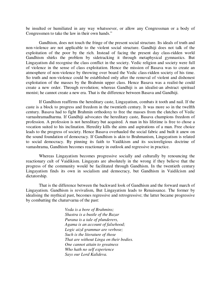be insulted or humiliated in any way whatsoever, or allow any Congressman or a body of Congressmen to take the law in their own hands."

Gandhism, does not touch the fringe of the present social structure. Its ideals of truth and non-violence are not applicable to the violent social structure. Gandhiji does not talk of the exploitation of the poor by the rich. Instead of facing the present day class-ridden world Gandhism shirks the problem by sidetracking it through metaphysical gymnastics. But Lingayatism did recognise the class conflict in the society. Vedic religion and society were full of violence in the sense of class exploitation. Hence the mission of Basava was to create an atmosphere of non-violence by throwing over board the Vedic class-ridden society of his time. So truth and non-violence could be established only after the removal of violent and dishonest exploitation of the masses by the Brahmin upper class. Hence Basava was a realist-he could create a new order. Through revolution; whereas Gandhiji is an idealist-an abstract spiritual monist; he cannot create a new era. That is the difference between Basava and Gandhiji.

If Gandhism reaffirms the hereditary caste, Lingayatism, combats it tooth and nail. If the caste is a block to progress and freedom in the twentieth century. It was more so in the twelfth century. Basava had to fight Brahmin orthodoxy to free the masses from the clutches of Vedic varnashramadharma. If Gandhiji advocates the hereditary caste, Basava champions freedom of profession. A profession is not hereditary but acquired. A man in his lifetime is free to chose a vocation suited to his inclination. Heredity kills the aims and aspirations of a man. Free choice leads to the progress of society. Hence Basava overhauled the social fabric and built it anew on the sound foundation of democracy. If Gandhism is akin to Brahmanism, Lingayatism is related to social democracy. By pinning its faith to Vaidikism and its socioreligious doctrine of vamashrama, Gandhism becomes reactionary in outlook and regressive in practice.

Whereas Lingayatism becomes progressive socially and culturally by renouncing the reactionary cult of Vaidikism. Lingayats are absolutely in the wrong if they believe that the progress of the community would be facilitated through Gandhism. In the twentieth century Lingayatism finds its own in socialism and democracy, but Gandhism in Vaidilcism and dictatorship.

That is the difference between the backward look of Gandhism and the forward march of Lingayatism. Gandhism is revivalism, But Lingayatism leads to Renaissance. The former by idealising the mythical past, becomes regressive and retrogressive; the latter became progressive by combatting the chaturvarna of the past:

> *Veda is a bore of Brahmins; Shastra is a bustle of the Bazar Purana is a tale of plunderers, Agama is an account of falsehood; Logic aizd grammar are verbose; Such is the literature of those That are without Linga on their bodies. One cannot attain to greatness Who hath no self experience Says our Lord Kalideva.*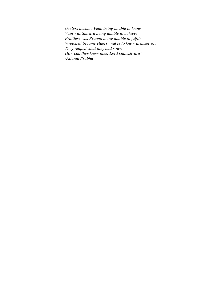*Useless become Veda being unable to know: Vain was Shastra being unable to achieve; Fruitless was Pruana being unable to fulfil; Wretched became elders unable to know themselves: They reaped what they had sown. How can they know thee, Lord Guheshvara? -Allania Prabhu*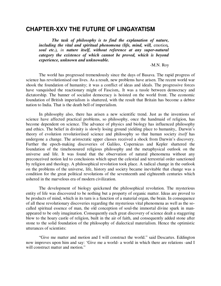#### **CHAPTER-XXV THE FUTURE OF LINGAYATISM**

*The task of philosophy is to find the explanation of nature, including the vital and spiritual phenomena (life, mind, will, emotion, soul etc.), in nature itself, without reference at any super-natural category the existence of which cannot be proved, which is beyond experience, unknown and unknowable.* 

-M.N. Roy

The world has progressed tremendously since the days of Basava. The rapid progress of science has revolutionised our lives. As a result, new problems have arisen. The recent world war shook the foundation of humanity; it was a conflict of ideas and ideals. The progressive forces have vanquished the reactionary might of Fascism,. It was a tussle between democracy and dictatorship. The banner of socialist democracy is hoisted on the world front. The economic foundation of British imperialism is shattered, with the result that Britain has become a debtor nation to India. That is the death bell of imperialism.

In philosophy also, there has arisen a new scientific trend. Just as the inventions of science have affected practical problems, so philosophy, once the handmaid of religion, has become dependent on science. The advance of physics and biology has influenced philosophy and ethics. The belief in divinity is slowly losing ground yielding place to humanity,. Darwin's theory of evolution revolutioriised science and philosophy so that human society *itself* has undergone a change. The aristocratic upper classes received a shock from Darwin's discovery. Further the epoch-making discoveries of Galileo, Copernicus and Kepler shattered the foundation of the timehonoured religious philosophy and the metaphysical outlook on the universe and life. It was found that the observation of natural phenomena without any preconceived notion led to conclusions which upset the celestial and terrestrial order sanctioned by religion and theology. A philosophical revolution took place. A radical change in the outlook on the problems of the universe, life, history and society became inevitable that change was a condition for the great political revolutions of the seventeenth and eighteenth centuries which ushered in the marvelous era of modern civilization.

The development of biology quickened the philosophical revolution. The mysterious entity of life was discovered to be nothing but a property of organic matter. Ideas are proved to be products of mind, which in its turn is a function of a material organ, the brain. In consequence of all these revolutionary discoveries regarding the mysterious vital phenomena as well as the socalled spiritual essence of man, the old conception of soul-the immortal divine spark in manappeared to be only imagination. Consequently each great discovery of science dealt a staggering blow to the hoary castle of religion, built in the air of faith, and consequently added stone after stone to the solid foundation of the philosophy of dialectical materialism. Hence the optimistic utterances of scientists:

"Give me matter and motion and I will construct the world." said Descartes. Eddington now improves upon him and say: 'Give me a world- a world in which there are relations -and I will construct matter and motion."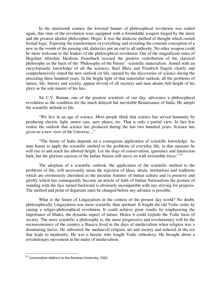In the nineteenth century the lowered banner of philosophical revolution was raided again, this time of the revolution were equipped with a formidable weapon forged by the latest and the greatest idealist philosopher, Hegel. It was the dialectic method of thought which ousted formal logic. Exposing the transitoriness of everything and revealing the constant conception of a new in the womb of the passing old, dialectics put an end to all authority. No other weapon could be more welcome to the leaders of the philosophical revolution. Out of the magnificent ruins of Hegelian Absolute Idealism, Feuerbach rescued the positive contribution of the classical philosophy as the basis of the 'Philosophy of the Future' -scientific materialism. Armed with an encyclopaedic knowledge of all the sciences, Karl Marx and Friedrich Engels clearly and comprehensively stated the new outlook on life, opened by the discoveries of science during the preceding three hundred years. In the bright light of that materialist outlook, all the problems of nature, life, history and society, appear devoid of all mystery and man attains full height of his glory as the sole master of his fate.

Sir C.V. Raman, one of the greatest scientists of our day, advocates a philosophical revolution as the condition for the much delayed but inevitable Renaissance of India. He adopts the scientific attitude to life.

"We live in an age of science. Most people think that science has served humanity by producing electric light, motor cars, aero planes, etc. That is only a partial view. In fact few realise the outlook that science has produced during the last two hundred years. Science has given us a new view of the Universe...."

"The future of India depends on a courageous application of scientific knowledge. As man learns to apply the scientific method to the problems of everyday life, in that measure he will rise to and reach his allotted height. Let the dogs of conservatism, ignorance and fanaticism bark, but the glorious caravan of the Indian Nation will move on with irresistible force." <sup>61</sup>

The adoption of a scientific outlook, the application of the scientific method to the problems of life, will necessarily mean the rejection of ideas, ideals, institutions and traditions which are erroneously cherished as the peculiar features of Indian culture and to preserve and glorify which has consequently become an article of faith of Indian Nationalism the posture of standing with the face turned backward is obviously incompatible with any striving for progress. The method and point of departure must be changed before any advance is possible.

What is the future of Lingayatism in the context of the present day world? No doubt, philosophically Lingayatism was more scientific than spiritual. It fought the old Vedic order by raising a religio-philosophical revolution. It could achieve great results by emphasizing the importance of Shakti, the dynamic aspect of nature. Hence it could torpedo the Vedic basis of society. The more scientific a philosophy is, the more progressive and revolutionary will be the socioeconomics of the country a Basava lived in the days of medievalism when religion was a dominating factor. He subverted the mediaeval religion, art and society and ushered in the era that leads to modernity. He was a heretic who fought Vedic orthodoxy. He brought about a revolutionary movement in the midst of medievalism.

 $61$  Convocation Address to the Bombay University, 1932.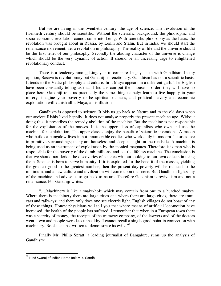But we are living in the twentieth century, the age of science. The revolution of the twentieth century should be scientific. Without the scientific background, the philosophic and socio-economic revolution cannot come into being. With scientific-philosophy as the basis, the revolution was brought about in Russia, by Lenin and Stalin. But in India, we should start the renaissance movement, i.e. a revolution in philosophy. The reality of life and the universe should be the first tenet of our philosophy. Secondly the abiding character of the universe is change which should be the very dynamic of action. It should be an unceasing urge to enlightened revolutionary conduct.

There is a tendency among Lingayats to compare Lingayat-ism with Gandhism. In my opinion, Basava is revolutionary but Gandhiji is reactionary. Gandhism has not a scientific basis. It tends to the Vedic philosophy and culture. In it Maya appears in a different garb. The English have been constantly telling us that if Indians can put their house in order, they will have no place here. Gandhiji tells us practically the same thing namely: learn to live happily in your misery, imagine your poverty to be spiritual richness, and political slavery and economic exploitation will vanish all is Maya, all is illusion,

Gandhism is opposed to science. It bids us go back to Nature and to the old days when our ancient Rishis lived happily. It does not analyse properly the present machine age. Without doing this, it prescribes the remedy-abolition of the machine. But the machine is not responsible for the exploitation of the masses. It is the upper class of capitalists who own and use the machine for exploitation. The upper classes enjoy the benefit of scientific inventions. A mason who builds a bungalow lives in hot innumerable coolies who work daily in modern factories live in primitive surroundings; many are houseless and sleep at night on the roadside. A machine is being used as an instrument of exploitation by the monied magnates. Therefore it is man who is responsible for the poverty of the dumb millions, and not the lifeless machine. The conclusion is that we should not deride the discoveries of science without looking to our own defects in using them. Science is born to serve humanity. If it is exploited for the benefit of the masses, yielding the greatest good to the greatest number, then the present day poverty will be reduced to the minimum, and a new culture and civilization will come upon the scene. But Gandhism fights shy of the machine and advise us to go back to nature. Therefore Gandhism is revivalism and not a renaissance. For Gandhiji writes:

"….Machinery is like a snake-hole which may contain from one to a hundred snakes. Where there is machinery there are large cities and where there are large cities, there are tramcars and railways; and there only does one see electric light. English villages do not boast of any of these things. Honest physicians will tell you that where means of artificial locomotion have increased, the health of the people has suffered. I remember that when in a European town there was a scarcity of money, the receipts of the tramway company, of the lawyers and of the doctors went down and people were less unhealthy. I cannot recall a single good point in connection with machinery. Books can be, written to demonstrate its evils. <sup>62</sup>

Finally Mr. Philip Spratt, a leading journalist of Bangalore, sums up the analysis of Gandhism:

<sup>&</sup>lt;sup>62</sup> Hind Swaraj of Indian Home Rol: M.K. Gandhi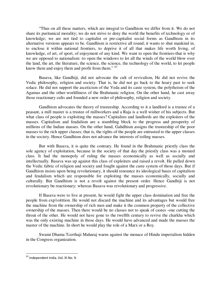"Thus on all these matters, which are integral to Gandhism we differ from it. We do not share its puritanical morality; we do not strive to deny the world the benefits of technology or of knowledge; we are not tied to capitalist or pre-capitalist social forms as Gandhism in its alternative versions appears to be. Gandhism is restrictive all round; it wants to shut mankind in, to enclose it within national frontiers, to deprive it of all that makes life worth living, of knowledge, of art, of sport, of enjoyment of any kind. We want to open the frontiers-that is why we are opposed to nationalism -to open the windows to let all the winds of the world blow over the land, the art, the literature, the science, the science, the technology of the world, to let people know them and enjoy them and profit from them." <sup>63</sup>

Basava, like Gandhiji, did not advocate the cult of revivalism, He did not revive the Vedic philosophy, religion and society. That is, he did not go back to the hoary past to seek solace. He did not support the asceticism of the Veda and its caste system, the polytheism of the Agamas and the other-worldliness of the Brahmanic religion. On the other hand, he cast away those reactionary cults and founded a new order of philosophy, religion and society.

Gandhism advocates the theory of trusteeship. According to it a landlord is a trustee of a peasant, a mill master is a trustee of millworkers and a Raja is a well wisher of his subjects. But what class of people is exploiting the masses? Capitalists and landlords are the exploiters of the masses. Capitalism and feudalism are a stumbling block to the progress and prosperity of millions of the Indian masses. On the other hand, Gahdhism assigns the trusteeship of the poor masses to the rich upper classes; that is, the rights of the people are entrusted to the upper classes in the society. Hence Gandhism does not advance the interests of toiling masses.

But with Basava, it is quite the contrary. He found in the Brahmanic priestly class the sole agency of exploitation, because in the society of that day the priestly class was a monied class. It had the monopoly of ruling the masses economically as well as socially and intellectually. Basava was up against this class of exploiters and raised a revolt. He pulled down the Vedic fabric of religion and society and fought against the caste system of those days. But if Gandhism insists upon being revolutionary, it should renounce its ideological bases of capitalism and feudalism which are responsible for exploiting the masses economically, socially and culturally. But Gandhism is not a revolt against the present order. Hence Gandhiji is not revolutionary bu reactionary; whereas Basava was revolutionary and progressive.

If Basava were to live at present, he would fight the upper class domination and free the people from exp1oitttion. He would not discard the machine and its advantages but would free the machine from the ownership of rich men and make it the common property of the collective ownership of the masses. Then there would be no classes not to speak of castes -one cutting the throat of the other. He would not have gone to the twelfth century to revive the charkha which was the only existing machine in those days. He would have advanced and made the masses the master of the machine. In short he would play the role of a Marx or a Roy.

Swami Dhama Tcerthaji Maharaj warns against the menace of Hindu imperialism hidden in the Congress organization.

<sup>&</sup>lt;sup>63</sup> Independent India. Vol. XI No. 9.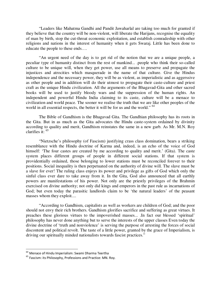"Leaders like Mahatma Gandhi and Pandit Jawaharlal are taking too much for granted if they believe that the country will be non-violent, will liberate the Harijans, recognise the equality of man by birth, stop the cut-throat economic exploitation, and establish comradeship with other religions and nations in the interest of humanity when it gets Swaraj. Little has been done to educate the people to these ends….

"An urgent need of the day is to get rid of the notion that we are a unique people, a peculiar type of humanity distinct from the rest of mankind... .people who think their so-called culture to be unique will, when they get power, use all means to preserve and propagate the injustices and atrocities which masquerade in the name of that culture. Give the Hindus independence and the necessary power, they will be as violent, as imperialistic and as aggerssive as other people and in addition will do their utmost to propagate their caste-culture and priest craft as the unique Hindu civilization. All the arguments of the Bhagavad-Gita and other sacred books will be used to justify bloody wars and the suppression of the human rights. An independent and powerful Hindu India claiming to its caste, culture will be a menace to civilization and world peace. The sooner we realise the truth that we are like other peoples of the world in all essential respects, the better it will be for us and the world."<sup>64</sup>

The Bible of Gandhism is the Bhagavad Gita. The Gandhian philosophy has its roots in the Gita. But in as much as the Gita advocates the Hindu caste-system ordained by divinity according to quality and merit, Gandhism reinstates the same in a new garb. As Mr. M.N. Roy clarifies it: <sup>65</sup>

"Nietzsche's philosophy (of Fascism) justifying crass class domination, bears a striking resemblance with the Hindu doctrine of Karma and, indeed, is an echo of the voice of God himself: 'The four castes are created by me according to quality and merit.' (Gita). The caste system places different groups of people in different social stations. If that system is providentially ordained, those belonging to lower stations must be reconciled forever to their positions. Social inequality is then perpetuated on the authority of divine will. The slave must be a slave for ever! The ruling class enjoys its power and privilege as gifts of God which only the sinful class ever dare to take away from it. In the Gita, God also announced that all earthly powers are manifestations of his power. Not only are the priestly privileges of the Brahmin exercised on divine authority; not only did kings and emperors in the past rule as incarnations of God; but even today the parasitic landlords claim to be 'the natural leaders' of the peasant masses whom they exploit....

"According to Gandhism, capitalists as well as workers are children of God; and the poor should not envy their rich brothers. Gandhism glorifies sacrifice and suffering as great virtues. It preaches these glorious virtues to the impoverished masses... .In fact our blessed 'spiritual' philosophy has never done anything but to serve the interests of the upper classes Even today the divine doctrine of 'truth and nonviolence' is serving the purpose of arresting the forces of social discontent and political revolt. The taste of a little power, granted by the grace of Imperialism, is driving our spiritually minded nationalists towards fascist practices."

 $64$  Menace of Hindu Imperialism: Swami Dharma Teertha

<sup>&</sup>lt;sup>65</sup> Fascism: its Philosophy, Professions and Practice: MN. Roy.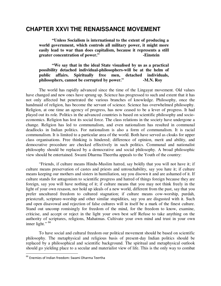### **CHAPTER XXVI THE RENAISSANCE MOVEMENT**

**"Unless Socialism is international to the extent of producing a world government, which controls all military power, it might more easily lead to war than does capitalism, because it represents a still greater concentration of power."** -Einstein

**"We say that in the ideal State visualised by us as a practical possibility detached individual-philosophers-will be at the helm of public affairs. Spiritually free men, detached individuals, philosophers, cannot be corrupted by power." -M.N. Roy** 

The world has rapidly advanced since the time of the Lingayat movement. Old values have changed and new ones have sprung up. Science has progressed to such and extent that it has not only affected but penetrated the various branches of knowledge. Philosophy, once the handmaid of religion, has become the servant of science. Science has overwhelmed philosophy. Religion, at one time an agency of progress, has now ceased to be a lever of progress. It had played out its role. Politics in the advanced countries is based on scientific philosophy and socioeconomics. Religion has lost its social force. The class relations in the society have undergone a change. Religion has led to communalism, and even nationalism has resulted in communal deadlocks in Indian politics. For nationalism is also a form of communalism. It is racial communalism. It is limited to a particular area of the world. Both have served as cloaks for upper class organisations. Free thinking is hindered; difference of opinion, merit and ability, and democrative procedure are checked effectively in such politics. Communal and nationalist philosophy should be replaced by a democrative and social philosophy. A broad philosophic view should be entertained. Swami Dharma Theertha appeals to the Youth of the country:

"Friends, if culture means Hindu-Muslim hatred, say boldly that you will not have it; if culture means preservation of castes and priests and untouchability, say you hate it; if culture means keeping our mothers and sisters in humiliation, say you disown it and are ashamed of it. If culture stands for antagonism to scientific progress and hatred of things foreign because they are foreign, say you will have nothing of it; if culture means that you may not think freely in the light of your own resason, nor hold up ideals of a new world, different from the past, say that you prefer uncultured freedom to cultured stagnation; if culture means cow-worship, purdah, priestcraft, scripture-worship and other similar stupidities, say you are disgusted with it. Such and open disavowal and rejection of false cultures will in itself be a mark of the finest culture. Stand out uncomp romisingly for freedom of the mind, for the freedom to know, examine, criticise, and accept or reject in the light your own best self Refuse to take anything on the authority of scriptures, religions, Mahatmas. Cultivate your own mind and trust in your own inner light."<sup>66</sup>

To have social and cultural freedom our political movement should be based on scientific philosophy. The metaphysical and religious basis of present-day Indian politics should be replaced by a philosophical and scientific background. The spiritual and metaphysical outlook should go yielding place to a secular and materialist view of life. This is the only way to combat

<sup>&</sup>lt;sup>66</sup> Enemies of Indian freedom: Swami Dharma Teertha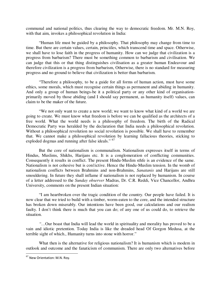communal and national politics, thus clearing the way to democratic freedom. Mr. M.N. Roy, with that aim, invokes a philosophical revolution in India:

"Human life must be guided by a philosophy. That philosophy may change from time to time. But there are certain values, certain, princiiles, which transcend time and space. Otherwise, we shall have to lose faith in the progress of humanity. How can we judge that civilization is a progress from barbarism? There must be something common to barbarism and civilisation. We can judge that this or that thing distinguishes civilisation as a greater human Endeavour and therefore civilization is a progress from barbarism, Otherwise, there is no standard for measuring progress and no ground to believe that civilization is better than barbarism.

"Therefore a philosophy, to be a guide for all forms of human action, must have some ethics, some morals, which must recognise certain things as permanent and abiding in humanity. And only a group of human beings-be it a political party or any other kind of organisationprimarily moved by those abiding (and I should say permanent, as humanity itself) values, can claim to be the maker of the future.

"We not only want to create a new world; we want to know what kind of a world we are going to create. We must know what freedom is before we can be qualified as the architects of a free world. What the world needs is a philosophy of freedom. The birth of the Radical Democratic Party was heralded by the declaration that India needs a philosophical revolution. Without a philosophical revolution no social revolution is possible. We shall have to remember that. We cannot make a philosophical revolution by learning fallacious theories, sticking to exploded dogmas and running after false ideals." <sup>67</sup>

But the core of nationalism is communalism. Nationalism expresses itself in terms of Hindus, Muslims, Shikhs, Harijans etc. It is a conglomeration of conflicting communities. Consequently it results in conflict. The present Hindu-Muslim sthfe is an evidence of the same. Nationalism is not cohesive but is con1ictive. Hence the Hindu-Muslim tension. In the womb of nationalism conflicts between Brahmins and non-Brahmins, *Sanatanis* and Harijans are still smouldering. In future they shall inflame if nationalism is not replaced by humanism. In course of a letter addressed to the *Sunday observer* Madras, Dr. C.R. Reddi, Vice Chancellor, Andhra University, comments on the present Indian situation:

"I am heartbroken over the tragic condition of the country. Our people have failed. It is now clear that we tried to build with a timber, worm-eaten to the core, and the intended structure has broken down miserably. Our intentions have been good, our calculations and our realism faulty. I don't think there is much that you can do; of any one of us could do, to retrieve the situation.

*"…*Our boast that India will lead the world in spirituality and morality has proved to be a vain and idiotic pretention. Today India is like the dreaded head Of Gorgon Medusa, at the terrible sight of which., Humanity turns into stone with horror."

What then is the alternative for religious nationalism? It is humanism which is modem in outlook and outcome and the fanaticism of communism. There are only two alternatives before

<sup>&</sup>lt;sup>67</sup> New Orientation: M.N. Roy.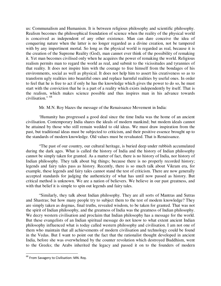us: Communalism and Humanism. It is between religious philosophy and scientific philosophy. Realism becomes the philosophical foundation of science when the reality of the physical world is conceived as independent of any other existence. Man can dare conceive the idea of conquering nature when the latter is no longer regarded as a divine creation, not be tampered with by any impertinent mortal. So long as the physical world is regarded as real, because it is the creation of the Supreme Reality (God), man cannot ever think of the possibility of remaking it. Yet man becomes civilised only when he acquires the power of remaking the world. Religious realism permits man to regard the world as real, and submit to the vicissitudes and tyrannies of that reality. It does not inspire him with the courage to free himself from the bondages of his environments, social as well as physical. It does not help him to assert his creativeness so as to transform ugly realities into beautiful ones and replace harmful realities by useful ones. In order to feel that he is free to act if only he has the knowledge which gives the power to do so, he must start with the conviction that he is a part of a reality which exists independently by itself. That is the realism, which makes science possible and thus inspires man in his advance towards civilisation." <sup>68</sup>

Mr. M.N. Roy blazes the message of the Renaissance Movement in India:

'Humanity has progressed a good deal since the time India was the home of an ancient civilisation. Contemporary India shares the ideals of modern mankind; but modem ideals cannot be attained by those who still remain wedded to old ideas. We must draw inspiration from the past, but traditional ideas must be subjected to criticism, and their positive essence brought up to the standards of modern knowledge. Old values must be revaluated. That is Renaissance.

"The past of our country, our cultural heritage, is buried deep under rubbish accumulated during the dark ages. What is called the history of India and the history of Indian philosophy cannot be simply taken for granted. As a matter of fact, there is no history of India, nor history of Indian philosophy. They talk about big things; because there is no properly recorded history; legends and fairy tales pass as history. Recently, there is so much talk about Vikram era, for example, these legends and fairy tales cannot stand the test of criticism. There are now generally accepted standards for judging the authenticity of what has until now passed as history. But critical method is unknown. We are a nation of believers. We believe in our past greatness, and with that belief it is simple to spin out legends and fairy tales.

"Similarly, they talk about Indian philosophy. They are all sorts of Mantras and Sutras and Shastras; but how many people try to subject them to the test of modem knowledge? They are simply taken as dogmas, final truths, revealed wisdom, to be taken for granted. That was not the spirit of Indian philosophy, and the greatness of India was the greatness of Indian philosophy. We decry western civilisation and proclaim that Indian philosophy has a message for the world. But these evangelists of an Indian spiritual message do not know to what extent ancient Indian philosophy influenced what is today called western philosophy and civilisation. I am not one of them who maintain that all achievements of modern civilisation and technology could be found in the Vedas. But I want to point out the fact that the rationalist thought developed in ancient India, before she was overwhelmed by the counter revolution which destroyed Buddhism, went to the Greeks; the Arabs inherited the legacy and passed it on to the founders of modern

<sup>&</sup>lt;sup>68</sup> From Savagery to Civilisation: MN. Roy.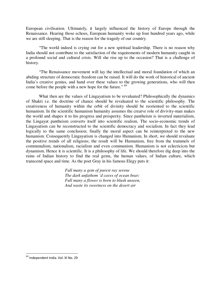European civilisation. Ultimately, it largely influenced the history of Europe through the Renaissance. Hearing those echoes, European humanity woke up four hundred years ago, while we are still sleeping. That is the reason for the tragedy of our country.

"The world indeed is crying out for a new spiritual leadership. There is no reason why India should not contribute to the satisfaction of the requirements of modern humanity caught in a profound social and cultural crisis. Will she rise up to the occasion? That is a challenge of history.

"The Renaissance movement will lay the intellectual and moral foundation of which an abiding structure of democratic freedom can be raised. It will do the work of historical of ancient India's creative genius, and hand over these values to the growing generations, who will then come before the people with a new hope for the future." <sup>69</sup>

What then are the values of Lingayatism to be revaluated? Philosophically the dynamics of Shakti i.e. the doctrine of chance should be revaluated to the scientific philosophy. The creativeness of humanity within the orbit of divinity should be reoriented to the scientific humanism. In the scientific humanism humanity assumes the creatve role of divivity-man makes the world and shapes it to his progress and prosperity. Since pantheism is inverted materialism, the Lingayat pantheism converts itself into scientific realism. The socio-economic trends of Lingayatism can be reconstructed to the scientific democracy and socialism. In fact they lead logically to the same conclusion; finally the moral aspect can be reinterpreted to the new humanism. Consequently Lingayatism is changed into Humanism, In short, we should revaluate the positive trends of all religions; the result will be Humanism, free from the trammels of communalism, nationalism, racialism and even communism. Humanism is not eclecticicm but dynamism. Hence it is scientific. It is a philosophy of life. We should therefore dig deep into the ruins of Indian history to find the real gems, the human values, of Indian culture, which transcend space and time. As the poet Gray in his famous Elegy puts it:

> *Full many a gem of purest ray serene The dark unfathom 'd caves of ocean bear; Full many a flower is born to blush unseen, And waste its sweetness on the desert air*

<sup>&</sup>lt;sup>69</sup> Independent India. Vol. XI No. 29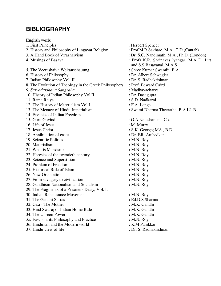# **BIBLIOGRAPHY**

#### **English work**

1. First Principles : Herbert Spencer 2. History and Philosophy of Lingayat Religion : Prof M.R.Sakhare, M.A., T.D (Cantab) 3. A Hand Book of Virashaivism : Dr. S.C. Nandimath, M.A., Ph.D. (London) 4. Musings of Basava : Profs K.R. Shrinavas lyangar, M.A D: Litt and S.S.Basavanal, M.A.S *5.* The Veerashaiva Weltanschauung **:** Shree Kumar Swamiji, B.A. 6. History of Philosophy **:** Dr. Albert Schwegler 7. Indian Philosophy Vol. II 8. The Evolution of Theology in the Greek Philosophers **:** Prof. Edward Caird *9. Sarvadarshana Sangraha* **:** Madhavacharya 10. History of Indian Philosophy Vol II **:** Dr. Dasagupta 11. Rama Rajya **:** S.D. Nadkarni 12. The History of Materialism Vol I. <br> **: F.A. Lange 13. The Menace of Hindu Imperialism**  $\cdot$  **: Swami Dha** 14. Enemies of Indian Freedom 15*.* Guru Govind : G.A Nateshan and Co. 16. Life of Jesus 17. Jesus Christ 2018 19: 10. Murry 17. Jesus Christ 2018 19: 10. Murry 17. Jesus Christ 201 **:** S.K. George; MA., B.D., 18. Annihilation of caste **:** Dr. BR. Ambedkar 19. Scientific Politics **:** M.N. Roy 20. Materialism **:** M.N. Roy 21. What is Marxism? **:** M.N. Roy 22. Heresies of the twentieth century **:** M.N. Roy 23. Science and Superstition **:** M.N. Roy 24. Problem of Freedom **:** M.N. Roy *25.* Historical Role of Islam **:** M.N. Roy 26. New Orientation **: M.N. Roy**<br>27. From savagery to civilization **: M.N. Roy** 27. From savagery to civilization 28. Gandhism Nationalism and Socialism **:** M.N. Roy 29. The Fragments of a Prisoners Diary, Vol. I. 30. Indian Renaissance Movement **:** M.N. Roy 31. The Gandhi Sutras **:** Ed.D.S.Sharma 32. Gita - The Mother **:** M.K. Gandhi 33. Hind Swaraj or Indian Home Rule **:** M.K. Gandhi 34. The Unseen Power **:** M.K. Gandhi *35.* Fascism: its Philosophy and Practice **:** M.N. Roy 36. Hinduism and the Modern world **:** K.M Panikkar 37. Hindu view of life **:** Dr. S. Radhakrishnan

: Swami Dharma Theeratha, B.A LL.B.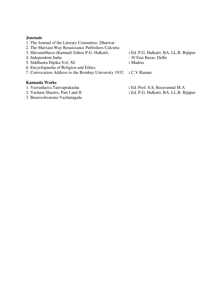#### **Journals**

- 1 .The Journal of the Literary Committee, Dharwar
- 2. The Marxian Way Renaissance Publishers Calcutta
- 3. Shivanubhava (Kannad) Editor P.G. Halkatti, **:** Ed. P.G. Halkatti. BA. LL.B. Bijápur
- 4. Independent India : 30 Faiz Bazar, Delhi
- 5*.* Siddhanta Dipika Vol. XI **:** Madras
- 6. Encyclopaedia of Religion and Ethics
- 7. Convocation Address to the Bombay University 1932 **:** C.V.Raman

#### **Kannada Works**

- 
- 
- 3. Basaveshvarana Vachanagalu
- 
- 
- 

- 1. Veerashaiva Tattvaprakasha **:** Ed. Prof. S.S, Basavannal M.A
- 2. Vachani Shastra. Part I and II **:** Ed. P.G. Halkatti. BA. LL.B. Bijápur